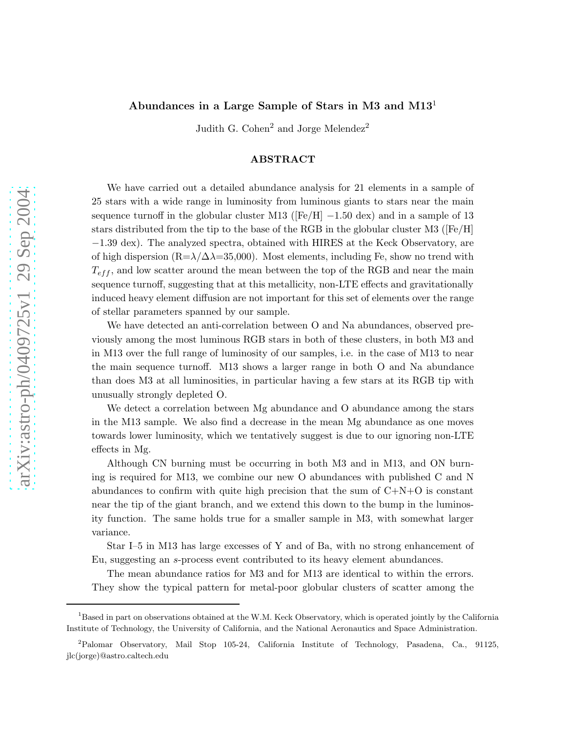# Abundances in a Large Sample of Stars in M3 and M13<sup>1</sup>

Judith G. Cohen<sup>2</sup> and Jorge Melendez<sup>2</sup>

# ABSTRACT

We have carried out a detailed abundance analysis for 21 elements in a sample of 25 stars with a wide range in luminosity from luminous giants to stars near the main sequence turnoff in the globular cluster M13 ( $[Fe/H]$  -1.50 dex) and in a sample of 13 stars distributed from the tip to the base of the RGB in the globular cluster M3 ( $[Fe/H]$ ) −1.39 dex). The analyzed spectra, obtained with HIRES at the Keck Observatory, are of high dispersion ( $R=\lambda/\Delta=35,000$ ). Most elements, including Fe, show no trend with  $T_{eff}$ , and low scatter around the mean between the top of the RGB and near the main sequence turnoff, suggesting that at this metallicity, non-LTE effects and gravitationally induced heavy element diffusion are not important for this set of elements over the range of stellar parameters spanned by our sample.

We have detected an anti-correlation between O and Na abundances, observed previously among the most luminous RGB stars in both of these clusters, in both M3 and in M13 over the full range of luminosity of our samples, i.e. in the case of M13 to near the main sequence turnoff. M13 shows a larger range in both O and Na abundance than does M3 at all luminosities, in particular having a few stars at its RGB tip with unusually strongly depleted O.

We detect a correlation between Mg abundance and O abundance among the stars in the M13 sample. We also find a decrease in the mean Mg abundance as one moves towards lower luminosity, which we tentatively suggest is due to our ignoring non-LTE effects in Mg.

Although CN burning must be occurring in both M3 and in M13, and ON burning is required for M13, we combine our new O abundances with published C and N abundances to confirm with quite high precision that the sum of  $C+N+O$  is constant near the tip of the giant branch, and we extend this down to the bump in the luminosity function. The same holds true for a smaller sample in M3, with somewhat larger variance.

Star I–5 in M13 has large excesses of Y and of Ba, with no strong enhancement of Eu, suggesting an s-process event contributed to its heavy element abundances.

The mean abundance ratios for M3 and for M13 are identical to within the errors. They show the typical pattern for metal-poor globular clusters of scatter among the

<sup>&</sup>lt;sup>1</sup>Based in part on observations obtained at the W.M. Keck Observatory, which is operated jointly by the California Institute of Technology, the University of California, and the National Aeronautics and Space Administration.

<sup>2</sup>Palomar Observatory, Mail Stop 105-24, California Institute of Technology, Pasadena, Ca., 91125, jlc(jorge)@astro.caltech.edu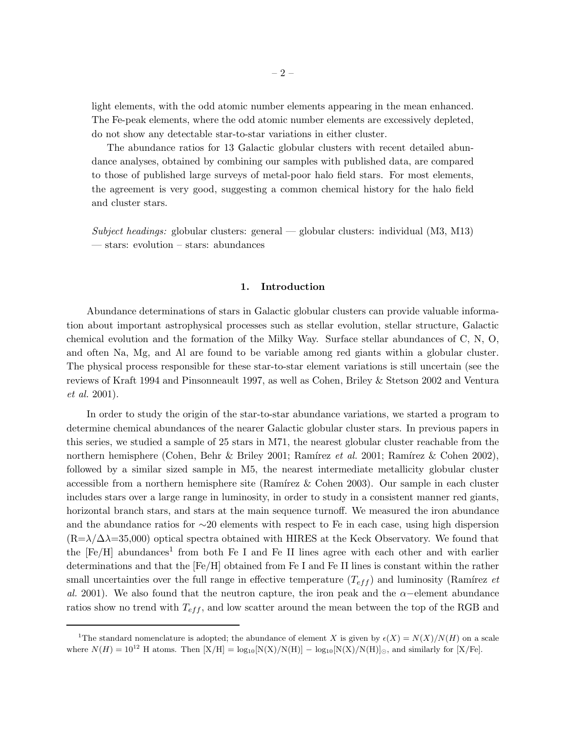light elements, with the odd atomic number elements appearing in the mean enhanced. The Fe-peak elements, where the odd atomic number elements are excessively depleted, do not show any detectable star-to-star variations in either cluster.

The abundance ratios for 13 Galactic globular clusters with recent detailed abundance analyses, obtained by combining our samples with published data, are compared to those of published large surveys of metal-poor halo field stars. For most elements, the agreement is very good, suggesting a common chemical history for the halo field and cluster stars.

*Subject headings:* globular clusters: general — globular clusters: individual (M3, M13) — stars: evolution – stars: abundances

### 1. Introduction

Abundance determinations of stars in Galactic globular clusters can provide valuable information about important astrophysical processes such as stellar evolution, stellar structure, Galactic chemical evolution and the formation of the Milky Way. Surface stellar abundances of C, N, O, and often Na, Mg, and Al are found to be variable among red giants within a globular cluster. The physical process responsible for these star-to-star element variations is still uncertain (see the reviews of Kraft 1994 and Pinsonneault 1997, as well as Cohen, Briley & Stetson 2002 and Ventura *et al.* 2001).

In order to study the origin of the star-to-star abundance variations, we started a program to determine chemical abundances of the nearer Galactic globular cluster stars. In previous papers in this series, we studied a sample of 25 stars in M71, the nearest globular cluster reachable from the northern hemisphere (Cohen, Behr & Briley 2001; Ramírez *et al.* 2001; Ramírez & Cohen 2002), followed by a similar sized sample in M5, the nearest intermediate metallicity globular cluster accessible from a northern hemisphere site (Ramírez & Cohen 2003). Our sample in each cluster includes stars over a large range in luminosity, in order to study in a consistent manner red giants, horizontal branch stars, and stars at the main sequence turnoff. We measured the iron abundance and the abundance ratios for ∼20 elements with respect to Fe in each case, using high dispersion  $(R=\lambda/\Delta\lambda=35,000)$  optical spectra obtained with HIRES at the Keck Observatory. We found that the  $[Fe/H]$  abundances<sup>1</sup> from both Fe I and Fe II lines agree with each other and with earlier determinations and that the [Fe/H] obtained from Fe I and Fe II lines is constant within the rather small uncertainties over the full range in effective temperature  $(T_{eff})$  and luminosity (Ramírez *et al.* 2001). We also found that the neutron capture, the iron peak and the  $\alpha$ -element abundance ratios show no trend with  $T_{eff}$ , and low scatter around the mean between the top of the RGB and

<sup>&</sup>lt;sup>1</sup>The standard nomenclature is adopted; the abundance of element X is given by  $\epsilon(X) = N(X)/N(H)$  on a scale where  $N(H) = 10^{12}$  H atoms. Then  $[X/H] = \log_{10}[N(X)/N(H)] - \log_{10}[N(X)/N(H)]_{\odot}$ , and similarly for [X/Fe].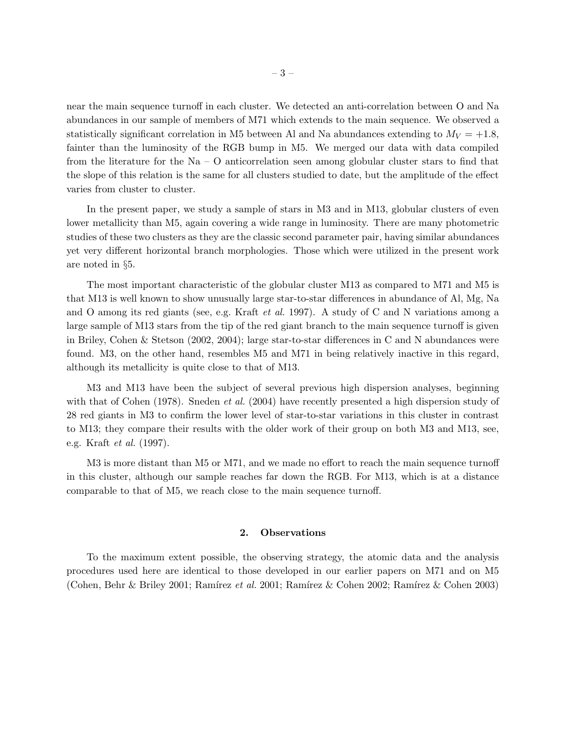near the main sequence turnoff in each cluster. We detected an anti-correlation between O and Na abundances in our sample of members of M71 which extends to the main sequence. We observed a statistically significant correlation in M5 between Al and Na abundances extending to  $M_V = +1.8$ , fainter than the luminosity of the RGB bump in M5. We merged our data with data compiled from the literature for the Na –  $O$  anticorrelation seen among globular cluster stars to find that the slope of this relation is the same for all clusters studied to date, but the amplitude of the effect varies from cluster to cluster.

In the present paper, we study a sample of stars in M3 and in M13, globular clusters of even lower metallicity than M5, again covering a wide range in luminosity. There are many photometric studies of these two clusters as they are the classic second parameter pair, having similar abundances yet very different horizontal branch morphologies. Those which were utilized in the present work are noted in §5.

The most important characteristic of the globular cluster M13 as compared to M71 and M5 is that M13 is well known to show unusually large star-to-star differences in abundance of Al, Mg, Na and O among its red giants (see, e.g. Kraft *et al.* 1997). A study of C and N variations among a large sample of M13 stars from the tip of the red giant branch to the main sequence turnoff is given in Briley, Cohen & Stetson (2002, 2004); large star-to-star differences in C and N abundances were found. M3, on the other hand, resembles M5 and M71 in being relatively inactive in this regard, although its metallicity is quite close to that of M13.

M3 and M13 have been the subject of several previous high dispersion analyses, beginning with that of Cohen (1978). Sneden *et al.* (2004) have recently presented a high dispersion study of 28 red giants in M3 to confirm the lower level of star-to-star variations in this cluster in contrast to M13; they compare their results with the older work of their group on both M3 and M13, see, e.g. Kraft *et al.* (1997).

M3 is more distant than M5 or M71, and we made no effort to reach the main sequence turnoff in this cluster, although our sample reaches far down the RGB. For M13, which is at a distance comparable to that of M5, we reach close to the main sequence turnoff.

# 2. Observations

To the maximum extent possible, the observing strategy, the atomic data and the analysis procedures used here are identical to those developed in our earlier papers on M71 and on M5 (Cohen, Behr & Briley 2001; Ramírez *et al.* 2001; Ramírez & Cohen 2002; Ramírez & Cohen 2003)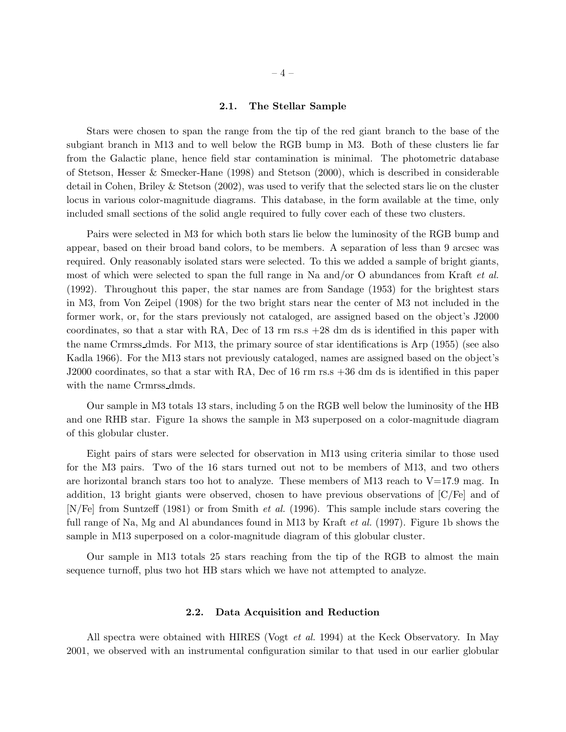#### 2.1. The Stellar Sample

Stars were chosen to span the range from the tip of the red giant branch to the base of the subgiant branch in M13 and to well below the RGB bump in M3. Both of these clusters lie far from the Galactic plane, hence field star contamination is minimal. The photometric database of Stetson, Hesser & Smecker-Hane (1998) and Stetson (2000), which is described in considerable detail in Cohen, Briley & Stetson (2002), was used to verify that the selected stars lie on the cluster locus in various color-magnitude diagrams. This database, in the form available at the time, only included small sections of the solid angle required to fully cover each of these two clusters.

Pairs were selected in M3 for which both stars lie below the luminosity of the RGB bump and appear, based on their broad band colors, to be members. A separation of less than 9 arcsec was required. Only reasonably isolated stars were selected. To this we added a sample of bright giants, most of which were selected to span the full range in Na and/or O abundances from Kraft *et al.* (1992). Throughout this paper, the star names are from Sandage (1953) for the brightest stars in M3, from Von Zeipel (1908) for the two bright stars near the center of M3 not included in the former work, or, for the stars previously not cataloged, are assigned based on the object's J2000 coordinates, so that a star with RA, Dec of 13 rm rs.s +28 dm ds is identified in this paper with the name Crmrss dmds. For M13, the primary source of star identifications is Arp (1955) (see also Kadla 1966). For the M13 stars not previously cataloged, names are assigned based on the object's J2000 coordinates, so that a star with RA, Dec of 16 rm rs.s +36 dm ds is identified in this paper with the name Crmrss dmds.

Our sample in M3 totals 13 stars, including 5 on the RGB well below the luminosity of the HB and one RHB star. Figure 1a shows the sample in M3 superposed on a color-magnitude diagram of this globular cluster.

Eight pairs of stars were selected for observation in M13 using criteria similar to those used for the M3 pairs. Two of the 16 stars turned out not to be members of M13, and two others are horizontal branch stars too hot to analyze. These members of M13 reach to  $V=17.9$  mag. In addition, 13 bright giants were observed, chosen to have previous observations of [C/Fe] and of [N/Fe] from Suntzeff (1981) or from Smith *et al.* (1996). This sample include stars covering the full range of Na, Mg and Al abundances found in M13 by Kraft *et al.* (1997). Figure 1b shows the sample in M13 superposed on a color-magnitude diagram of this globular cluster.

Our sample in M13 totals 25 stars reaching from the tip of the RGB to almost the main sequence turnoff, plus two hot HB stars which we have not attempted to analyze.

### 2.2. Data Acquisition and Reduction

All spectra were obtained with HIRES (Vogt *et al.* 1994) at the Keck Observatory. In May 2001, we observed with an instrumental configuration similar to that used in our earlier globular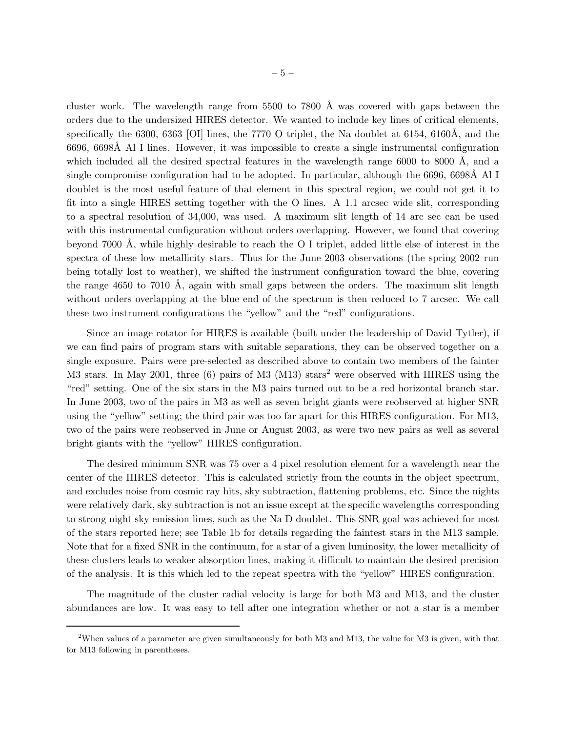cluster work. The wavelength range from 5500 to 7800 Å was covered with gaps between the orders due to the undersized HIRES detector. We wanted to include key lines of critical elements, specifically the 6300, 6363 [OI] lines, the 7770 O triplet, the Na doublet at 6154, 6160Å, and the 6696, 6698Å Al I lines. However, it was impossible to create a single instrumental configuration which included all the desired spectral features in the wavelength range  $6000$  to  $8000$  Å, and a single compromise configuration had to be adopted. In particular, although the 6696, 6698A Al I doublet is the most useful feature of that element in this spectral region, we could not get it to fit into a single HIRES setting together with the O lines. A 1.1 arcsec wide slit, corresponding to a spectral resolution of 34,000, was used. A maximum slit length of 14 arc sec can be used with this instrumental configuration without orders overlapping. However, we found that covering beyond 7000 Å, while highly desirable to reach the O I triplet, added little else of interest in the spectra of these low metallicity stars. Thus for the June 2003 observations (the spring 2002 run being totally lost to weather), we shifted the instrument configuration toward the blue, covering the range  $4650$  to  $7010$  Å, again with small gaps between the orders. The maximum slit length without orders overlapping at the blue end of the spectrum is then reduced to 7 arcsec. We call these two instrument configurations the "yellow" and the "red" configurations.

Since an image rotator for HIRES is available (built under the leadership of David Tytler), if we can find pairs of program stars with suitable separations, they can be observed together on a single exposure. Pairs were pre-selected as described above to contain two members of the fainter M3 stars. In May 2001, three (6) pairs of M3 (M13) stars<sup>2</sup> were observed with HIRES using the "red" setting. One of the six stars in the M3 pairs turned out to be a red horizontal branch star. In June 2003, two of the pairs in M3 as well as seven bright giants were reobserved at higher SNR using the "yellow" setting; the third pair was too far apart for this HIRES configuration. For M13, two of the pairs were reobserved in June or August 2003, as were two new pairs as well as several bright giants with the "yellow" HIRES configuration.

The desired minimum SNR was 75 over a 4 pixel resolution element for a wavelength near the center of the HIRES detector. This is calculated strictly from the counts in the object spectrum, and excludes noise from cosmic ray hits, sky subtraction, flattening problems, etc. Since the nights were relatively dark, sky subtraction is not an issue except at the specific wavelengths corresponding to strong night sky emission lines, such as the Na D doublet. This SNR goal was achieved for most of the stars reported here; see Table 1b for details regarding the faintest stars in the M13 sample. Note that for a fixed SNR in the continuum, for a star of a given luminosity, the lower metallicity of these clusters leads to weaker absorption lines, making it difficult to maintain the desired precision of the analysis. It is this which led to the repeat spectra with the "yellow" HIRES configuration.

The magnitude of the cluster radial velocity is large for both M3 and M13, and the cluster abundances are low. It was easy to tell after one integration whether or not a star is a member

<sup>&</sup>lt;sup>2</sup>When values of a parameter are given simultaneously for both M3 and M13, the value for M3 is given, with that for M13 following in parentheses.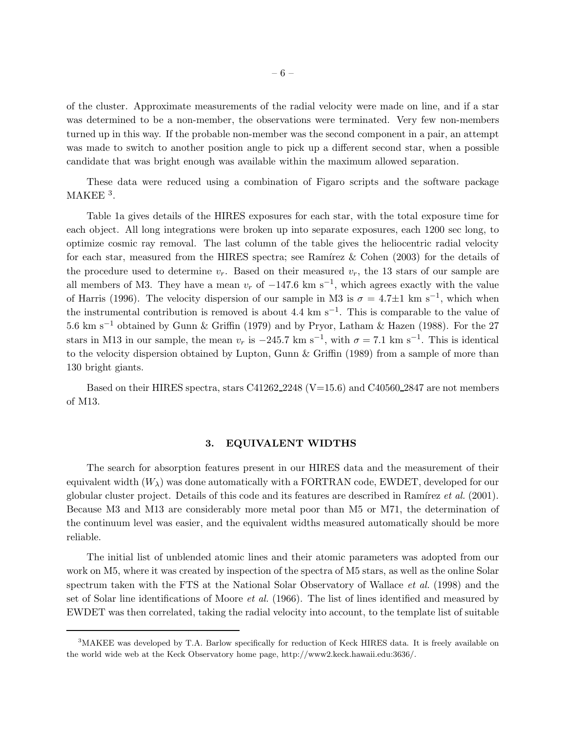of the cluster. Approximate measurements of the radial velocity were made on line, and if a star was determined to be a non-member, the observations were terminated. Very few non-members turned up in this way. If the probable non-member was the second component in a pair, an attempt was made to switch to another position angle to pick up a different second star, when a possible candidate that was bright enough was available within the maximum allowed separation.

These data were reduced using a combination of Figaro scripts and the software package  $MAKEE<sup>3</sup>$ .

Table 1a gives details of the HIRES exposures for each star, with the total exposure time for each object. All long integrations were broken up into separate exposures, each 1200 sec long, to optimize cosmic ray removal. The last column of the table gives the heliocentric radial velocity for each star, measured from the HIRES spectra; see Ramírez & Cohen  $(2003)$  for the details of the procedure used to determine  $v_r$ . Based on their measured  $v_r$ , the 13 stars of our sample are all members of M3. They have a mean  $v_r$  of  $-147.6 \text{ km s}^{-1}$ , which agrees exactly with the value of Harris (1996). The velocity dispersion of our sample in M3 is  $\sigma = 4.7 \pm 1$  km s<sup>-1</sup>, which when the instrumental contribution is removed is about 4.4 km s−<sup>1</sup> . This is comparable to the value of 5.6 km s−<sup>1</sup> obtained by Gunn & Griffin (1979) and by Pryor, Latham & Hazen (1988). For the 27 stars in M13 in our sample, the mean  $v_r$  is  $-245.7 \text{ km s}^{-1}$ , with  $\sigma = 7.1 \text{ km s}^{-1}$ . This is identical to the velocity dispersion obtained by Lupton, Gunn & Griffin (1989) from a sample of more than 130 bright giants.

Based on their HIRES spectra, stars  $C41262_{-}2248$  (V=15.6) and C40560 $_{-}2847$  are not members of M13.

## 3. EQUIVALENT WIDTHS

The search for absorption features present in our HIRES data and the measurement of their equivalent width  $(W_\lambda)$  was done automatically with a FORTRAN code, EWDET, developed for our globular cluster project. Details of this code and its features are described in Ramírez *et al.* (2001). Because M3 and M13 are considerably more metal poor than M5 or M71, the determination of the continuum level was easier, and the equivalent widths measured automatically should be more reliable.

The initial list of unblended atomic lines and their atomic parameters was adopted from our work on M5, where it was created by inspection of the spectra of M5 stars, as well as the online Solar spectrum taken with the FTS at the National Solar Observatory of Wallace *et al.* (1998) and the set of Solar line identifications of Moore *et al.* (1966). The list of lines identified and measured by EWDET was then correlated, taking the radial velocity into account, to the template list of suitable

<sup>&</sup>lt;sup>3</sup>MAKEE was developed by T.A. Barlow specifically for reduction of Keck HIRES data. It is freely available on the world wide web at the Keck Observatory home page, http://www2.keck.hawaii.edu:3636/.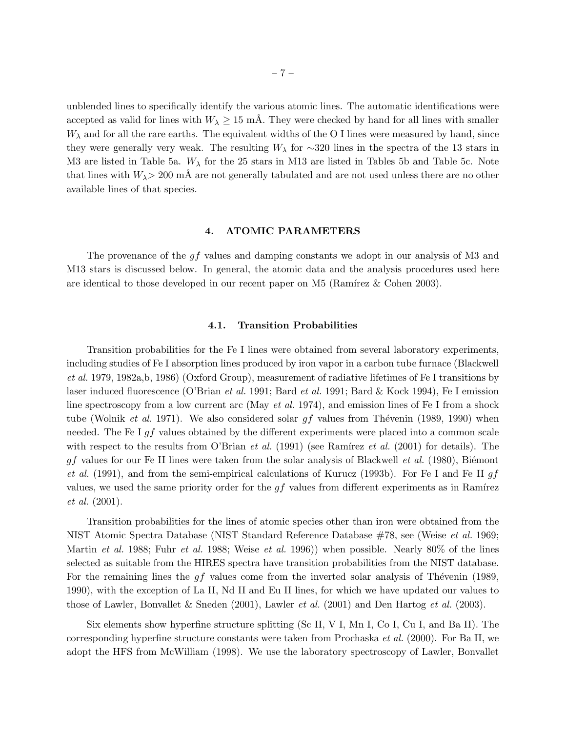unblended lines to specifically identify the various atomic lines. The automatic identifications were accepted as valid for lines with  $W_{\lambda} \geq 15$  mÅ. They were checked by hand for all lines with smaller  $W_{\lambda}$  and for all the rare earths. The equivalent widths of the O I lines were measured by hand, since they were generally very weak. The resulting  $W_{\lambda}$  for ∼320 lines in the spectra of the 13 stars in M3 are listed in Table 5a.  $W_{\lambda}$  for the 25 stars in M13 are listed in Tables 5b and Table 5c. Note that lines with  $W_{\lambda}$  > 200 mA are not generally tabulated and are not used unless there are no other available lines of that species.

### 4. ATOMIC PARAMETERS

The provenance of the gf values and damping constants we adopt in our analysis of M3 and M13 stars is discussed below. In general, the atomic data and the analysis procedures used here are identical to those developed in our recent paper on  $M5$  (Ramírez & Cohen 2003).

### 4.1. Transition Probabilities

Transition probabilities for the Fe I lines were obtained from several laboratory experiments, including studies of Fe I absorption lines produced by iron vapor in a carbon tube furnace (Blackwell *et al.* 1979, 1982a,b, 1986) (Oxford Group), measurement of radiative lifetimes of Fe I transitions by laser induced fluorescence (O'Brian *et al.* 1991; Bard *et al.* 1991; Bard & Kock 1994), Fe I emission line spectroscopy from a low current arc (May *et al.* 1974), and emission lines of Fe I from a shock tube (Wolnik *et al.* 1971). We also considered solar gf values from Thévenin (1989, 1990) when needed. The Fe I gf values obtained by the different experiments were placed into a common scale with respect to the results from O'Brian *et al.* (1991) (see Ramírez *et al.* (2001) for details). The  $gf$  values for our Fe II lines were taken from the solar analysis of Blackwell *et al.* (1980), Biémont *et al.* (1991), and from the semi-empirical calculations of Kurucz (1993b). For Fe I and Fe II gf values, we used the same priority order for the  $gf$  values from different experiments as in Ramírez *et al.* (2001).

Transition probabilities for the lines of atomic species other than iron were obtained from the NIST Atomic Spectra Database (NIST Standard Reference Database #78, see (Weise *et al.* 1969; Martin *et al.* 1988; Fuhr *et al.* 1988; Weise *et al.* 1996)) when possible. Nearly 80% of the lines selected as suitable from the HIRES spectra have transition probabilities from the NIST database. For the remaining lines the  $gf$  values come from the inverted solar analysis of Thévenin (1989, 1990), with the exception of La II, Nd II and Eu II lines, for which we have updated our values to those of Lawler, Bonvallet & Sneden (2001), Lawler *et al.* (2001) and Den Hartog *et al.* (2003).

Six elements show hyperfine structure splitting (Sc II, V I, Mn I, Co I, Cu I, and Ba II). The corresponding hyperfine structure constants were taken from Prochaska *et al.* (2000). For Ba II, we adopt the HFS from McWilliam (1998). We use the laboratory spectroscopy of Lawler, Bonvallet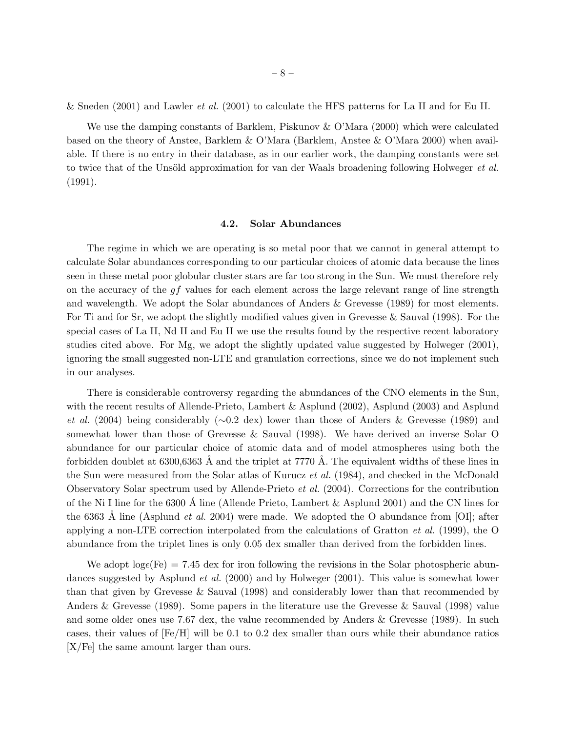& Sneden (2001) and Lawler *et al.* (2001) to calculate the HFS patterns for La II and for Eu II.

We use the damping constants of Barklem, Piskunov & O'Mara (2000) which were calculated based on the theory of Anstee, Barklem & O'Mara (Barklem, Anstee & O'Mara 2000) when available. If there is no entry in their database, as in our earlier work, the damping constants were set to twice that of the Unsöld approximation for van der Waals broadening following Holweger *et al.* (1991).

#### 4.2. Solar Abundances

The regime in which we are operating is so metal poor that we cannot in general attempt to calculate Solar abundances corresponding to our particular choices of atomic data because the lines seen in these metal poor globular cluster stars are far too strong in the Sun. We must therefore rely on the accuracy of the  $gf$  values for each element across the large relevant range of line strength and wavelength. We adopt the Solar abundances of Anders & Grevesse (1989) for most elements. For Ti and for Sr, we adopt the slightly modified values given in Grevesse & Sauval (1998). For the special cases of La II, Nd II and Eu II we use the results found by the respective recent laboratory studies cited above. For Mg, we adopt the slightly updated value suggested by Holweger (2001), ignoring the small suggested non-LTE and granulation corrections, since we do not implement such in our analyses.

There is considerable controversy regarding the abundances of the CNO elements in the Sun, with the recent results of Allende-Prieto, Lambert & Asplund (2002), Asplund (2003) and Asplund *et al.* (2004) being considerably (∼0.2 dex) lower than those of Anders & Grevesse (1989) and somewhat lower than those of Grevesse & Sauval (1998). We have derived an inverse Solar O abundance for our particular choice of atomic data and of model atmospheres using both the forbidden doublet at  $6300,6363$  Å and the triplet at 7770 Å. The equivalent widths of these lines in the Sun were measured from the Solar atlas of Kurucz *et al.* (1984), and checked in the McDonald Observatory Solar spectrum used by Allende-Prieto *et al.* (2004). Corrections for the contribution of the Ni I line for the 6300 Å line (Allende Prieto, Lambert  $\&$  Asplund 2001) and the CN lines for the 6363 Å line (Asplund *et al.* 2004) were made. We adopted the O abundance from [OI]; after applying a non-LTE correction interpolated from the calculations of Gratton *et al.* (1999), the O abundance from the triplet lines is only 0.05 dex smaller than derived from the forbidden lines.

We adopt  $log_{\epsilon}(Fe) = 7.45$  dex for iron following the revisions in the Solar photospheric abundances suggested by Asplund *et al.* (2000) and by Holweger (2001). This value is somewhat lower than that given by Grevesse & Sauval (1998) and considerably lower than that recommended by Anders & Grevesse (1989). Some papers in the literature use the Grevesse & Sauval (1998) value and some older ones use 7.67 dex, the value recommended by Anders & Grevesse (1989). In such cases, their values of [Fe/H] will be 0.1 to 0.2 dex smaller than ours while their abundance ratios [X/Fe] the same amount larger than ours.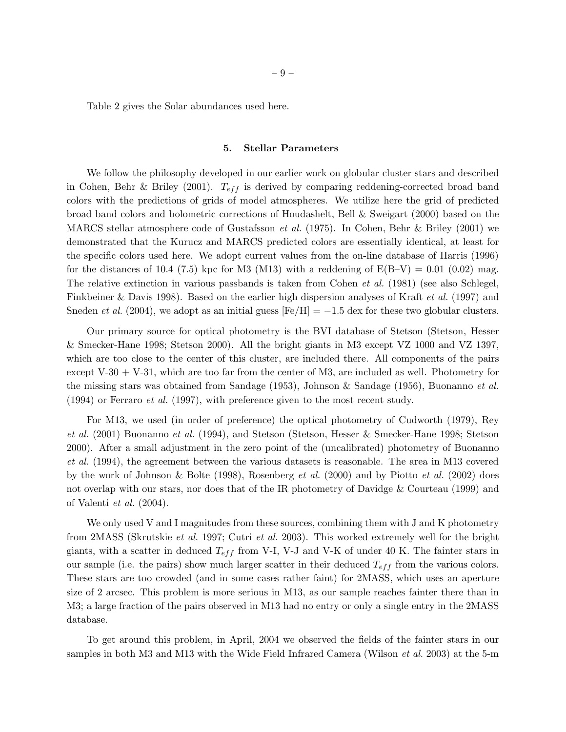Table 2 gives the Solar abundances used here.

#### 5. Stellar Parameters

We follow the philosophy developed in our earlier work on globular cluster stars and described in Cohen, Behr & Briley (2001).  $T_{eff}$  is derived by comparing reddening-corrected broad band colors with the predictions of grids of model atmospheres. We utilize here the grid of predicted broad band colors and bolometric corrections of Houdashelt, Bell & Sweigart (2000) based on the MARCS stellar atmosphere code of Gustafsson *et al.* (1975). In Cohen, Behr & Briley (2001) we demonstrated that the Kurucz and MARCS predicted colors are essentially identical, at least for the specific colors used here. We adopt current values from the on-line database of Harris (1996) for the distances of 10.4 (7.5) kpc for M3 (M13) with a reddening of  $E(B-V) = 0.01$  (0.02) mag. The relative extinction in various passbands is taken from Cohen *et al.* (1981) (see also Schlegel, Finkbeiner & Davis 1998). Based on the earlier high dispersion analyses of Kraft *et al.* (1997) and Sneden *et al.* (2004), we adopt as an initial guess  $[Fe/H] = -1.5$  dex for these two globular clusters.

Our primary source for optical photometry is the BVI database of Stetson (Stetson, Hesser & Smecker-Hane 1998; Stetson 2000). All the bright giants in M3 except VZ 1000 and VZ 1397, which are too close to the center of this cluster, are included there. All components of the pairs except V-30  $+$  V-31, which are too far from the center of M3, are included as well. Photometry for the missing stars was obtained from Sandage (1953), Johnson & Sandage (1956), Buonanno *et al.* (1994) or Ferraro *et al.* (1997), with preference given to the most recent study.

For M13, we used (in order of preference) the optical photometry of Cudworth (1979), Rey *et al.* (2001) Buonanno *et al.* (1994), and Stetson (Stetson, Hesser & Smecker-Hane 1998; Stetson 2000). After a small adjustment in the zero point of the (uncalibrated) photometry of Buonanno *et al.* (1994), the agreement between the various datasets is reasonable. The area in M13 covered by the work of Johnson & Bolte (1998), Rosenberg *et al.* (2000) and by Piotto *et al.* (2002) does not overlap with our stars, nor does that of the IR photometry of Davidge & Courteau (1999) and of Valenti *et al.* (2004).

We only used V and I magnitudes from these sources, combining them with J and K photometry from 2MASS (Skrutskie *et al.* 1997; Cutri *et al.* 2003). This worked extremely well for the bright giants, with a scatter in deduced  $T_{eff}$  from V-I, V-J and V-K of under 40 K. The fainter stars in our sample (i.e. the pairs) show much larger scatter in their deduced  $T_{eff}$  from the various colors. These stars are too crowded (and in some cases rather faint) for 2MASS, which uses an aperture size of 2 arcsec. This problem is more serious in M13, as our sample reaches fainter there than in M3; a large fraction of the pairs observed in M13 had no entry or only a single entry in the 2MASS database.

To get around this problem, in April, 2004 we observed the fields of the fainter stars in our samples in both M3 and M13 with the Wide Field Infrared Camera (Wilson *et al.* 2003) at the 5-m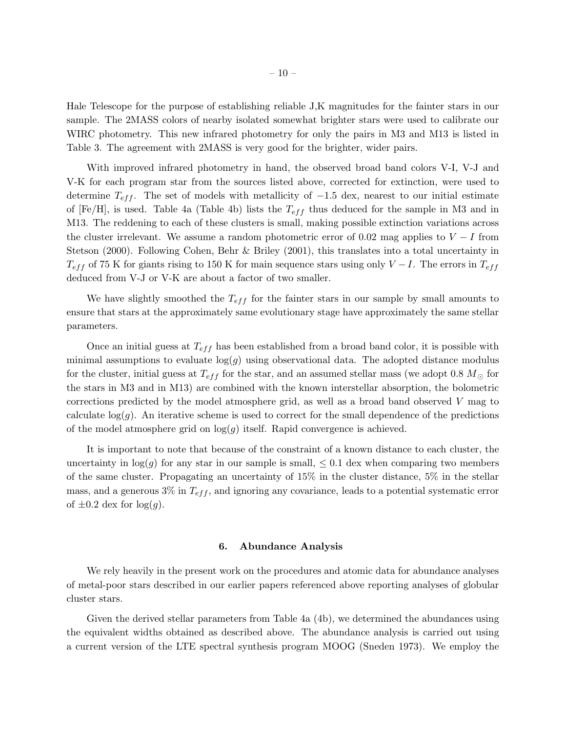Hale Telescope for the purpose of establishing reliable J,K magnitudes for the fainter stars in our sample. The 2MASS colors of nearby isolated somewhat brighter stars were used to calibrate our WIRC photometry. This new infrared photometry for only the pairs in M3 and M13 is listed in Table 3. The agreement with 2MASS is very good for the brighter, wider pairs.

With improved infrared photometry in hand, the observed broad band colors V-I, V-J and V-K for each program star from the sources listed above, corrected for extinction, were used to determine  $T_{eff}$ . The set of models with metallicity of  $-1.5$  dex, nearest to our initial estimate of [Fe/H], is used. Table 4a (Table 4b) lists the  $T_{eff}$  thus deduced for the sample in M3 and in M13. The reddening to each of these clusters is small, making possible extinction variations across the cluster irrelevant. We assume a random photometric error of 0.02 mag applies to  $V-I$  from Stetson (2000). Following Cohen, Behr & Briley (2001), this translates into a total uncertainty in  $T_{eff}$  of 75 K for giants rising to 150 K for main sequence stars using only  $V-I$ . The errors in  $T_{eff}$ deduced from V-J or V-K are about a factor of two smaller.

We have slightly smoothed the  $T_{eff}$  for the fainter stars in our sample by small amounts to ensure that stars at the approximately same evolutionary stage have approximately the same stellar parameters.

Once an initial guess at  $T_{eff}$  has been established from a broad band color, it is possible with minimal assumptions to evaluate  $log(g)$  using observational data. The adopted distance modulus for the cluster, initial guess at  $T_{eff}$  for the star, and an assumed stellar mass (we adopt 0.8  $M_{\odot}$  for the stars in M3 and in M13) are combined with the known interstellar absorption, the bolometric corrections predicted by the model atmosphere grid, as well as a broad band observed V mag to calculate  $log(g)$ . An iterative scheme is used to correct for the small dependence of the predictions of the model atmosphere grid on  $log(g)$  itself. Rapid convergence is achieved.

It is important to note that because of the constraint of a known distance to each cluster, the uncertainty in  $log(g)$  for any star in our sample is small,  $\leq 0.1$  dex when comparing two members of the same cluster. Propagating an uncertainty of 15% in the cluster distance, 5% in the stellar mass, and a generous  $3\%$  in  $T_{eff}$ , and ignoring any covariance, leads to a potential systematic error of  $\pm 0.2$  dex for  $\log(q)$ .

#### 6. Abundance Analysis

We rely heavily in the present work on the procedures and atomic data for abundance analyses of metal-poor stars described in our earlier papers referenced above reporting analyses of globular cluster stars.

Given the derived stellar parameters from Table 4a (4b), we determined the abundances using the equivalent widths obtained as described above. The abundance analysis is carried out using a current version of the LTE spectral synthesis program MOOG (Sneden 1973). We employ the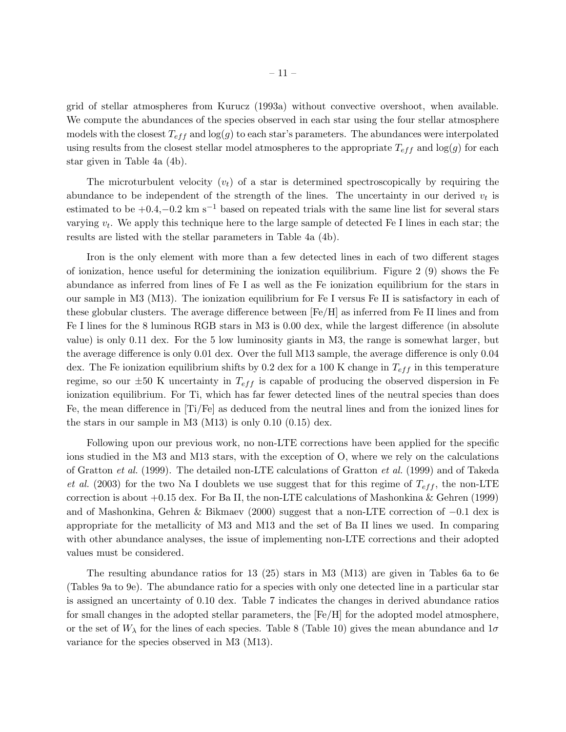grid of stellar atmospheres from Kurucz (1993a) without convective overshoot, when available. We compute the abundances of the species observed in each star using the four stellar atmosphere models with the closest  $T_{eff}$  and log(g) to each star's parameters. The abundances were interpolated using results from the closest stellar model atmospheres to the appropriate  $T_{eff}$  and  $\log(g)$  for each star given in Table 4a (4b).

The microturbulent velocity  $(v_t)$  of a star is determined spectroscopically by requiring the abundance to be independent of the strength of the lines. The uncertainty in our derived  $v_t$  is estimated to be  $+0.4, -0.2$  km s<sup>-1</sup> based on repeated trials with the same line list for several stars varying  $v_t$ . We apply this technique here to the large sample of detected Fe I lines in each star; the results are listed with the stellar parameters in Table 4a (4b).

Iron is the only element with more than a few detected lines in each of two different stages of ionization, hence useful for determining the ionization equilibrium. Figure 2 (9) shows the Fe abundance as inferred from lines of Fe I as well as the Fe ionization equilibrium for the stars in our sample in M3 (M13). The ionization equilibrium for Fe I versus Fe II is satisfactory in each of these globular clusters. The average difference between [Fe/H] as inferred from Fe II lines and from Fe I lines for the 8 luminous RGB stars in M3 is 0.00 dex, while the largest difference (in absolute value) is only 0.11 dex. For the 5 low luminosity giants in M3, the range is somewhat larger, but the average difference is only 0.01 dex. Over the full M13 sample, the average difference is only 0.04 dex. The Fe ionization equilibrium shifts by 0.2 dex for a 100 K change in  $T_{eff}$  in this temperature regime, so our  $\pm 50$  K uncertainty in  $T_{eff}$  is capable of producing the observed dispersion in Fe ionization equilibrium. For Ti, which has far fewer detected lines of the neutral species than does Fe, the mean difference in [Ti/Fe] as deduced from the neutral lines and from the ionized lines for the stars in our sample in M3 (M13) is only 0.10 (0.15) dex.

Following upon our previous work, no non-LTE corrections have been applied for the specific ions studied in the M3 and M13 stars, with the exception of O, where we rely on the calculations of Gratton *et al.* (1999). The detailed non-LTE calculations of Gratton *et al.* (1999) and of Takeda *et al.* (2003) for the two Na I doublets we use suggest that for this regime of  $T_{eff}$ , the non-LTE correction is about  $+0.15$  dex. For Ba II, the non-LTE calculations of Mashonkina & Gehren (1999) and of Mashonkina, Gehren & Bikmaev (2000) suggest that a non-LTE correction of −0.1 dex is appropriate for the metallicity of M3 and M13 and the set of Ba II lines we used. In comparing with other abundance analyses, the issue of implementing non-LTE corrections and their adopted values must be considered.

The resulting abundance ratios for 13 (25) stars in M3 (M13) are given in Tables 6a to 6e (Tables 9a to 9e). The abundance ratio for a species with only one detected line in a particular star is assigned an uncertainty of 0.10 dex. Table 7 indicates the changes in derived abundance ratios for small changes in the adopted stellar parameters, the [Fe/H] for the adopted model atmosphere, or the set of  $W_{\lambda}$  for the lines of each species. Table 8 (Table 10) gives the mean abundance and  $1\sigma$ variance for the species observed in M3 (M13).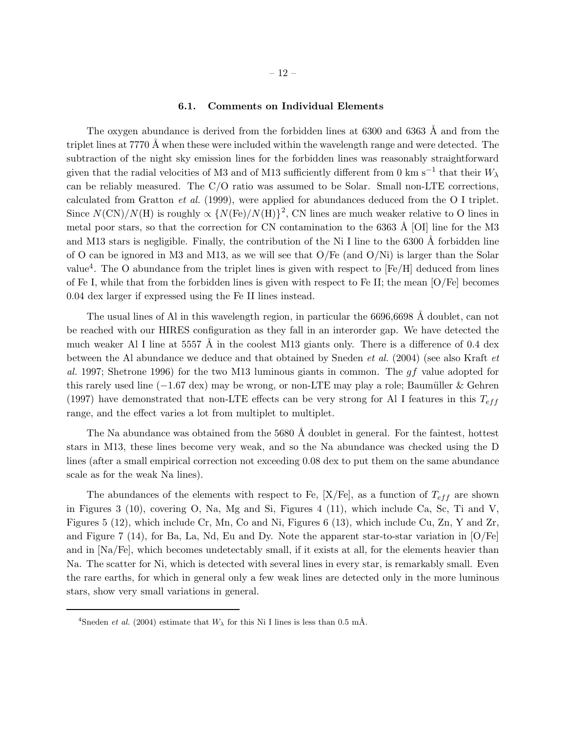#### 6.1. Comments on Individual Elements

The oxygen abundance is derived from the forbidden lines at  $6300$  and  $6363$  Å and from the triplet lines at 7770 Å when these were included within the wavelength range and were detected. The subtraction of the night sky emission lines for the forbidden lines was reasonably straightforward given that the radial velocities of M3 and of M13 sufficiently different from 0 km s<sup>-1</sup> that their  $W_{\lambda}$ can be reliably measured. The C/O ratio was assumed to be Solar. Small non-LTE corrections, calculated from Gratton *et al.* (1999), were applied for abundances deduced from the O I triplet. Since  $N(\text{CN})/N(\text{H})$  is roughly  $\propto \{N(\text{Fe})/N(\text{H})\}^2$ , CN lines are much weaker relative to O lines in metal poor stars, so that the correction for CN contamination to the 6363  $\AA$  [OI] line for the M3 and M13 stars is negligible. Finally, the contribution of the Ni I line to the  $6300 \text{ Å}$  forbidden line of O can be ignored in M3 and M13, as we will see that  $O/Fe$  (and  $O/Ni$ ) is larger than the Solar value<sup>4</sup>. The O abundance from the triplet lines is given with respect to  $[Fe/H]$  deduced from lines of Fe I, while that from the forbidden lines is given with respect to Fe II; the mean [O/Fe] becomes 0.04 dex larger if expressed using the Fe II lines instead.

The usual lines of Al in this wavelength region, in particular the  $6696,6698$  Å doublet, can not be reached with our HIRES configuration as they fall in an interorder gap. We have detected the much weaker Al I line at 5557  $\AA$  in the coolest M13 giants only. There is a difference of 0.4 dex between the Al abundance we deduce and that obtained by Sneden *et al.* (2004) (see also Kraft *et al.* 1997; Shetrone 1996) for the two M13 luminous giants in common. The gf value adopted for this rarely used line  $(-1.67 \text{ dex})$  may be wrong, or non-LTE may play a role; Baumüller & Gehren (1997) have demonstrated that non-LTE effects can be very strong for Al I features in this  $T_{eff}$ range, and the effect varies a lot from multiplet to multiplet.

The Na abundance was obtained from the 5680 Å doublet in general. For the faintest, hottest stars in M13, these lines become very weak, and so the Na abundance was checked using the D lines (after a small empirical correction not exceeding 0.08 dex to put them on the same abundance scale as for the weak Na lines).

The abundances of the elements with respect to Fe,  $[X/Fe]$ , as a function of  $T_{eff}$  are shown in Figures 3 (10), covering O, Na, Mg and Si, Figures 4 (11), which include Ca, Sc, Ti and V, Figures 5 (12), which include Cr, Mn, Co and Ni, Figures 6 (13), which include Cu, Zn, Y and Zr, and Figure 7 (14), for Ba, La, Nd, Eu and Dy. Note the apparent star-to-star variation in  $O/Fe$ and in  $\text{Na}/\text{Fe}$ , which becomes undetectably small, if it exists at all, for the elements heavier than Na. The scatter for Ni, which is detected with several lines in every star, is remarkably small. Even the rare earths, for which in general only a few weak lines are detected only in the more luminous stars, show very small variations in general.

<sup>&</sup>lt;sup>4</sup>Sneden *et al.* (2004) estimate that  $W_{\lambda}$  for this Ni I lines is less than 0.5 mÅ.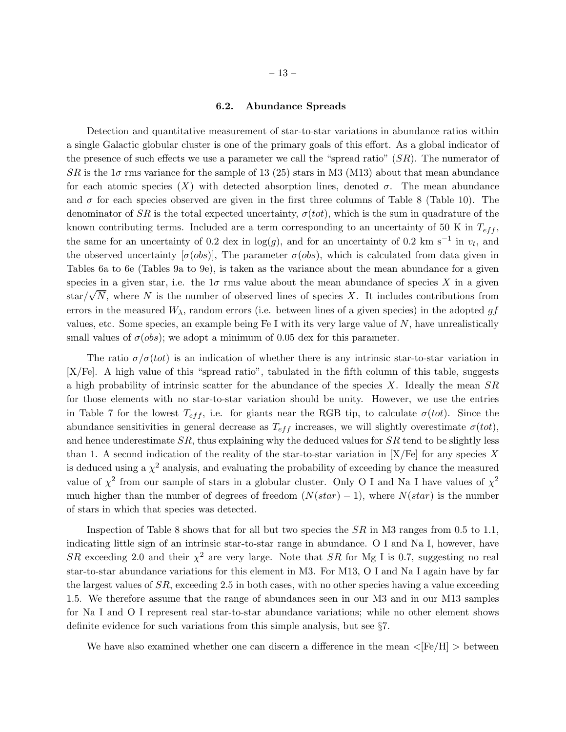#### 6.2. Abundance Spreads

Detection and quantitative measurement of star-to-star variations in abundance ratios within a single Galactic globular cluster is one of the primary goals of this effort. As a global indicator of the presence of such effects we use a parameter we call the "spread ratio"  $(SR)$ . The numerator of  $SR$  is the  $1\sigma$  rms variance for the sample of 13 (25) stars in M3 (M13) about that mean abundance for each atomic species  $(X)$  with detected absorption lines, denoted  $\sigma$ . The mean abundance and  $\sigma$  for each species observed are given in the first three columns of Table 8 (Table 10). The denominator of  $SR$  is the total expected uncertainty,  $\sigma (tot)$ , which is the sum in quadrature of the known contributing terms. Included are a term corresponding to an uncertainty of 50 K in  $T_{eff}$ , the same for an uncertainty of 0.2 dex in  $log(g)$ , and for an uncertainty of 0.2 km s<sup>-1</sup> in  $v_t$ , and the observed uncertainty  $[\sigma(\omega s)]$ , The parameter  $\sigma(\omega s)$ , which is calculated from data given in Tables 6a to 6e (Tables 9a to 9e), is taken as the variance about the mean abundance for a given species in a given star, i.e. the  $1\sigma$  rms value about the mean abundance of species X in a given  $\frac{1}{\text{star}}/\sqrt{N}$ , where N is the number of observed lines of species X. It includes contributions from errors in the measured  $W_{\lambda}$ , random errors (i.e. between lines of a given species) in the adopted gf values, etc. Some species, an example being  $Fe I$  with its very large value of  $N$ , have unrealistically small values of  $\sigma(\text{obs})$ ; we adopt a minimum of 0.05 dex for this parameter.

The ratio  $\sigma/\sigma(tot)$  is an indication of whether there is any intrinsic star-to-star variation in [X/Fe]. A high value of this "spread ratio", tabulated in the fifth column of this table, suggests a high probability of intrinsic scatter for the abundance of the species  $X$ . Ideally the mean  $SR$ for those elements with no star-to-star variation should be unity. However, we use the entries in Table 7 for the lowest  $T_{eff}$ , i.e. for giants near the RGB tip, to calculate  $\sigma (tot)$ . Since the abundance sensitivities in general decrease as  $T_{eff}$  increases, we will slightly overestimate  $\sigma (tot)$ , and hence underestimate  $SR$ , thus explaining why the deduced values for  $SR$  tend to be slightly less than 1. A second indication of the reality of the star-to-star variation in  $[X/Fe]$  for any species X is deduced using a  $\chi^2$  analysis, and evaluating the probability of exceeding by chance the measured value of  $\chi^2$  from our sample of stars in a globular cluster. Only O I and Na I have values of  $\chi^2$ much higher than the number of degrees of freedom  $(N(stat) - 1)$ , where  $N(star)$  is the number of stars in which that species was detected.

Inspection of Table 8 shows that for all but two species the  $SR$  in M3 ranges from 0.5 to 1.1, indicating little sign of an intrinsic star-to-star range in abundance. O I and Na I, however, have SR exceeding 2.0 and their  $\chi^2$  are very large. Note that SR for Mg I is 0.7, suggesting no real star-to-star abundance variations for this element in M3. For M13, O I and Na I again have by far the largest values of SR, exceeding 2.5 in both cases, with no other species having a value exceeding 1.5. We therefore assume that the range of abundances seen in our M3 and in our M13 samples for Na I and O I represent real star-to-star abundance variations; while no other element shows definite evidence for such variations from this simple analysis, but see §7.

We have also examined whether one can discern a difference in the mean  $\langle [Fe/H] \rangle$  between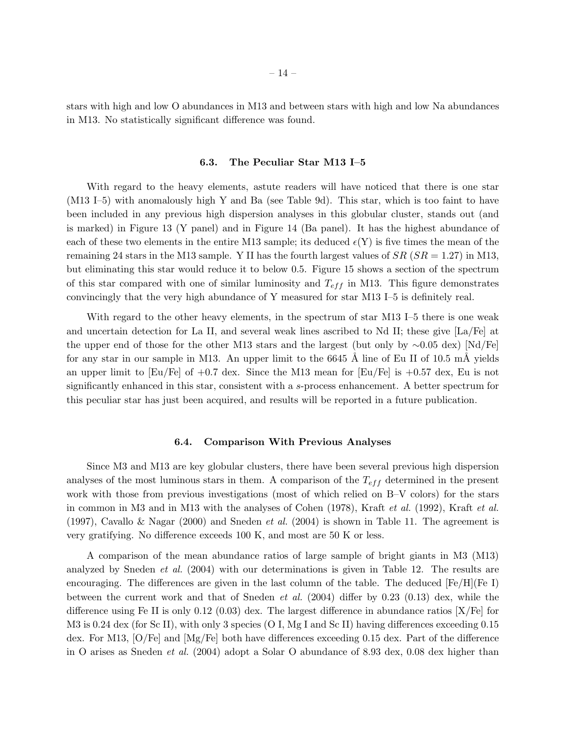stars with high and low O abundances in M13 and between stars with high and low Na abundances in M13. No statistically significant difference was found.

#### 6.3. The Peculiar Star M13 I–5

With regard to the heavy elements, astute readers will have noticed that there is one star (M13 I–5) with anomalously high Y and Ba (see Table 9d). This star, which is too faint to have been included in any previous high dispersion analyses in this globular cluster, stands out (and is marked) in Figure 13 (Y panel) and in Figure 14 (Ba panel). It has the highest abundance of each of these two elements in the entire M13 sample; its deduced  $\epsilon(Y)$  is five times the mean of the remaining 24 stars in the M13 sample. Y II has the fourth largest values of  $SR(SR = 1.27)$  in M13, but eliminating this star would reduce it to below 0.5. Figure 15 shows a section of the spectrum of this star compared with one of similar luminosity and  $T_{eff}$  in M13. This figure demonstrates convincingly that the very high abundance of Y measured for star M13 I–5 is definitely real.

With regard to the other heavy elements, in the spectrum of star M13 I–5 there is one weak and uncertain detection for La II, and several weak lines ascribed to Nd II; these give [La/Fe] at the upper end of those for the other M13 stars and the largest (but only by ∼0.05 dex) [Nd/Fe] for any star in our sample in M13. An upper limit to the  $6645 \text{ Å}$  line of Eu II of 10.5 mÅ yields an upper limit to  $\text{[Eu/Fe]}$  of  $+0.7$  dex. Since the M13 mean for  $\text{[Eu/Fe]}$  is  $+0.57$  dex, Eu is not significantly enhanced in this star, consistent with a s-process enhancement. A better spectrum for this peculiar star has just been acquired, and results will be reported in a future publication.

#### 6.4. Comparison With Previous Analyses

Since M3 and M13 are key globular clusters, there have been several previous high dispersion analyses of the most luminous stars in them. A comparison of the  $T_{eff}$  determined in the present work with those from previous investigations (most of which relied on B–V colors) for the stars in common in M3 and in M13 with the analyses of Cohen (1978), Kraft *et al.* (1992), Kraft *et al.* (1997), Cavallo & Nagar (2000) and Sneden *et al.* (2004) is shown in Table 11. The agreement is very gratifying. No difference exceeds 100 K, and most are 50 K or less.

A comparison of the mean abundance ratios of large sample of bright giants in M3 (M13) analyzed by Sneden *et al.* (2004) with our determinations is given in Table 12. The results are encouraging. The differences are given in the last column of the table. The deduced  $[Fe/H]$  (Fe I) between the current work and that of Sneden *et al.* (2004) differ by 0.23 (0.13) dex, while the difference using Fe II is only 0.12 (0.03) dex. The largest difference in abundance ratios  $[X/Fe]$  for M3 is 0.24 dex (for Sc II), with only 3 species (O I, Mg I and Sc II) having differences exceeding 0.15 dex. For M13, [O/Fe] and [Mg/Fe] both have differences exceeding 0.15 dex. Part of the difference in O arises as Sneden *et al.* (2004) adopt a Solar O abundance of 8.93 dex, 0.08 dex higher than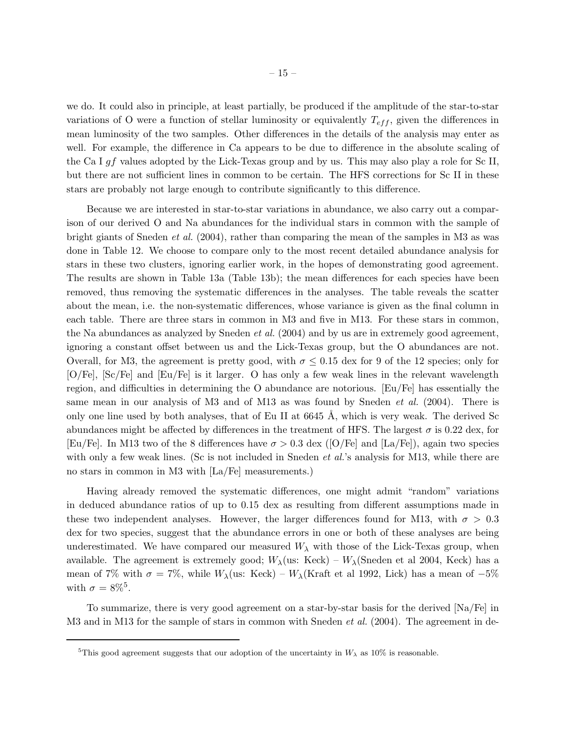we do. It could also in principle, at least partially, be produced if the amplitude of the star-to-star variations of O were a function of stellar luminosity or equivalently  $T_{eff}$ , given the differences in mean luminosity of the two samples. Other differences in the details of the analysis may enter as well. For example, the difference in Ca appears to be due to difference in the absolute scaling of the Ca I gf values adopted by the Lick-Texas group and by us. This may also play a role for Sc II, but there are not sufficient lines in common to be certain. The HFS corrections for Sc II in these stars are probably not large enough to contribute significantly to this difference.

Because we are interested in star-to-star variations in abundance, we also carry out a comparison of our derived O and Na abundances for the individual stars in common with the sample of bright giants of Sneden *et al.* (2004), rather than comparing the mean of the samples in M3 as was done in Table 12. We choose to compare only to the most recent detailed abundance analysis for stars in these two clusters, ignoring earlier work, in the hopes of demonstrating good agreement. The results are shown in Table 13a (Table 13b); the mean differences for each species have been removed, thus removing the systematic differences in the analyses. The table reveals the scatter about the mean, i.e. the non-systematic differences, whose variance is given as the final column in each table. There are three stars in common in M3 and five in M13. For these stars in common, the Na abundances as analyzed by Sneden *et al.* (2004) and by us are in extremely good agreement, ignoring a constant offset between us and the Lick-Texas group, but the O abundances are not. Overall, for M3, the agreement is pretty good, with  $\sigma \leq 0.15$  dex for 9 of the 12 species; only for [O/Fe], [Sc/Fe] and [Eu/Fe] is it larger. O has only a few weak lines in the relevant wavelength region, and difficulties in determining the O abundance are notorious. [Eu/Fe] has essentially the same mean in our analysis of M3 and of M13 as was found by Sneden *et al.* (2004). There is only one line used by both analyses, that of Eu II at  $6645 \text{ Å}$ , which is very weak. The derived Sc abundances might be affected by differences in the treatment of HFS. The largest  $\sigma$  is 0.22 dex, for [Eu/Fe]. In M13 two of the 8 differences have  $\sigma > 0.3$  dex ([O/Fe] and [La/Fe]), again two species with only a few weak lines. (Sc is not included in Sneden *et al.*'s analysis for M13, while there are no stars in common in M3 with [La/Fe] measurements.)

Having already removed the systematic differences, one might admit "random" variations in deduced abundance ratios of up to 0.15 dex as resulting from different assumptions made in these two independent analyses. However, the larger differences found for M13, with  $\sigma > 0.3$ dex for two species, suggest that the abundance errors in one or both of these analyses are being underestimated. We have compared our measured  $W_{\lambda}$  with those of the Lick-Texas group, when available. The agreement is extremely good;  $W_{\lambda}$ (us: Keck) –  $W_{\lambda}$ (Sneden et al 2004, Keck) has a mean of 7% with  $\sigma = 7\%$ , while  $W_\lambda$ (us: Keck) –  $W_\lambda$ (Kraft et al 1992, Lick) has a mean of –5% with  $\sigma = 8\%^5$ .

To summarize, there is very good agreement on a star-by-star basis for the derived [Na/Fe] in M3 and in M13 for the sample of stars in common with Sneden *et al.* (2004). The agreement in de-

<sup>&</sup>lt;sup>5</sup>This good agreement suggests that our adoption of the uncertainty in  $W_\lambda$  as 10% is reasonable.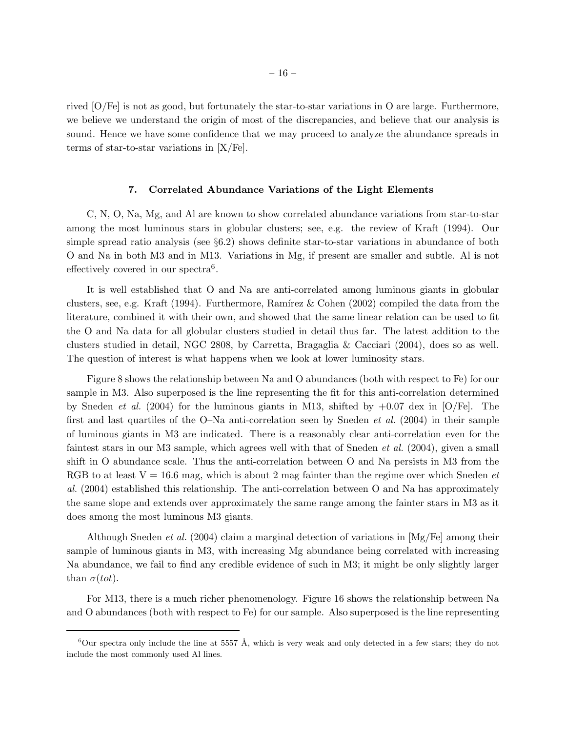rived [O/Fe] is not as good, but fortunately the star-to-star variations in O are large. Furthermore, we believe we understand the origin of most of the discrepancies, and believe that our analysis is sound. Hence we have some confidence that we may proceed to analyze the abundance spreads in terms of star-to-star variations in [X/Fe].

#### 7. Correlated Abundance Variations of the Light Elements

C, N, O, Na, Mg, and Al are known to show correlated abundance variations from star-to-star among the most luminous stars in globular clusters; see, e.g. the review of Kraft (1994). Our simple spread ratio analysis (see §6.2) shows definite star-to-star variations in abundance of both O and Na in both M3 and in M13. Variations in Mg, if present are smaller and subtle. Al is not effectively covered in our spectra<sup>6</sup>.

It is well established that O and Na are anti-correlated among luminous giants in globular clusters, see, e.g. Kraft (1994). Furthermore, Ramírez & Cohen (2002) compiled the data from the literature, combined it with their own, and showed that the same linear relation can be used to fit the O and Na data for all globular clusters studied in detail thus far. The latest addition to the clusters studied in detail, NGC 2808, by Carretta, Bragaglia & Cacciari (2004), does so as well. The question of interest is what happens when we look at lower luminosity stars.

Figure 8 shows the relationship between Na and O abundances (both with respect to Fe) for our sample in M3. Also superposed is the line representing the fit for this anti-correlation determined by Sneden *et al.* (2004) for the luminous giants in M13, shifted by +0.07 dex in [O/Fe]. The first and last quartiles of the O–Na anti-correlation seen by Sneden *et al.* (2004) in their sample of luminous giants in M3 are indicated. There is a reasonably clear anti-correlation even for the faintest stars in our M3 sample, which agrees well with that of Sneden *et al.* (2004), given a small shift in O abundance scale. Thus the anti-correlation between O and Na persists in M3 from the RGB to at least V = 16.6 mag, which is about 2 mag fainter than the regime over which Sneden *et al.* (2004) established this relationship. The anti-correlation between O and Na has approximately the same slope and extends over approximately the same range among the fainter stars in M3 as it does among the most luminous M3 giants.

Although Sneden *et al.* (2004) claim a marginal detection of variations in [Mg/Fe] among their sample of luminous giants in M3, with increasing Mg abundance being correlated with increasing Na abundance, we fail to find any credible evidence of such in M3; it might be only slightly larger than  $\sigma(tot)$ .

For M13, there is a much richer phenomenology. Figure 16 shows the relationship between Na and O abundances (both with respect to Fe) for our sample. Also superposed is the line representing

<sup>&</sup>lt;sup>6</sup>Our spectra only include the line at 5557 Å, which is very weak and only detected in a few stars; they do not include the most commonly used Al lines.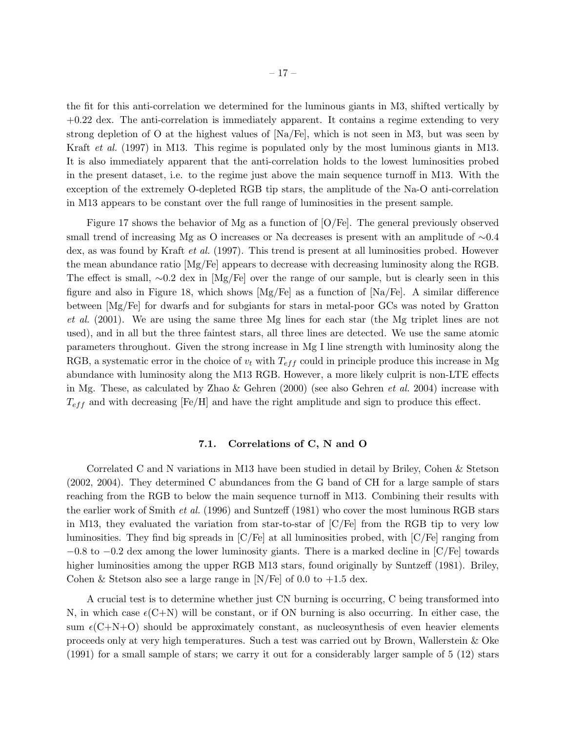the fit for this anti-correlation we determined for the luminous giants in M3, shifted vertically by +0.22 dex. The anti-correlation is immediately apparent. It contains a regime extending to very strong depletion of O at the highest values of  $[Na/Fe]$ , which is not seen in M3, but was seen by Kraft *et al.* (1997) in M13. This regime is populated only by the most luminous giants in M13. It is also immediately apparent that the anti-correlation holds to the lowest luminosities probed in the present dataset, i.e. to the regime just above the main sequence turnoff in M13. With the exception of the extremely O-depleted RGB tip stars, the amplitude of the Na-O anti-correlation in M13 appears to be constant over the full range of luminosities in the present sample.

Figure 17 shows the behavior of Mg as a function of [O/Fe]. The general previously observed small trend of increasing Mg as O increases or Na decreases is present with an amplitude of ∼0.4 dex, as was found by Kraft *et al.* (1997). This trend is present at all luminosities probed. However the mean abundance ratio [Mg/Fe] appears to decrease with decreasing luminosity along the RGB. The effect is small, ∼0.2 dex in [Mg/Fe] over the range of our sample, but is clearly seen in this figure and also in Figure 18, which shows  $[Mg/Fe]$  as a function of  $[Na/Fe]$ . A similar difference between [Mg/Fe] for dwarfs and for subgiants for stars in metal-poor GCs was noted by Gratton *et al.* (2001). We are using the same three Mg lines for each star (the Mg triplet lines are not used), and in all but the three faintest stars, all three lines are detected. We use the same atomic parameters throughout. Given the strong increase in Mg I line strength with luminosity along the RGB, a systematic error in the choice of  $v_t$  with  $T_{eff}$  could in principle produce this increase in Mg abundance with luminosity along the M13 RGB. However, a more likely culprit is non-LTE effects in Mg. These, as calculated by Zhao & Gehren (2000) (see also Gehren *et al.* 2004) increase with  $T_{eff}$  and with decreasing [Fe/H] and have the right amplitude and sign to produce this effect.

## 7.1. Correlations of C, N and O

Correlated C and N variations in M13 have been studied in detail by Briley, Cohen & Stetson (2002, 2004). They determined C abundances from the G band of CH for a large sample of stars reaching from the RGB to below the main sequence turnoff in M13. Combining their results with the earlier work of Smith *et al.* (1996) and Suntzeff (1981) who cover the most luminous RGB stars in M13, they evaluated the variation from star-to-star of  $\overline{C}/\overline{F}e$  from the RGB tip to very low luminosities. They find big spreads in [C/Fe] at all luminosities probed, with [C/Fe] ranging from −0.8 to −0.2 dex among the lower luminosity giants. There is a marked decline in [C/Fe] towards higher luminosities among the upper RGB M13 stars, found originally by Suntzeff (1981). Briley, Cohen & Stetson also see a large range in  $[N/Fe]$  of 0.0 to  $+1.5$  dex.

A crucial test is to determine whether just CN burning is occurring, C being transformed into N, in which case  $\epsilon$ (C+N) will be constant, or if ON burning is also occurring. In either case, the sum  $\epsilon$ (C+N+O) should be approximately constant, as nucleosynthesis of even heavier elements proceeds only at very high temperatures. Such a test was carried out by Brown, Wallerstein & Oke (1991) for a small sample of stars; we carry it out for a considerably larger sample of 5 (12) stars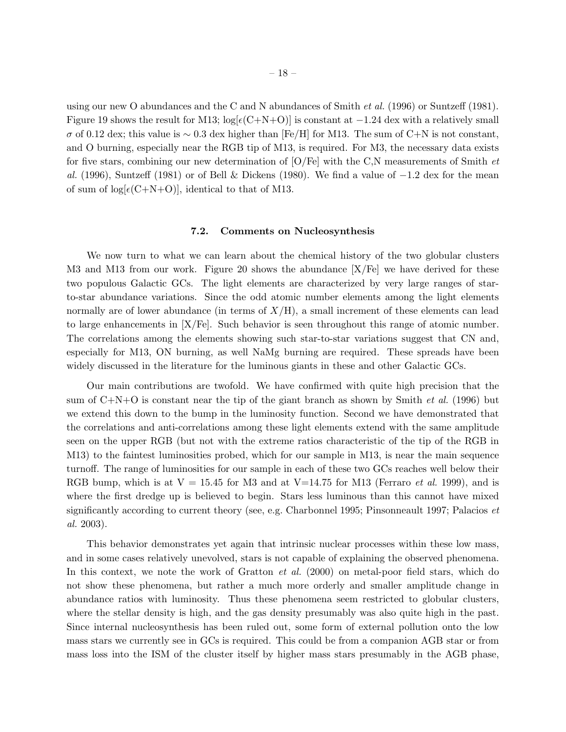using our new O abundances and the C and N abundances of Smith *et al.* (1996) or Suntzeff (1981). Figure 19 shows the result for M13;  $\log[\epsilon(C+N+O)]$  is constant at  $-1.24$  dex with a relatively small  $\sigma$  of 0.12 dex; this value is ~ 0.3 dex higher than [Fe/H] for M13. The sum of C+N is not constant, and O burning, especially near the RGB tip of M13, is required. For M3, the necessary data exists for five stars, combining our new determination of [O/Fe] with the C,N measurements of Smith *et al.* (1996), Suntzeff (1981) or of Bell & Dickens (1980). We find a value of −1.2 dex for the mean of sum of  $log[\epsilon(C+N+O)]$ , identical to that of M13.

#### 7.2. Comments on Nucleosynthesis

We now turn to what we can learn about the chemical history of the two globular clusters M3 and M13 from our work. Figure 20 shows the abundance  $[X/Fe]$  we have derived for these two populous Galactic GCs. The light elements are characterized by very large ranges of starto-star abundance variations. Since the odd atomic number elements among the light elements normally are of lower abundance (in terms of  $X/H$ ), a small increment of these elements can lead to large enhancements in [X/Fe]. Such behavior is seen throughout this range of atomic number. The correlations among the elements showing such star-to-star variations suggest that CN and, especially for M13, ON burning, as well NaMg burning are required. These spreads have been widely discussed in the literature for the luminous giants in these and other Galactic GCs.

Our main contributions are twofold. We have confirmed with quite high precision that the sum of C+N+O is constant near the tip of the giant branch as shown by Smith *et al.* (1996) but we extend this down to the bump in the luminosity function. Second we have demonstrated that the correlations and anti-correlations among these light elements extend with the same amplitude seen on the upper RGB (but not with the extreme ratios characteristic of the tip of the RGB in M13) to the faintest luminosities probed, which for our sample in M13, is near the main sequence turnoff. The range of luminosities for our sample in each of these two GCs reaches well below their RGB bump, which is at  $V = 15.45$  for M3 and at  $V=14.75$  for M13 (Ferraro *et al.* 1999), and is where the first dredge up is believed to begin. Stars less luminous than this cannot have mixed significantly according to current theory (see, e.g. Charbonnel 1995; Pinsonneault 1997; Palacios *et al.* 2003).

This behavior demonstrates yet again that intrinsic nuclear processes within these low mass, and in some cases relatively unevolved, stars is not capable of explaining the observed phenomena. In this context, we note the work of Gratton *et al.* (2000) on metal-poor field stars, which do not show these phenomena, but rather a much more orderly and smaller amplitude change in abundance ratios with luminosity. Thus these phenomena seem restricted to globular clusters, where the stellar density is high, and the gas density presumably was also quite high in the past. Since internal nucleosynthesis has been ruled out, some form of external pollution onto the low mass stars we currently see in GCs is required. This could be from a companion AGB star or from mass loss into the ISM of the cluster itself by higher mass stars presumably in the AGB phase,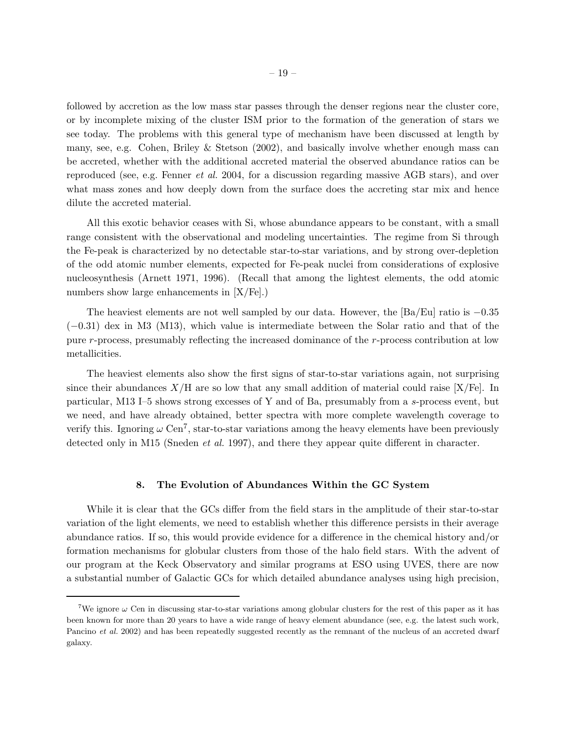followed by accretion as the low mass star passes through the denser regions near the cluster core, or by incomplete mixing of the cluster ISM prior to the formation of the generation of stars we see today. The problems with this general type of mechanism have been discussed at length by many, see, e.g. Cohen, Briley & Stetson  $(2002)$ , and basically involve whether enough mass can be accreted, whether with the additional accreted material the observed abundance ratios can be reproduced (see, e.g. Fenner *et al.* 2004, for a discussion regarding massive AGB stars), and over what mass zones and how deeply down from the surface does the accreting star mix and hence dilute the accreted material.

All this exotic behavior ceases with Si, whose abundance appears to be constant, with a small range consistent with the observational and modeling uncertainties. The regime from Si through the Fe-peak is characterized by no detectable star-to-star variations, and by strong over-depletion of the odd atomic number elements, expected for Fe-peak nuclei from considerations of explosive nucleosynthesis (Arnett 1971, 1996). (Recall that among the lightest elements, the odd atomic numbers show large enhancements in [X/Fe].)

The heaviest elements are not well sampled by our data. However, the  $[Ba/Eu]$  ratio is  $-0.35$ (−0.31) dex in M3 (M13), which value is intermediate between the Solar ratio and that of the pure r-process, presumably reflecting the increased dominance of the r-process contribution at low metallicities.

The heaviest elements also show the first signs of star-to-star variations again, not surprising since their abundances  $X/H$  are so low that any small addition of material could raise  $[X/Fe]$ . In particular, M13 I–5 shows strong excesses of Y and of Ba, presumably from a s-process event, but we need, and have already obtained, better spectra with more complete wavelength coverage to verify this. Ignoring  $\omega \text{ Cen}^7$ , star-to-star variations among the heavy elements have been previously detected only in M15 (Sneden *et al.* 1997), and there they appear quite different in character.

#### 8. The Evolution of Abundances Within the GC System

While it is clear that the GCs differ from the field stars in the amplitude of their star-to-star variation of the light elements, we need to establish whether this difference persists in their average abundance ratios. If so, this would provide evidence for a difference in the chemical history and/or formation mechanisms for globular clusters from those of the halo field stars. With the advent of our program at the Keck Observatory and similar programs at ESO using UVES, there are now a substantial number of Galactic GCs for which detailed abundance analyses using high precision,

<sup>&</sup>lt;sup>7</sup>We ignore  $\omega$  Cen in discussing star-to-star variations among globular clusters for the rest of this paper as it has been known for more than 20 years to have a wide range of heavy element abundance (see, e.g. the latest such work, Pancino *et al.* 2002) and has been repeatedly suggested recently as the remnant of the nucleus of an accreted dwarf galaxy.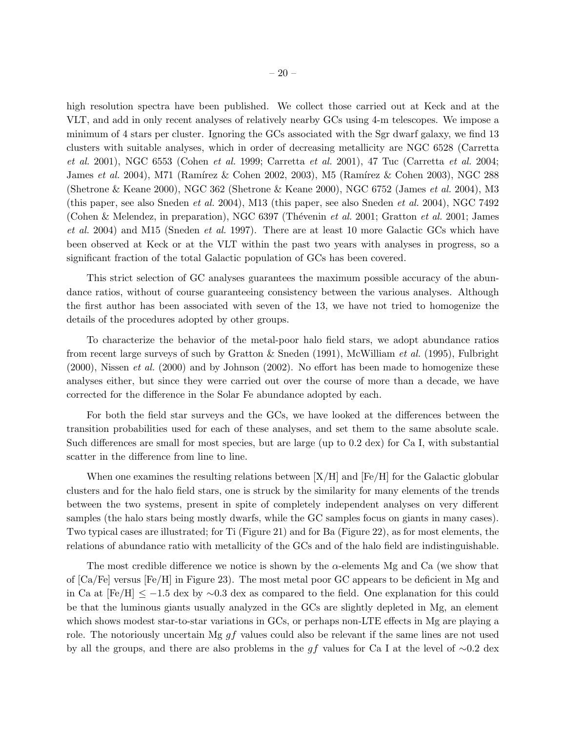high resolution spectra have been published. We collect those carried out at Keck and at the VLT, and add in only recent analyses of relatively nearby GCs using 4-m telescopes. We impose a minimum of 4 stars per cluster. Ignoring the GCs associated with the Sgr dwarf galaxy, we find 13 clusters with suitable analyses, which in order of decreasing metallicity are NGC 6528 (Carretta *et al.* 2001), NGC 6553 (Cohen *et al.* 1999; Carretta *et al.* 2001), 47 Tuc (Carretta *et al.* 2004; James *et al.* 2004), M71 (Ramírez & Cohen 2002, 2003), M5 (Ramírez & Cohen 2003), NGC 288 (Shetrone & Keane 2000), NGC 362 (Shetrone & Keane 2000), NGC 6752 (James *et al.* 2004), M3 (this paper, see also Sneden *et al.* 2004), M13 (this paper, see also Sneden *et al.* 2004), NGC 7492 (Cohen & Melendez, in preparation), NGC 6397 (Thévenin *et al.* 2001; Gratton *et al.* 2001; James *et al.* 2004) and M15 (Sneden *et al.* 1997). There are at least 10 more Galactic GCs which have been observed at Keck or at the VLT within the past two years with analyses in progress, so a significant fraction of the total Galactic population of GCs has been covered.

This strict selection of GC analyses guarantees the maximum possible accuracy of the abundance ratios, without of course guaranteeing consistency between the various analyses. Although the first author has been associated with seven of the 13, we have not tried to homogenize the details of the procedures adopted by other groups.

To characterize the behavior of the metal-poor halo field stars, we adopt abundance ratios from recent large surveys of such by Gratton & Sneden (1991), McWilliam *et al.* (1995), Fulbright (2000), Nissen *et al.* (2000) and by Johnson (2002). No effort has been made to homogenize these analyses either, but since they were carried out over the course of more than a decade, we have corrected for the difference in the Solar Fe abundance adopted by each.

For both the field star surveys and the GCs, we have looked at the differences between the transition probabilities used for each of these analyses, and set them to the same absolute scale. Such differences are small for most species, but are large (up to 0.2 dex) for Ca I, with substantial scatter in the difference from line to line.

When one examines the resulting relations between  $[X/H]$  and  $[Fe/H]$  for the Galactic globular clusters and for the halo field stars, one is struck by the similarity for many elements of the trends between the two systems, present in spite of completely independent analyses on very different samples (the halo stars being mostly dwarfs, while the GC samples focus on giants in many cases). Two typical cases are illustrated; for Ti (Figure 21) and for Ba (Figure 22), as for most elements, the relations of abundance ratio with metallicity of the GCs and of the halo field are indistinguishable.

The most credible difference we notice is shown by the  $\alpha$ -elements Mg and Ca (we show that of [Ca/Fe] versus [Fe/H] in Figure 23). The most metal poor GC appears to be deficient in Mg and in Ca at  $[Fe/H] \le -1.5$  dex by ~0.3 dex as compared to the field. One explanation for this could be that the luminous giants usually analyzed in the GCs are slightly depleted in Mg, an element which shows modest star-to-star variations in GCs, or perhaps non-LTE effects in Mg are playing a role. The notoriously uncertain Mg  $gf$  values could also be relevant if the same lines are not used by all the groups, and there are also problems in the gf values for Ca I at the level of ∼0.2 dex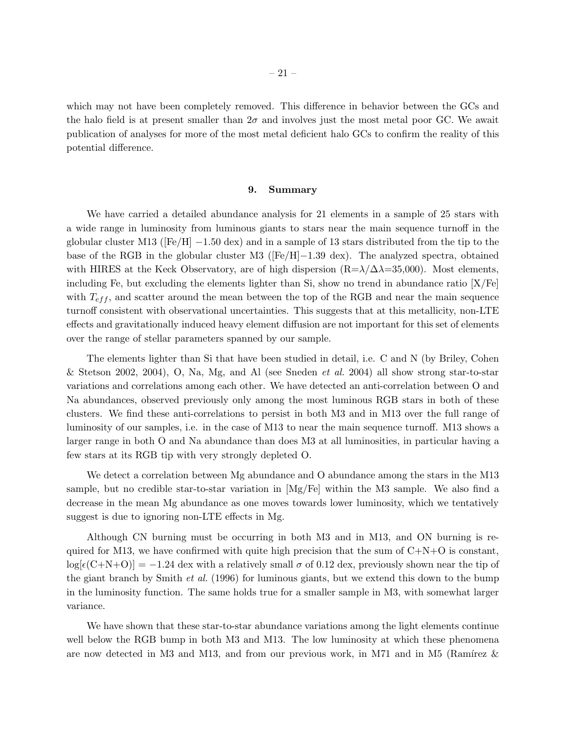which may not have been completely removed. This difference in behavior between the GCs and the halo field is at present smaller than  $2\sigma$  and involves just the most metal poor GC. We await publication of analyses for more of the most metal deficient halo GCs to confirm the reality of this potential difference.

#### 9. Summary

We have carried a detailed abundance analysis for 21 elements in a sample of 25 stars with a wide range in luminosity from luminous giants to stars near the main sequence turnoff in the globular cluster M13 ( $[Fe/H]$  –1.50 dex) and in a sample of 13 stars distributed from the tip to the base of the RGB in the globular cluster M3 ([Fe/H]−1.39 dex). The analyzed spectra, obtained with HIRES at the Keck Observatory, are of high dispersion  $(R=\lambda/\Delta=35,000)$ . Most elements, including Fe, but excluding the elements lighter than Si, show no trend in abundance ratio  $[X/Fe]$ with  $T_{eff}$ , and scatter around the mean between the top of the RGB and near the main sequence turnoff consistent with observational uncertainties. This suggests that at this metallicity, non-LTE effects and gravitationally induced heavy element diffusion are not important for this set of elements over the range of stellar parameters spanned by our sample.

The elements lighter than Si that have been studied in detail, i.e. C and N (by Briley, Cohen & Stetson 2002, 2004), O, Na, Mg, and Al (see Sneden *et al.* 2004) all show strong star-to-star variations and correlations among each other. We have detected an anti-correlation between O and Na abundances, observed previously only among the most luminous RGB stars in both of these clusters. We find these anti-correlations to persist in both M3 and in M13 over the full range of luminosity of our samples, i.e. in the case of M13 to near the main sequence turnoff. M13 shows a larger range in both O and Na abundance than does M3 at all luminosities, in particular having a few stars at its RGB tip with very strongly depleted O.

We detect a correlation between Mg abundance and O abundance among the stars in the M13 sample, but no credible star-to-star variation in [Mg/Fe] within the M3 sample. We also find a decrease in the mean Mg abundance as one moves towards lower luminosity, which we tentatively suggest is due to ignoring non-LTE effects in Mg.

Although CN burning must be occurring in both M3 and in M13, and ON burning is required for M13, we have confirmed with quite high precision that the sum of  $C+N+O$  is constant,  $\log[\epsilon(C+N+O)] = -1.24$  dex with a relatively small  $\sigma$  of 0.12 dex, previously shown near the tip of the giant branch by Smith *et al.* (1996) for luminous giants, but we extend this down to the bump in the luminosity function. The same holds true for a smaller sample in M3, with somewhat larger variance.

We have shown that these star-to-star abundance variations among the light elements continue well below the RGB bump in both M3 and M13. The low luminosity at which these phenomena are now detected in M3 and M13, and from our previous work, in M71 and in M5 (Ramírez  $\&$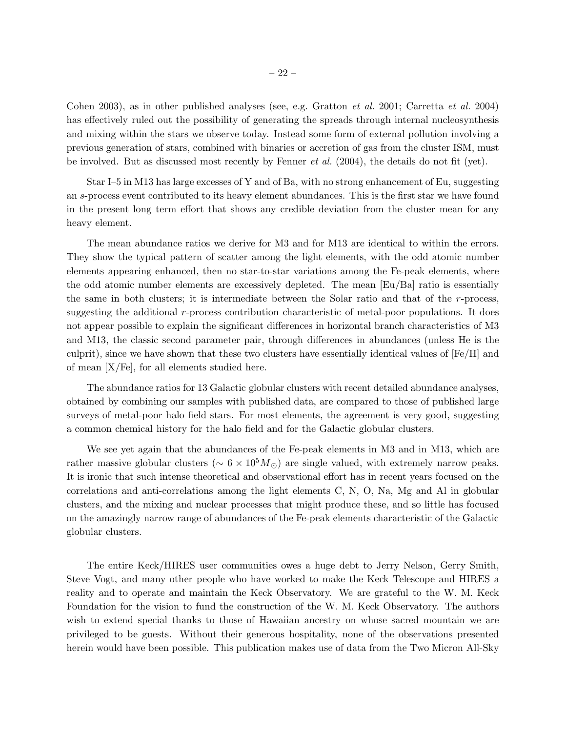Cohen 2003), as in other published analyses (see, e.g. Gratton *et al.* 2001; Carretta *et al.* 2004) has effectively ruled out the possibility of generating the spreads through internal nucleosynthesis and mixing within the stars we observe today. Instead some form of external pollution involving a previous generation of stars, combined with binaries or accretion of gas from the cluster ISM, must be involved. But as discussed most recently by Fenner *et al.* (2004), the details do not fit (yet).

Star I–5 in M13 has large excesses of Y and of Ba, with no strong enhancement of Eu, suggesting an s-process event contributed to its heavy element abundances. This is the first star we have found in the present long term effort that shows any credible deviation from the cluster mean for any heavy element.

The mean abundance ratios we derive for M3 and for M13 are identical to within the errors. They show the typical pattern of scatter among the light elements, with the odd atomic number elements appearing enhanced, then no star-to-star variations among the Fe-peak elements, where the odd atomic number elements are excessively depleted. The mean [Eu/Ba] ratio is essentially the same in both clusters; it is intermediate between the Solar ratio and that of the  $r$ -process, suggesting the additional r-process contribution characteristic of metal-poor populations. It does not appear possible to explain the significant differences in horizontal branch characteristics of M3 and M13, the classic second parameter pair, through differences in abundances (unless He is the culprit), since we have shown that these two clusters have essentially identical values of  $[Fe/H]$  and of mean  $|X/Fe|$ , for all elements studied here.

The abundance ratios for 13 Galactic globular clusters with recent detailed abundance analyses, obtained by combining our samples with published data, are compared to those of published large surveys of metal-poor halo field stars. For most elements, the agreement is very good, suggesting a common chemical history for the halo field and for the Galactic globular clusters.

We see yet again that the abundances of the Fe-peak elements in M3 and in M13, which are rather massive globular clusters ( $\sim 6 \times 10^5 M_{\odot}$ ) are single valued, with extremely narrow peaks. It is ironic that such intense theoretical and observational effort has in recent years focused on the correlations and anti-correlations among the light elements C, N, O, Na, Mg and Al in globular clusters, and the mixing and nuclear processes that might produce these, and so little has focused on the amazingly narrow range of abundances of the Fe-peak elements characteristic of the Galactic globular clusters.

The entire Keck/HIRES user communities owes a huge debt to Jerry Nelson, Gerry Smith, Steve Vogt, and many other people who have worked to make the Keck Telescope and HIRES a reality and to operate and maintain the Keck Observatory. We are grateful to the W. M. Keck Foundation for the vision to fund the construction of the W. M. Keck Observatory. The authors wish to extend special thanks to those of Hawaiian ancestry on whose sacred mountain we are privileged to be guests. Without their generous hospitality, none of the observations presented herein would have been possible. This publication makes use of data from the Two Micron All-Sky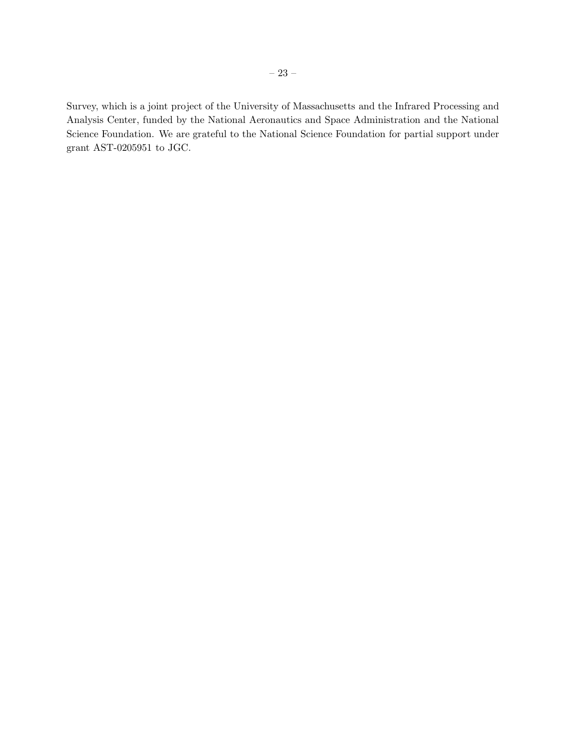Survey, which is a joint project of the University of Massachusetts and the Infrared Processing and Analysis Center, funded by the National Aeronautics and Space Administration and the National Science Foundation. We are grateful to the National Science Foundation for partial support under grant AST-0205951 to JGC.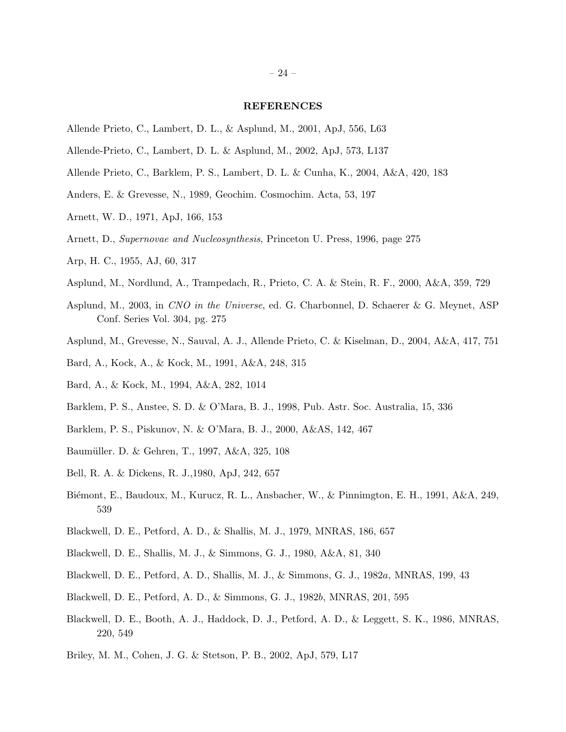# REFERENCES

- Allende Prieto, C., Lambert, D. L., & Asplund, M., 2001, ApJ, 556, L63
- Allende-Prieto, C., Lambert, D. L. & Asplund, M., 2002, ApJ, 573, L137
- Allende Prieto, C., Barklem, P. S., Lambert, D. L. & Cunha, K., 2004, A&A, 420, 183
- Anders, E. & Grevesse, N., 1989, Geochim. Cosmochim. Acta, 53, 197
- Arnett, W. D., 1971, ApJ, 166, 153
- Arnett, D., *Supernovae and Nucleosynthesis*, Princeton U. Press, 1996, page 275
- Arp, H. C., 1955, AJ, 60, 317
- Asplund, M., Nordlund, A., Trampedach, R., Prieto, C. A. & Stein, R. F., 2000, A&A, 359, 729
- Asplund, M., 2003, in *CNO in the Universe*, ed. G. Charbonnel, D. Schaerer & G. Meynet, ASP Conf. Series Vol. 304, pg. 275
- Asplund, M., Grevesse, N., Sauval, A. J., Allende Prieto, C. & Kiselman, D., 2004, A&A, 417, 751
- Bard, A., Kock, A., & Kock, M., 1991, A&A, 248, 315
- Bard, A., & Kock, M., 1994, A&A, 282, 1014
- Barklem, P. S., Anstee, S. D. & O'Mara, B. J., 1998, Pub. Astr. Soc. Australia, 15, 336
- Barklem, P. S., Piskunov, N. & O'Mara, B. J., 2000, A&AS, 142, 467
- Baumüller. D. & Gehren, T., 1997, A&A, 325, 108
- Bell, R. A. & Dickens, R. J.,1980, ApJ, 242, 657
- Biémont, E., Baudoux, M., Kurucz, R. L., Ansbacher, W., & Pinnimgton, E. H., 1991, A&A, 249, 539
- Blackwell, D. E., Petford, A. D., & Shallis, M. J., 1979, MNRAS, 186, 657
- Blackwell, D. E., Shallis, M. J., & Simmons, G. J., 1980, A&A, 81, 340
- Blackwell, D. E., Petford, A. D., Shallis, M. J., & Simmons, G. J., 1982a, MNRAS, 199, 43
- Blackwell, D. E., Petford, A. D., & Simmons, G. J., 1982b, MNRAS, 201, 595
- Blackwell, D. E., Booth, A. J., Haddock, D. J., Petford, A. D., & Leggett, S. K., 1986, MNRAS, 220, 549
- Briley, M. M., Cohen, J. G. & Stetson, P. B., 2002, ApJ, 579, L17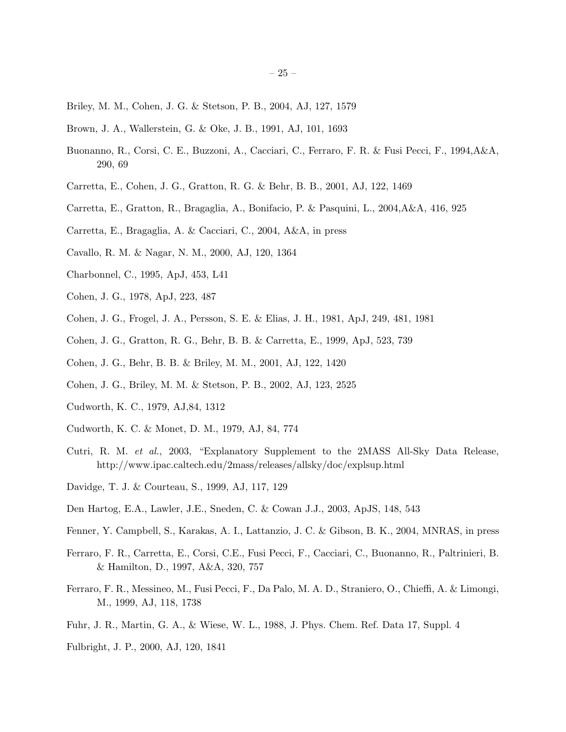- Briley, M. M., Cohen, J. G. & Stetson, P. B., 2004, AJ, 127, 1579
- Brown, J. A., Wallerstein, G. & Oke, J. B., 1991, AJ, 101, 1693
- Buonanno, R., Corsi, C. E., Buzzoni, A., Cacciari, C., Ferraro, F. R. & Fusi Pecci, F., 1994,A&A, 290, 69
- Carretta, E., Cohen, J. G., Gratton, R. G. & Behr, B. B., 2001, AJ, 122, 1469
- Carretta, E., Gratton, R., Bragaglia, A., Bonifacio, P. & Pasquini, L., 2004,A&A, 416, 925
- Carretta, E., Bragaglia, A. & Cacciari, C., 2004, A&A, in press
- Cavallo, R. M. & Nagar, N. M., 2000, AJ, 120, 1364
- Charbonnel, C., 1995, ApJ, 453, L41
- Cohen, J. G., 1978, ApJ, 223, 487
- Cohen, J. G., Frogel, J. A., Persson, S. E. & Elias, J. H., 1981, ApJ, 249, 481, 1981
- Cohen, J. G., Gratton, R. G., Behr, B. B. & Carretta, E., 1999, ApJ, 523, 739
- Cohen, J. G., Behr, B. B. & Briley, M. M., 2001, AJ, 122, 1420
- Cohen, J. G., Briley, M. M. & Stetson, P. B., 2002, AJ, 123, 2525
- Cudworth, K. C., 1979, AJ,84, 1312
- Cudworth, K. C. & Monet, D. M., 1979, AJ, 84, 774
- Cutri, R. M. *et al.*, 2003, "Explanatory Supplement to the 2MASS All-Sky Data Release, http://www.ipac.caltech.edu/2mass/releases/allsky/doc/explsup.html
- Davidge, T. J. & Courteau, S., 1999, AJ, 117, 129
- Den Hartog, E.A., Lawler, J.E., Sneden, C. & Cowan J.J., 2003, ApJS, 148, 543
- Fenner, Y. Campbell, S., Karakas, A. I., Lattanzio, J. C. & Gibson, B. K., 2004, MNRAS, in press
- Ferraro, F. R., Carretta, E., Corsi, C.E., Fusi Pecci, F., Cacciari, C., Buonanno, R., Paltrinieri, B. & Hamilton, D., 1997, A&A, 320, 757
- Ferraro, F. R., Messineo, M., Fusi Pecci, F., Da Palo, M. A. D., Straniero, O., Chieffi, A. & Limongi, M., 1999, AJ, 118, 1738
- Fuhr, J. R., Martin, G. A., & Wiese, W. L., 1988, J. Phys. Chem. Ref. Data 17, Suppl. 4
- Fulbright, J. P., 2000, AJ, 120, 1841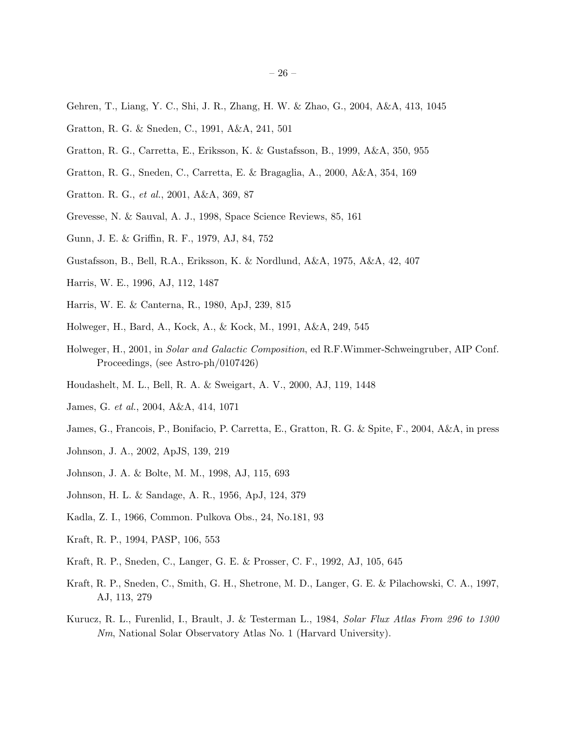- Gehren, T., Liang, Y. C., Shi, J. R., Zhang, H. W. & Zhao, G., 2004, A&A, 413, 1045
- Gratton, R. G. & Sneden, C., 1991, A&A, 241, 501
- Gratton, R. G., Carretta, E., Eriksson, K. & Gustafsson, B., 1999, A&A, 350, 955
- Gratton, R. G., Sneden, C., Carretta, E. & Bragaglia, A., 2000, A&A, 354, 169
- Gratton. R. G., *et al.*, 2001, A&A, 369, 87
- Grevesse, N. & Sauval, A. J., 1998, Space Science Reviews, 85, 161
- Gunn, J. E. & Griffin, R. F., 1979, AJ, 84, 752
- Gustafsson, B., Bell, R.A., Eriksson, K. & Nordlund, A&A, 1975, A&A, 42, 407
- Harris, W. E., 1996, AJ, 112, 1487
- Harris, W. E. & Canterna, R., 1980, ApJ, 239, 815
- Holweger, H., Bard, A., Kock, A., & Kock, M., 1991, A&A, 249, 545
- Holweger, H., 2001, in *Solar and Galactic Composition*, ed R.F.Wimmer-Schweingruber, AIP Conf. Proceedings, (see Astro-ph/0107426)
- Houdashelt, M. L., Bell, R. A. & Sweigart, A. V., 2000, AJ, 119, 1448
- James, G. *et al.*, 2004, A&A, 414, 1071
- James, G., Francois, P., Bonifacio, P. Carretta, E., Gratton, R. G. & Spite, F., 2004, A&A, in press
- Johnson, J. A., 2002, ApJS, 139, 219
- Johnson, J. A. & Bolte, M. M., 1998, AJ, 115, 693
- Johnson, H. L. & Sandage, A. R., 1956, ApJ, 124, 379
- Kadla, Z. I., 1966, Common. Pulkova Obs., 24, No.181, 93
- Kraft, R. P., 1994, PASP, 106, 553
- Kraft, R. P., Sneden, C., Langer, G. E. & Prosser, C. F., 1992, AJ, 105, 645
- Kraft, R. P., Sneden, C., Smith, G. H., Shetrone, M. D., Langer, G. E. & Pilachowski, C. A., 1997, AJ, 113, 279
- Kurucz, R. L., Furenlid, I., Brault, J. & Testerman L., 1984, *Solar Flux Atlas From 296 to 1300 Nm*, National Solar Observatory Atlas No. 1 (Harvard University).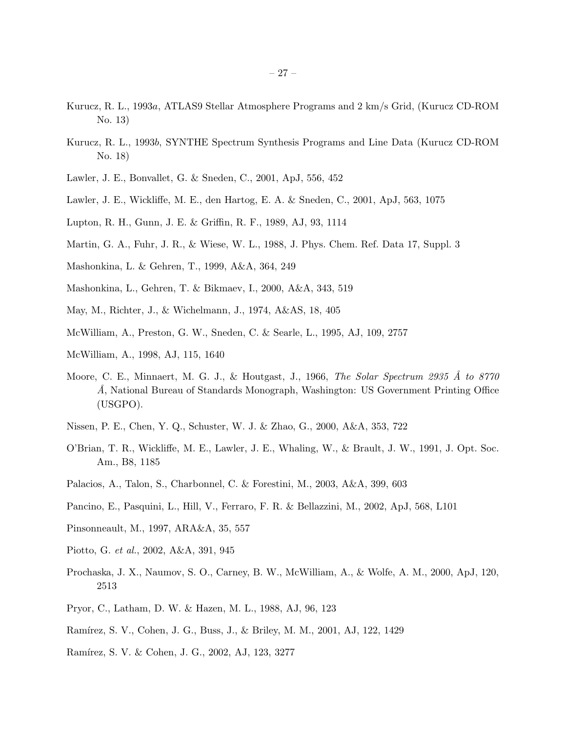- Kurucz, R. L., 1993a, ATLAS9 Stellar Atmosphere Programs and 2 km/s Grid, (Kurucz CD-ROM No. 13)
- Kurucz, R. L., 1993b, SYNTHE Spectrum Synthesis Programs and Line Data (Kurucz CD-ROM No. 18)
- Lawler, J. E., Bonvallet, G. & Sneden, C., 2001, ApJ, 556, 452
- Lawler, J. E., Wickliffe, M. E., den Hartog, E. A. & Sneden, C., 2001, ApJ, 563, 1075
- Lupton, R. H., Gunn, J. E. & Griffin, R. F., 1989, AJ, 93, 1114
- Martin, G. A., Fuhr, J. R., & Wiese, W. L., 1988, J. Phys. Chem. Ref. Data 17, Suppl. 3
- Mashonkina, L. & Gehren, T., 1999, A&A, 364, 249
- Mashonkina, L., Gehren, T. & Bikmaev, I., 2000, A&A, 343, 519
- May, M., Richter, J., & Wichelmann, J., 1974, A&AS, 18, 405
- McWilliam, A., Preston, G. W., Sneden, C. & Searle, L., 1995, AJ, 109, 2757
- McWilliam, A., 1998, AJ, 115, 1640
- Moore, C. E., Minnaert, M. G. J., & Houtgast, J., 1966, *The Solar Spectrum 2935 Å to 8770 ˚A*, National Bureau of Standards Monograph, Washington: US Government Printing Office (USGPO).
- Nissen, P. E., Chen, Y. Q., Schuster, W. J. & Zhao, G., 2000, A&A, 353, 722
- O'Brian, T. R., Wickliffe, M. E., Lawler, J. E., Whaling, W., & Brault, J. W., 1991, J. Opt. Soc. Am., B8, 1185
- Palacios, A., Talon, S., Charbonnel, C. & Forestini, M., 2003, A&A, 399, 603
- Pancino, E., Pasquini, L., Hill, V., Ferraro, F. R. & Bellazzini, M., 2002, ApJ, 568, L101
- Pinsonneault, M., 1997, ARA&A, 35, 557
- Piotto, G. *et al.*, 2002, A&A, 391, 945
- Prochaska, J. X., Naumov, S. O., Carney, B. W., McWilliam, A., & Wolfe, A. M., 2000, ApJ, 120, 2513
- Pryor, C., Latham, D. W. & Hazen, M. L., 1988, AJ, 96, 123
- Ramírez, S. V., Cohen, J. G., Buss, J., & Briley, M. M., 2001, AJ, 122, 1429
- Ramírez, S. V. & Cohen, J. G., 2002, AJ, 123, 3277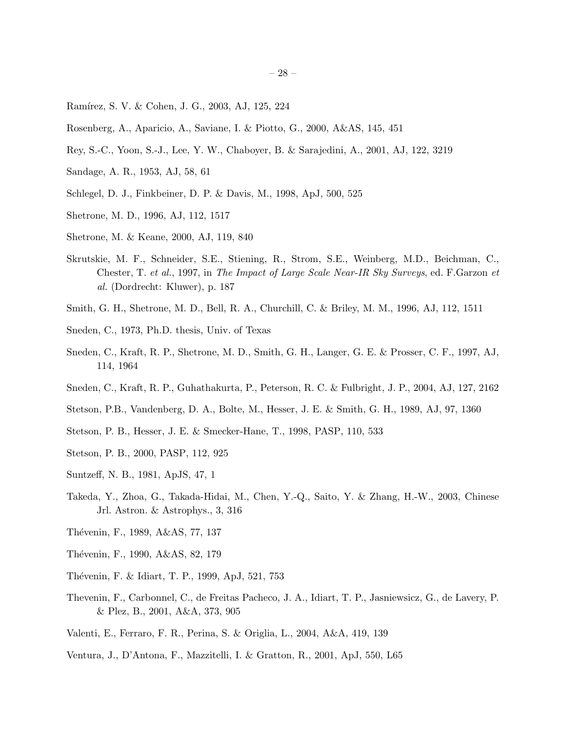- Ramírez, S. V. & Cohen, J. G., 2003, AJ, 125, 224
- Rosenberg, A., Aparicio, A., Saviane, I. & Piotto, G., 2000, A&AS, 145, 451
- Rey, S.-C., Yoon, S.-J., Lee, Y. W., Chaboyer, B. & Sarajedini, A., 2001, AJ, 122, 3219
- Sandage, A. R., 1953, AJ, 58, 61
- Schlegel, D. J., Finkbeiner, D. P. & Davis, M., 1998, ApJ, 500, 525
- Shetrone, M. D., 1996, AJ, 112, 1517
- Shetrone, M. & Keane, 2000, AJ, 119, 840
- Skrutskie, M. F., Schneider, S.E., Stiening, R., Strom, S.E., Weinberg, M.D., Beichman, C., Chester, T. *et al.*, 1997, in *The Impact of Large Scale Near-IR Sky Surveys*, ed. F.Garzon *et al.* (Dordrecht: Kluwer), p. 187
- Smith, G. H., Shetrone, M. D., Bell, R. A., Churchill, C. & Briley, M. M., 1996, AJ, 112, 1511
- Sneden, C., 1973, Ph.D. thesis, Univ. of Texas
- Sneden, C., Kraft, R. P., Shetrone, M. D., Smith, G. H., Langer, G. E. & Prosser, C. F., 1997, AJ, 114, 1964
- Sneden, C., Kraft, R. P., Guhathakurta, P., Peterson, R. C. & Fulbright, J. P., 2004, AJ, 127, 2162
- Stetson, P.B., Vandenberg, D. A., Bolte, M., Hesser, J. E. & Smith, G. H., 1989, AJ, 97, 1360
- Stetson, P. B., Hesser, J. E. & Smecker-Hane, T., 1998, PASP, 110, 533
- Stetson, P. B., 2000, PASP, 112, 925
- Suntzeff, N. B., 1981, ApJS, 47, 1
- Takeda, Y., Zhoa, G., Takada-Hidai, M., Chen, Y.-Q., Saito, Y. & Zhang, H.-W., 2003, Chinese Jrl. Astron. & Astrophys., 3, 316
- Thévenin, F., 1989, A&AS, 77, 137
- Thévenin, F., 1990, A&AS, 82, 179
- Thévenin, F. & Idiart, T. P., 1999, ApJ, 521, 753
- Thevenin, F., Carbonnel, C., de Freitas Pacheco, J. A., Idiart, T. P., Jasniewsicz, G., de Lavery, P. & Plez, B., 2001, A&A, 373, 905
- Valenti, E., Ferraro, F. R., Perina, S. & Origlia, L., 2004, A&A, 419, 139
- Ventura, J., D'Antona, F., Mazzitelli, I. & Gratton, R., 2001, ApJ, 550, L65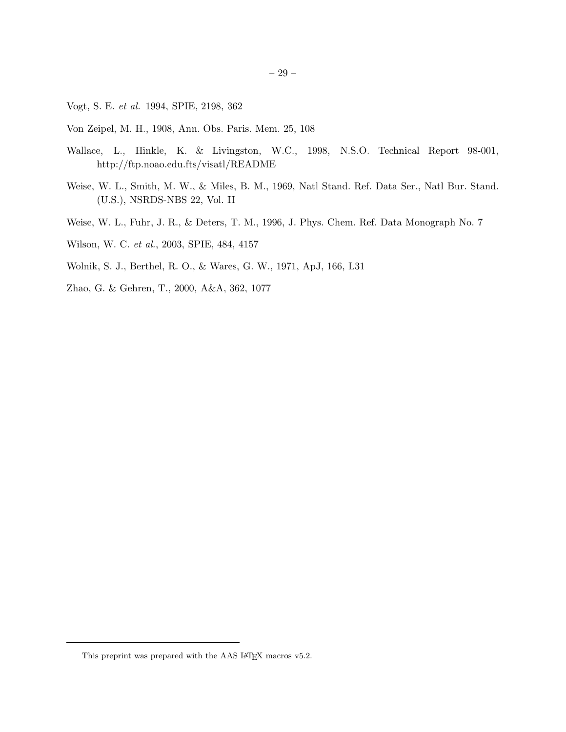Vogt, S. E. *et al.* 1994, SPIE, 2198, 362

- Von Zeipel, M. H., 1908, Ann. Obs. Paris. Mem. 25, 108
- Wallace, L., Hinkle, K. & Livingston, W.C., 1998, N.S.O. Technical Report 98-001, http://ftp.noao.edu.fts/visatl/README
- Weise, W. L., Smith, M. W., & Miles, B. M., 1969, Natl Stand. Ref. Data Ser., Natl Bur. Stand. (U.S.), NSRDS-NBS 22, Vol. II
- Weise, W. L., Fuhr, J. R., & Deters, T. M., 1996, J. Phys. Chem. Ref. Data Monograph No. 7
- Wilson, W. C. *et al.*, 2003, SPIE, 484, 4157
- Wolnik, S. J., Berthel, R. O., & Wares, G. W., 1971, ApJ, 166, L31
- Zhao, G. & Gehren, T., 2000, A&A, 362, 1077

This preprint was prepared with the AAS IATEX macros v5.2.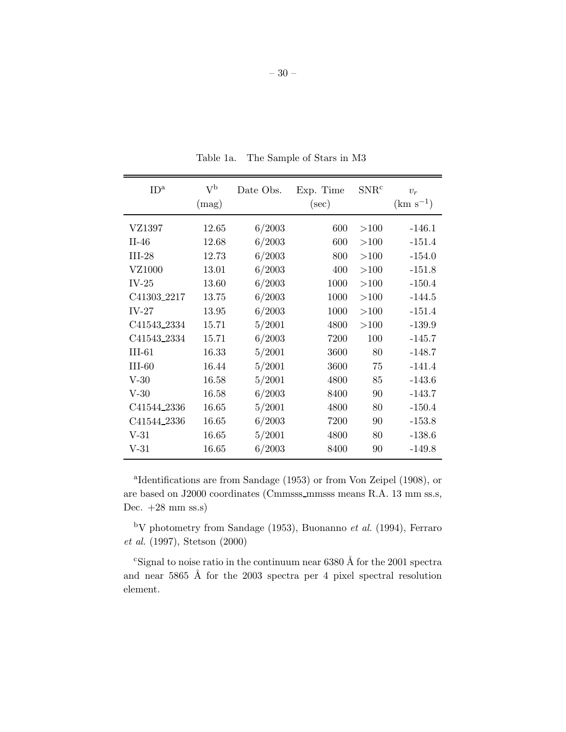| ID <sup>a</sup> | $\rm V^b$<br>(mag) | Date Obs. | Exp. Time<br>$(\sec)$ | SNR <sup>c</sup> | $v_r$<br>$(km s^{-1})$ |
|-----------------|--------------------|-----------|-----------------------|------------------|------------------------|
| VZ1397          | 12.65              | 6/2003    | 600                   | >100             | $-146.1$               |
| $II-46$         | 12.68              | 6/2003    | 600                   | >100             | $-151.4$               |
|                 |                    |           |                       |                  |                        |
| $III-28$        | 12.73              | 6/2003    | 800                   | >100             | $-154.0$               |
| VZ1000          | 13.01              | 6/2003    | 400                   | >100             | $-151.8$               |
| $IV-25$         | 13.60              | 6/2003    | 1000                  | >100             | $-150.4$               |
| C41303_2217     | 13.75              | 6/2003    | 1000                  | >100             | $-144.5$               |
| $IV-27$         | 13.95              | 6/2003    | 1000                  | >100             | $-151.4$               |
| C41543_2334     | 15.71              | 5/2001    | 4800                  | >100             | $-139.9$               |
| C41543_2334     | 15.71              | 6/2003    | 7200                  | 100              | $-145.7$               |
| $III-61$        | 16.33              | 5/2001    | 3600                  | 80               | $-148.7$               |
| $III-60$        | 16.44              | 5/2001    | 3600                  | 75               | $-141.4$               |
| $V-30$          | 16.58              | 5/2001    | 4800                  | 85               | $-143.6$               |
| $V-30$          | 16.58              | 6/2003    | 8400                  | 90               | $-143.7$               |
| C41544_2336     | 16.65              | 5/2001    | 4800                  | 80               | $-150.4$               |
| C41544_2336     | 16.65              | 6/2003    | 7200                  | 90               | $-153.8$               |
| $V-31$          | 16.65              | 5/2001    | 4800                  | 80               | $-138.6$               |
| $V-31$          | 16.65              | 6/2003    | 8400                  | 90               | $-149.8$               |

Table 1a. The Sample of Stars in M3

a Identifications are from Sandage (1953) or from Von Zeipel (1908), or are based on J2000 coordinates (Cmmsss mmsss means R.A. 13 mm ss.s, Dec.  $+28$  mm ss.s)

<sup>b</sup>V photometry from Sandage (1953), Buonanno *et al.* (1994), Ferraro *et al.* (1997), Stetson (2000)

<sup>c</sup>Signal to noise ratio in the continuum near  $6380 \text{ Å}$  for the 2001 spectra and near 5865 Å for the 2003 spectra per 4 pixel spectral resolution element.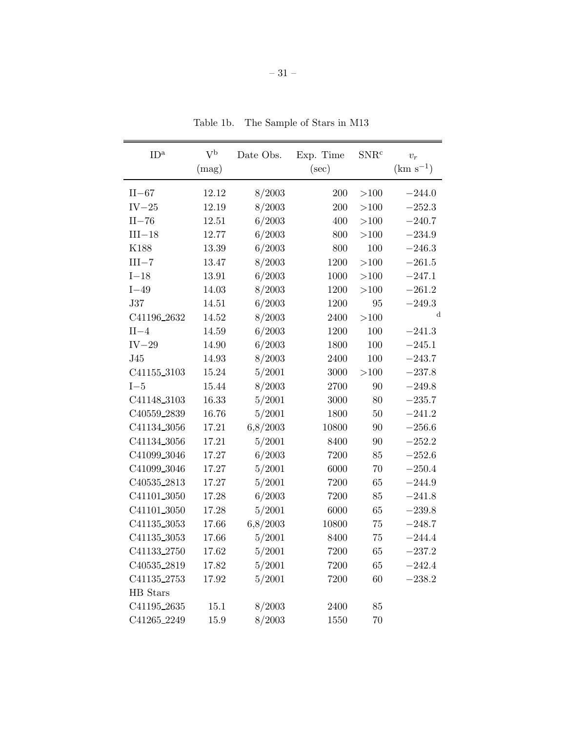| ID <sup>a</sup>         | $V^{\rm b}$ | Date Obs. | Exp. Time | $SNR^c$  | $v_r$         |
|-------------------------|-------------|-----------|-----------|----------|---------------|
|                         | (mag)       |           | $(\sec)$  |          | $(km s^{-1})$ |
| $II-67$                 | 12.12       | 8/2003    | 200       | >100     | $-244.0$      |
| $IV-25$                 | 12.19       | 8/2003    | 200       | >100     | $-252.3$      |
| $II-76$                 | 12.51       | 6/2003    | 400       | >100     | $-240.7$      |
| $III-18$                | 12.77       | 6/2003    | 800       | >100     | $-234.9$      |
| K188                    | 13.39       | 6/2003    | 800       | 100      | $-246.3$      |
| $III - 7$               | 13.47       | 8/2003    | 1200      | >100     | $-261.5$      |
| $I-18$                  | 13.91       | 6/2003    | 1000      | >100     | $-247.1$      |
| $I-49$                  | 14.03       | 8/2003    | 1200      | >100     | $-261.2$      |
| <b>J37</b>              | 14.51       | 6/2003    | 1200      | 95       | $-249.3$      |
| C41196_2632             | 14.52       | 8/2003    | 2400      | >100     | $\mathbf d$   |
| $II-4$                  | 14.59       | 6/2003    | 1200      | 100      | $-241.3$      |
| $IV-29$                 | 14.90       | 6/2003    | 1800      | 100      | $-245.1$      |
| J45                     | 14.93       | 8/2003    | 2400      | 100      | $-243.7$      |
| C41155_3103             | 15.24       | 5/2001    | 3000      | ${>}100$ | $-237.8$      |
| $I-5$                   | 15.44       | 8/2003    | 2700      | 90       | $-249.8$      |
| C41148 <sub>-3103</sub> | 16.33       | 5/2001    | 3000      | 80       | $-235.7$      |
| C40559_2839             | 16.76       | 5/2001    | 1800      | 50       | $-241.2$      |
| C41134_3056             | 17.21       | 6,8/2003  | 10800     | 90       | $-256.6$      |
| C41134_3056             | 17.21       | 5/2001    | 8400      | 90       | $-252.2$      |
| C41099 <sub>-3046</sub> | 17.27       | 6/2003    | 7200      | 85       | $-252.6$      |
| C41099_3046             | 17.27       | 5/2001    | 6000      | 70       | $-250.4$      |
| C40535_2813             | 17.27       | 5/2001    | 7200      | 65       | $-244.9$      |
| C41101_3050             | 17.28       | 6/2003    | 7200      | 85       | $-241.8$      |
| C41101 <sub>3050</sub>  | 17.28       | 5/2001    | 6000      | 65       | $-239.8$      |
| C41135_3053             | 17.66       | 6,8/2003  | 10800     | 75       | $-248.7$      |
| C41135 <sub>-3053</sub> | 17.66       | 5/2001    | 8400      | 75       | $-244.4$      |
| C41133_2750             | 17.62       | 5/2001    | 7200      | 65       | $-237.2$      |
| C40535_2819             | 17.82       | 5/2001    | 7200      | 65       | $-242.4$      |
| C41135_2753             | 17.92       | 5/2001    | 7200      | 60       | $-238.2$      |
| HB Stars                |             |           |           |          |               |
| C41195_2635             | 15.1        | 8/2003    | 2400      | 85       |               |
| C41265_2249             | 15.9        | 8/2003    | 1550      | 70       |               |

Table 1b. The Sample of Stars in M13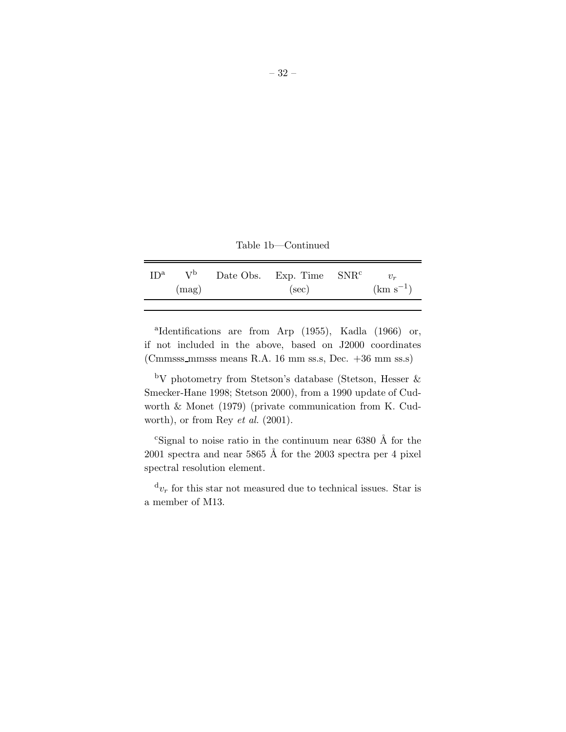Table 1b—Continued

| (mag)<br>$(\sec)$ | ID <sup>a</sup> |  | $V^b$ Date Obs. Exp. Time SNR <sup>c</sup> |               |
|-------------------|-----------------|--|--------------------------------------------|---------------|
|                   |                 |  |                                            | $(km s^{-1})$ |

a Identifications are from Arp (1955), Kadla (1966) or, if not included in the above, based on J2000 coordinates (Cmmsss mmsss means R.A. 16 mm ss.s, Dec. +36 mm ss.s)

<sup>b</sup>V photometry from Stetson's database (Stetson, Hesser & Smecker-Hane 1998; Stetson 2000), from a 1990 update of Cudworth & Monet (1979) (private communication from K. Cudworth), or from Rey *et al.* (2001).

<sup>c</sup>Signal to noise ratio in the continuum near  $6380 \text{ Å}$  for the 2001 spectra and near 5865 Å for the 2003 spectra per 4 pixel spectral resolution element.

 $d_{v_r}$  for this star not measured due to technical issues. Star is a member of M13.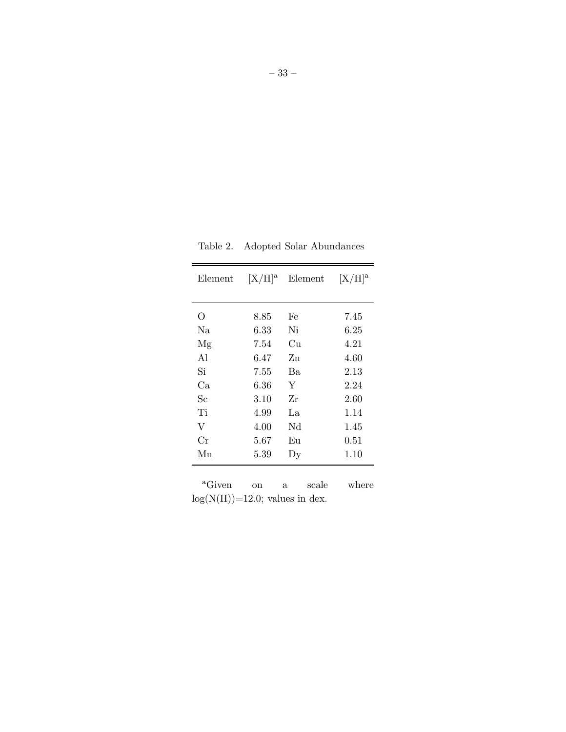| Table 2. |  |  | Adopted Solar Abundances |
|----------|--|--|--------------------------|
|----------|--|--|--------------------------|

 $\overline{\phantom{0}}$ 

– 33 –

| O<br>8.85<br>Fe<br>7.45<br>Ni<br>Na<br>6.33<br>6.25<br>4.21<br>7.54<br>Cu<br>Mg<br>A1<br>6.47<br>4.60<br>Zn<br>Si<br>7.55<br>Ba<br>2.13<br>Ca<br>6.36<br>Y<br>2.24<br>Sc<br>$3.10\,$<br>Zr<br>2.60<br>Ti<br>4.99<br>La.<br>1.14<br>V<br>Nd<br>4.00<br>1.45 | $[X/H]^a$ |
|------------------------------------------------------------------------------------------------------------------------------------------------------------------------------------------------------------------------------------------------------------|-----------|
|                                                                                                                                                                                                                                                            |           |
|                                                                                                                                                                                                                                                            |           |
|                                                                                                                                                                                                                                                            |           |
|                                                                                                                                                                                                                                                            |           |
|                                                                                                                                                                                                                                                            |           |
|                                                                                                                                                                                                                                                            |           |
|                                                                                                                                                                                                                                                            |           |
|                                                                                                                                                                                                                                                            |           |
|                                                                                                                                                                                                                                                            |           |
|                                                                                                                                                                                                                                                            |           |
| Cr<br>5.67<br>Eu<br>0.51                                                                                                                                                                                                                                   |           |
| Мn<br>5.39<br>1.10<br>Dy                                                                                                                                                                                                                                   |           |

<sup>a</sup>Given on a scale where  $log(N(H))=12.0$ ; values in dex.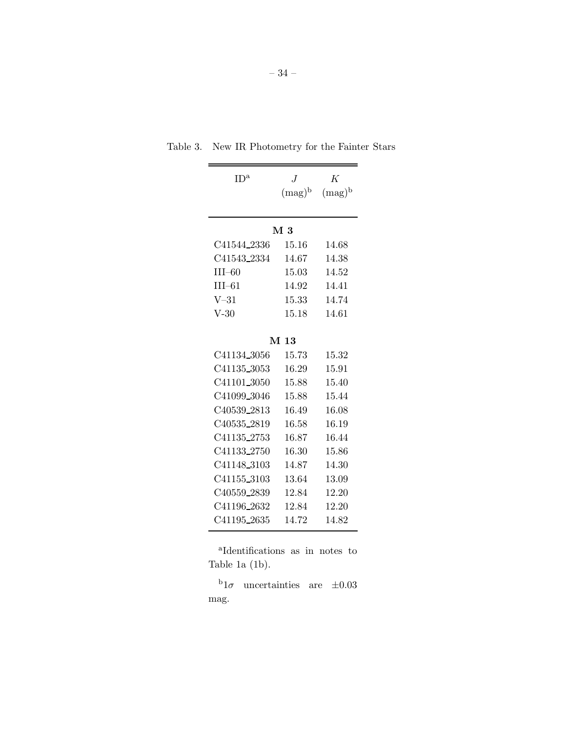| ID <sup>a</sup>         | $\boldsymbol{J}$ | K         |  |  |  |
|-------------------------|------------------|-----------|--|--|--|
|                         | $(mag)^b$        | $(mag)^b$ |  |  |  |
|                         |                  |           |  |  |  |
|                         | $M_{3}$          |           |  |  |  |
| C41544_2336             | 15.16            | 14.68     |  |  |  |
| C41543_2334             | 14.67            | 14.38     |  |  |  |
| $III-60$                | 15.03            | 14.52     |  |  |  |
| $III-61$                | 14.92            | 14.41     |  |  |  |
| $V-31$                  | 15.33            | 14.74     |  |  |  |
| $V-30$                  | 15.18            | 14.61     |  |  |  |
|                         |                  |           |  |  |  |
| M <sub>13</sub>         |                  |           |  |  |  |
| C41134_3056             | 15.73            | 15.32     |  |  |  |
| C41135_3053             | 16.29            | 15.91     |  |  |  |
| C41101_3050             | 15.88            | 15.40     |  |  |  |
| C41099_3046             | 15.88            | 15.44     |  |  |  |
| C40539 <sub>-2813</sub> | 16.49            | 16.08     |  |  |  |
| C40535 <sub>-2819</sub> | 16.58            | 16.19     |  |  |  |
| C41135_2753             | 16.87            | 16.44     |  |  |  |
| C41133_2750             | 16.30            | 15.86     |  |  |  |
| C41148_3103             | 14.87            | 14.30     |  |  |  |
| C41155_3103             | 13.64            | 13.09     |  |  |  |
| C40559 <sub>-2839</sub> | 12.84            | 12.20     |  |  |  |
| C41196 <sub>-2632</sub> | 12.84            | 12.20     |  |  |  |
| C41195 <sub>-2635</sub> | 14.72            | 14.82     |  |  |  |

Table 3. New IR Photometry for the Fainter Stars

a Identifications as in notes to Table 1a (1b).

<sup>b</sup>1 $\sigma$  uncertainties are  $\pm 0.03$ mag.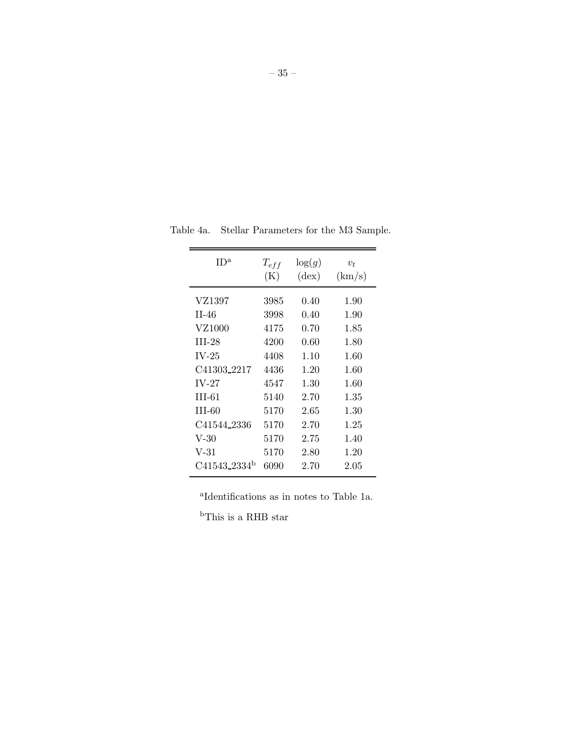| ID <sup>a</sup>          | $T_{eff}$<br>(K) | $\log(g)$<br>$(\text{dex})$ | $v_t$<br>(km/s) |
|--------------------------|------------------|-----------------------------|-----------------|
| VZ1397                   | 3985             | 0.40                        | 1.90            |
| $II-46$                  | 3998             | 0.40                        | 1.90            |
| VZ1000                   | 4175             | 0.70                        | 1.85            |
| $III-28$                 | 4200             | 0.60                        | 1.80            |
| $IV-25$                  | 4408             | 1.10                        | 1.60            |
| C41303 <sub>-2217</sub>  | 4436             | 1.20                        | 1.60            |
| $IV-27$                  | 4547             | 1.30                        | 1.60            |
| $III-61$                 | 5140             | 2.70                        | 1.35            |
| III-60                   | 5170             | 2.65                        | 1.30            |
| C41544 2336              | 5170             | 2.70                        | 1.25            |
| V-30                     | 5170             | 2.75                        | 1.40            |
| $V-31$                   | 5170             | 2.80                        | 1.20            |
| C41543_2334 <sup>b</sup> | 6090             | 2.70                        | $2.05\,$        |

Table 4a. Stellar Parameters for the M3 Sample.

a Identifications as in notes to Table 1a.

 $\rm ^bThis$  is a RHB star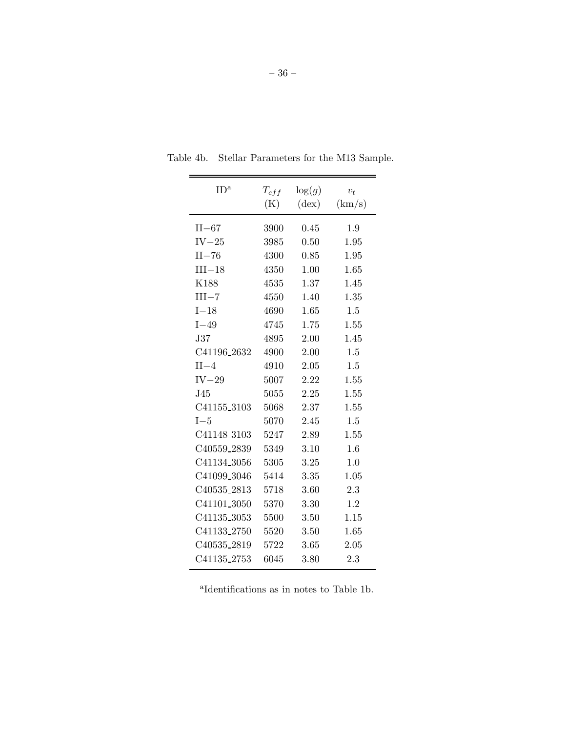| ID <sup>a</sup>         | $T_{eff}$<br>(K) | $\log(g)$<br>$(\text{dex})$ | $v_t$<br>(km/s) |
|-------------------------|------------------|-----------------------------|-----------------|
| $II-67$                 | 3900             | 0.45                        | 1.9             |
| $IV-25$                 | 3985             | 0.50                        | 1.95            |
| $II-76$                 | 4300             | 0.85                        | 1.95            |
| $III-18$                | 4350             | 1.00                        | 1.65            |
| K188                    | 4535             | 1.37                        | 1.45            |
| $III - 7$               | 4550             | 1.40                        | 1.35            |
| $I-18$                  | 4690             | 1.65                        | 1.5             |
| $I-49$                  | 4745             | 1.75                        | 1.55            |
| $\rm J37$               | 4895             | 2.00                        | 1.45            |
| C41196 <sub>-2632</sub> | 4900             | 2.00                        | 1.5             |
| $II-4$                  | 4910             | 2.05                        | 1.5             |
| $IV-29$                 | 5007             | 2.22                        | 1.55            |
| J45                     | 5055             | 2.25                        | 1.55            |
| C41155_3103             | 5068             | 2.37                        | 1.55            |
| $I-5$                   | 5070             | 2.45                        | 1.5             |
| C41148_3103             | 5247             | 2.89                        | 1.55            |
| C40559_2839             | 5349             | 3.10                        | 1.6             |
| C41134_3056             | 5305             | 3.25                        | 1.0             |
| C41099_3046             | 5414             | 3.35                        | 1.05            |
| C40535_2813             | 5718             | 3.60                        | 2.3             |
| C41101_3050             | 5370             | 3.30                        | 1.2             |
| C41135_3053             | 5500             | 3.50                        | 1.15            |
| C41133_2750             | 5520             | 3.50                        | 1.65            |
| C40535_2819             | 5722             | 3.65                        | 2.05            |
| C41135_2753             | 6045             | 3.80                        | 2.3             |

Table 4b. Stellar Parameters for the M13 Sample.

a Identifications as in notes to Table 1b.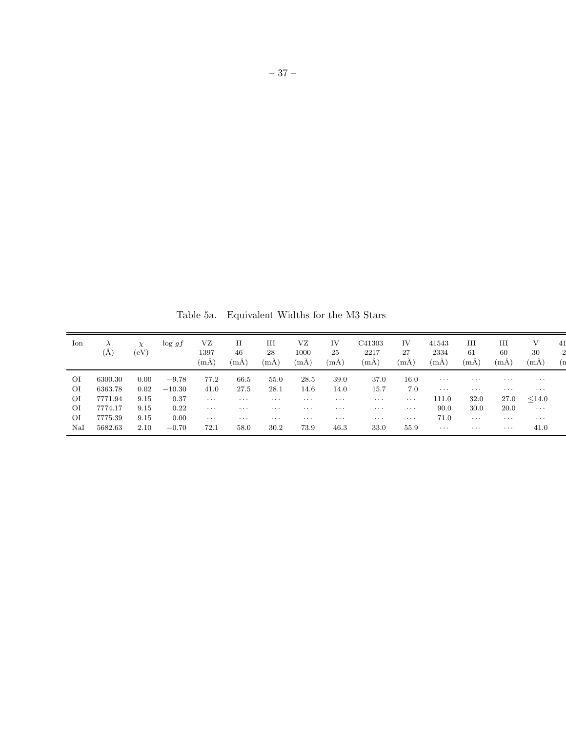Table 5a. Equivalent Widths for the M3 Stars

| Ion | (A)     | $\chi$<br>$\left( \mathrm{eV}\right)$ | $\log gf$ | VZ<br>1397<br>(mA) | 46<br>(mA) | Ш<br>28<br>$(m\text{\AA})$ | VZ<br>1000<br>(mA) | IV<br>25<br>(mA) | C41303<br>-2217<br>$(m\AA)$ | IV<br>27<br>(mA) | 41543<br>-2334<br>(mA) | Ш<br>61<br>(mA) | Ш<br>60<br>(mA) | V<br>30<br>(mA) | 41 |
|-----|---------|---------------------------------------|-----------|--------------------|------------|----------------------------|--------------------|------------------|-----------------------------|------------------|------------------------|-----------------|-----------------|-----------------|----|
| ΟI  | 6300.30 | 0.00                                  | $-9.78$   | 77.2               | 66.5       | 55.0                       | 28.5               | 39.0             | 37.0                        | 16.0             | $\cdots$               | $\cdots$        | $\cdots$        | $\cdots$        |    |
| ΟI  | 6363.78 | 0.02                                  | $-10.30$  | 41.0               | 27.5       | 28.1                       | 14.6               | 14.0             | 15.7                        | 7.0              | $\cdots$               | $\cdots$        | $\cdots$        | $\cdots$        |    |
| ΟI  | 7771.94 | 9.15                                  | 0.37      | $\cdots$           | $\cdots$   | $\cdots$                   | $\cdots$           | $\cdots$         | $\cdots$                    | $\cdots$         | 111.0                  | 32.0            | 27.0            | < 14.0          |    |
| ΟI  | 7774.17 | 9.15                                  | 0.22      | $\cdots$           | $\cdots$   | $\cdots$                   | $\cdots$           | $\cdots$         | $\cdots$                    | $\cdots$         | 90.0                   | 30.0            | 20.0            | $\cdots$        |    |
| ΟI  | 7775.39 | 9.15                                  | 0.00      | $\cdots$           | $\cdots$   | $\cdots$                   | $\cdots$           | $\cdots$         | $\cdots$                    | $\cdots$         | 71.0                   | $\cdots$        | $\cdots$        | $\cdots$        |    |
| NaI | 5682.63 | 2.10                                  | $-0.70$   | 72.1               | 58.0       | 30.2                       | 73.9               | 46.3             | 33.0                        | 55.9             | $\cdots$               | $\cdots$        | $\cdots$        | 41.0            |    |
|     |         |                                       |           |                    |            |                            |                    |                  |                             |                  |                        |                 |                 |                 |    |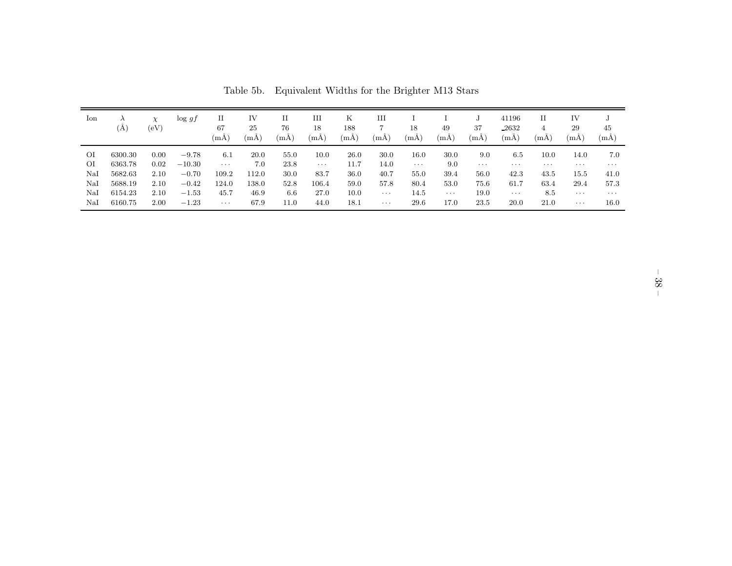| Ion | (A)     | $\chi$<br>(eV) | $\log gf$ | П<br>67<br>(mA) | IV<br>25<br>(mA) | П<br>76<br>(mA) | Ш<br>18<br>(mA) | Κ<br>188<br>(mA) | Ш<br>(mA) | 18<br>$(m\text{\AA})$ | 49<br>(mA) | J<br>37<br>(mA) | 41196<br>2632<br>(mA) | П<br>$\overline{4}$<br>(mA) | IV<br>29<br>(mA) | 45<br>(mA) |
|-----|---------|----------------|-----------|-----------------|------------------|-----------------|-----------------|------------------|-----------|-----------------------|------------|-----------------|-----------------------|-----------------------------|------------------|------------|
| ΟI  | 6300.30 | 0.00           | $-9.78$   | 6.1             | 20.0             | 55.0            | 10.0            | 26.0             | 30.0      | 16.0                  | 30.0       | 9.0             | 6.5                   | 10.0                        | 14.0             | 7.0        |
| ΟI  | 6363.78 | 0.02           | $-10.30$  | $\cdots$        | 7.0              | 23.8            | $\cdots$        | 11.7             | 14.0      | $\cdots$              | 9.0        | $\cdots$        | $\cdots$              | $\cdots$                    | $\cdots$         | $\cdots$   |
| NaI | 5682.63 | 2.10           | $-0.70$   | 109.2           | 112.0            | 30.0            | 83.7            | 36.0             | 40.7      | 55.0                  | 39.4       | 56.0            | 42.3                  | 43.5                        | 15.5             | 41.0       |
| NaI | 5688.19 | 2.10           | $-0.42$   | 124.0           | 138.0            | 52.8            | 106.4           | 59.0             | 57.8      | 80.4                  | 53.0       | 75.6            | 61.7                  | 63.4                        | 29.4             | 57.3       |
| NaI | 6154.23 | 2.10           | $-1.53$   | 45.7            | 46.9             | 6.6             | 27.0            | 10.0             | $\cdots$  | 14.5                  | $\cdots$   | 19.0            | $\cdots$              | 8.5                         | $\cdots$         | $\cdots$   |
| NaI | 6160.75 | 2.00           | $-1.23$   | $\cdots$        | 67.9             | 11.0            | 44.0            | 18.1             | $\cdots$  | 29.6                  | 17.0       | 23.5            | 20.0                  | 21.0                        | $\cdots$         | 16.0       |

Table 5b. Equivalent Widths for the Brighter M13 Stars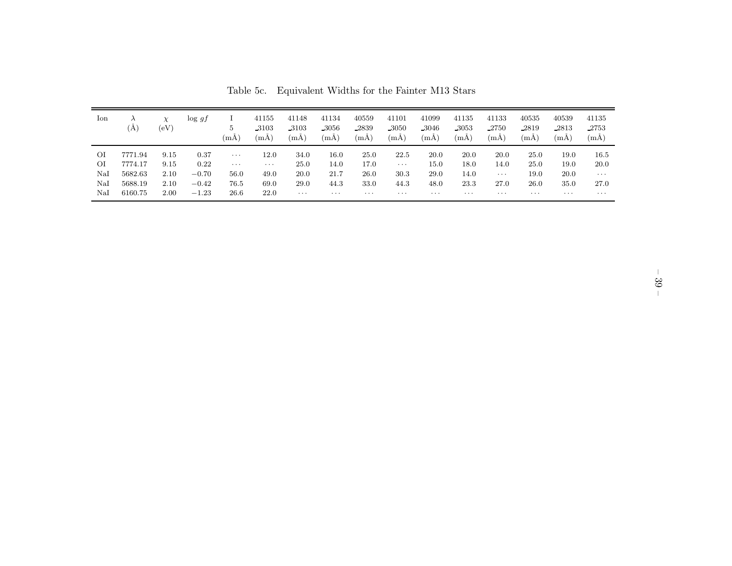| lon           | $\lambda$<br>(A | $\chi$<br>(eV) | $\log gf$ | 5<br>(mA) | 41155<br>_3103<br>(mA) | 41148<br>3103<br>(mA) | 41134<br>-3056<br>(mA) | 40559<br>2839<br>(mA) | 41101<br>.3050<br>(mA) | 41099<br>-3046<br>(mA | 41135<br>.3053<br>(mA) | 41133<br>2750<br>$(m\text{\AA})$ | 40535<br>2819<br>(mA) | 40539<br>-2813<br>(mA) | 41135<br>-2753<br>(mA) |
|---------------|-----------------|----------------|-----------|-----------|------------------------|-----------------------|------------------------|-----------------------|------------------------|-----------------------|------------------------|----------------------------------|-----------------------|------------------------|------------------------|
| ΟI            | 7771.94         | 9.15           | 0.37      | $\cdots$  | 12.0                   | 34.0                  | 16.0                   | 25.0                  | 22.5                   | 20.0                  | 20.0                   | 20.0                             | 25.0                  | 19.0                   | 16.5                   |
| ΟI            | 7774.17         | 9.15           | 0.22      | $\cdots$  | $\cdots$               | 25.0                  | 14.0                   | 17.0                  | $\cdots$               | 15.0                  | 18.0                   | 14.0                             | 25.0                  | 19.0                   | 20.0                   |
| NaI           | 5682.63         | 2.10           | $-0.70$   | 56.0      | 49.0                   | 20.0                  | 21.7                   | 26.0                  | 30.3                   | 29.0                  | 14.0                   | $\cdots$                         | 19.0                  | 20.0                   | $\cdots$               |
| NaI           | 5688.19         | 2.10           | $-0.42$   | 76.5      | 69.0                   | 29.0                  | 44.3                   | 33.0                  | 44.3                   | 48.0                  | 23.3                   | 27.0                             | 26.0                  | 35.0                   | 27.0                   |
| $_{\rm Na I}$ | 6160.75         | 2.00           | $-1.23$   | 26.6      | 22.0                   | $\cdots$              | $\cdots$               | $\cdots$              | $\cdots$               | $\cdots$              | $\cdots$               | $\cdots$                         | $\cdots$              | $\cdots$               | $\cdots$               |

Table 5c. Equivalent Widths for the Fainter M13 Stars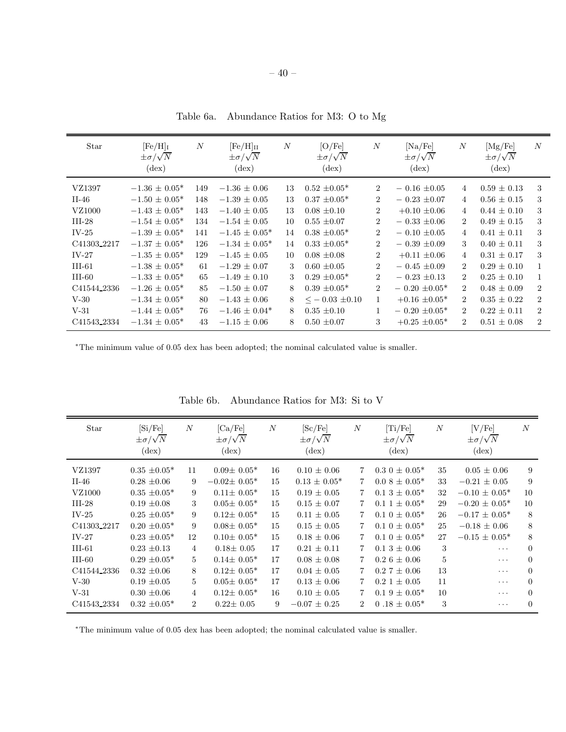| Star                    | $[Fe/H]_I$<br>$\pm \sigma/\sqrt{N}$<br>$(\text{dex})$ | $\boldsymbol{N}$ | $[Fe/H]_{II}$<br>$\pm \sigma/\sqrt{N}$<br>$(\text{dex})$ | N             | [O/Fe]<br>$\pm \sigma/\sqrt{N}$<br>$(\text{dex})$ | $\boldsymbol{N}$ | [Na/Fe]<br>$\pm \sigma/\sqrt{N}$<br>$(\text{dex})$ | $\boldsymbol{N}$            | [Mg/Fe]<br>$\pm \sigma/\sqrt{N}$<br>$(\text{dex})$ | N              |
|-------------------------|-------------------------------------------------------|------------------|----------------------------------------------------------|---------------|---------------------------------------------------|------------------|----------------------------------------------------|-----------------------------|----------------------------------------------------|----------------|
| VZ1397                  | $-1.36 \pm 0.05^*$                                    | 149              | $-1.36 \pm 0.06$                                         | 13            | $0.52 \pm 0.05^*$                                 | $\overline{2}$   | $-0.16 \pm 0.05$                                   | 4                           | $0.59 \pm 0.13$                                    | 3              |
| $II-46$                 | $-1.50 \pm 0.05^*$                                    | 148              | $-1.39 \pm 0.05$                                         | 13            | $0.37 \pm 0.05^*$                                 | $\overline{2}$   | $-0.23 \pm 0.07$                                   | 4                           | $0.56 \pm 0.15$                                    | 3              |
| VZ1000                  | $-1.43 \pm 0.05^*$                                    | 143              | $-1.40 \pm 0.05$                                         | 13            | $0.08 \pm 0.10$                                   | $\overline{2}$   | $+0.10 \pm 0.06$                                   | 4                           | $0.44 \pm 0.10$                                    | 3              |
| $III-28$                | $-1.54 \pm 0.05^*$                                    | 134              | $-1.54 \pm 0.05$                                         | 10            | $0.55 \pm 0.07$                                   | $\overline{2}$   | $-0.33 \pm 0.06$                                   | $\overline{2}$              | $0.49 \pm 0.15$                                    | 3              |
| $IV-25$                 | $-1.39 \pm 0.05^*$                                    | 141              | $-1.45 \pm 0.05^*$                                       | 14            | $0.38 \pm 0.05^*$                                 | $\overline{2}$   | $-0.10 \pm 0.05$                                   | $\overline{4}$              | $0.41 \pm 0.11$                                    | 3              |
| C41303 <sub>-2217</sub> | $-1.37 \pm 0.05^*$                                    | 126              | $-1.34 \pm 0.05^*$                                       | 14            | $0.33 \pm 0.05^*$                                 | $\overline{2}$   | $-0.39 \pm 0.09$                                   | 3                           | $0.40 \pm 0.11$                                    | 3              |
| $IV-27$                 | $-1.35 \pm 0.05^*$                                    | 129              | $-1.45 \pm 0.05$                                         | 10            | $0.08 \pm 0.08$                                   | $\overline{2}$   | $+0.11 \pm 0.06$                                   | 4                           | $0.31 \pm 0.17$                                    | 3              |
| $III-61$                | $-1.38 \pm 0.05^*$                                    | 61               | $-1.29 \pm 0.07$                                         | $\mathcal{S}$ | $0.60 \pm 0.05$                                   | $\overline{2}$   | $-0.45 \pm 0.09$                                   | $\mathcal{D}_{\mathcal{L}}$ | $0.29 \pm 0.10$                                    | $\mathbf{1}$   |
| $III-60$                | $-1.33 \pm 0.05^*$                                    | 65               | $-1.49 \pm 0.10$                                         | $\mathcal{S}$ | $0.29 \pm 0.05^*$                                 | $\overline{2}$   | $-0.23 \pm 0.13$                                   | $\mathcal{D}_{\mathcal{L}}$ | $0.25 \pm 0.10$                                    | $\mathbf{1}$   |
| C41544 <sub>-2336</sub> | $-1.26 \pm 0.05^*$                                    | 85               | $-1.50 \pm 0.07$                                         | 8             | $0.39 \pm 0.05^*$                                 | $\overline{2}$   | $-0.20 \pm 0.05^*$                                 | $\mathcal{D}_{\mathcal{L}}$ | $0.48 \pm 0.09$                                    | $\overline{2}$ |
| $V-30$                  | $-1.34 \pm 0.05^*$                                    | 80               | $-1.43 \pm 0.06$                                         | 8             | $\leq$ $-$ 0.03 $\pm$ 0.10                        | 1                | $+0.16 \pm 0.05$ *                                 | $\mathcal{D}_{\mathcal{L}}$ | $0.35 \pm 0.22$                                    | $\overline{2}$ |
| $V-31$                  | $-1.44 \pm 0.05^*$                                    | 76               | $-1.46 \pm 0.04*$                                        | 8             | $0.35 \pm 0.10$                                   | $\mathbf{1}$     | $-0.20 \pm 0.05^*$                                 | $\mathfrak{D}$              | $0.22 \pm 0.11$                                    | $\overline{2}$ |
| C41543_2334             | $-1.34 \pm 0.05^*$                                    | 43               | $-1.15 \pm 0.06$                                         | 8             | $0.50 \pm 0.07$                                   | 3                | $+0.25 \pm 0.05$ *                                 | $\overline{2}$              | $0.51 \pm 0.08$                                    | $\overline{2}$ |

Table 6a. Abundance Ratios for M3: O to Mg

| <b>Star</b>             | [Si/Fe]<br>$\pm \sigma/\sqrt{N}$<br>$(\text{dex})$ | $\boldsymbol{N}$ | [Ca/Fe]<br>$\pm \sigma/\sqrt{N}$<br>$(\text{dex})$ | $\boldsymbol{N}$ | [Sc/Fe]<br>$\pm \sigma/\sqrt{N}$<br>$(\text{dex})$ | $\boldsymbol{N}$ | [Ti/Fe]<br>$\pm \sigma/\sqrt{N}$<br>$(\text{dex})$ | $\overline{N}$ | [V/Fe]<br>$\pm \sigma/\sqrt{N}$<br>$(\text{dex})$ | N        |
|-------------------------|----------------------------------------------------|------------------|----------------------------------------------------|------------------|----------------------------------------------------|------------------|----------------------------------------------------|----------------|---------------------------------------------------|----------|
| VZ1397                  | $0.35 \pm 0.05^*$                                  | 11               | $0.09\pm 0.05*$                                    | 16               | $0.10 \pm 0.06$                                    | 7                | $0.3 \ 0 \pm 0.05^*$                               | 35             | $0.05 \pm 0.06$                                   | 9        |
| $II-46$                 | $0.28 \pm 0.06$                                    | 9                | $-0.02\pm 0.05*$                                   | 15               | $0.13 \pm 0.05^*$                                  | 7                | $0.08 \pm 0.05^*$                                  | 33             | $-0.21 \pm 0.05$                                  | 9        |
| VZ1000                  | $0.35 \pm 0.05^*$                                  | 9                | $0.11 \pm 0.05^*$                                  | 15               | $0.19 \pm 0.05$                                    | 7                | $0.13 \pm 0.05^*$                                  | 32             | $-0.10 \pm 0.05^*$                                | 10       |
| $III-28$                | $0.19 \pm 0.08$                                    | 3                | $0.05 \pm 0.05^*$                                  | 15               | $0.15 \pm 0.07$                                    | 7.               | $0.1 \pm 0.05^*$                                   | 29             | $-0.20 \pm 0.05^*$                                | 10       |
| $IV-25$                 | $0.25 \pm 0.05^*$                                  | 9                | $0.12 \pm 0.05^*$                                  | 15               | $0.11 \pm 0.05$                                    | 7.               | $0.1 \ 0 \pm 0.05^*$                               | 26             | $-0.17 \pm 0.05^*$                                | 8        |
| C41303 <sub>-2217</sub> | $0.20 \pm 0.05^*$                                  | 9                | $0.08 \pm 0.05^*$                                  | 15               | $0.15 \pm 0.05$                                    | 7                | $0.1 \ 0 \pm 0.05^*$                               | 25             | $-0.18 \pm 0.06$                                  | 8        |
| $IV-27$                 | $0.23 \pm 0.05^*$                                  | 12               | $0.10\pm 0.05*$                                    | 15               | $0.18 \pm 0.06$                                    | 7                | $0.1 \ 0 \pm 0.05^*$                               | 27             | $-0.15 \pm 0.05^*$                                | 8        |
| $III-61$                | $0.23 \pm 0.13$                                    | 4                | $0.18 \pm 0.05$                                    | 17               | $0.21 \pm 0.11$                                    | 7                | $0.13 \pm 0.06$                                    | 3              | $\cdots$                                          | $\Omega$ |
| $III-60$                | $0.29 \pm 0.05^*$                                  | 5                | $0.14 \pm 0.05^*$                                  | 17               | $0.08 \pm 0.08$                                    | $\overline{7}$   | $0.26 \pm 0.06$                                    | 5              | $\cdots$                                          | $\Omega$ |
| C41544 <sub>-2336</sub> | $0.32 \pm 0.06$                                    | 8                | $0.12 \pm 0.05^*$                                  | 17               | $0.04 \pm 0.05$                                    | $\overline{7}$   | $0.27 \pm 0.06$                                    | 13             | $\cdots$                                          | $\Omega$ |
| $V-30$                  | $0.19 \pm 0.05$                                    | 5                | $0.05 \pm 0.05^*$                                  | 17               | $0.13 \pm 0.06$                                    | $\overline{7}$   | $0.2 \; 1 \pm 0.05$                                | 11             | .                                                 | $\Omega$ |
| $V-31$                  | $0.30 \pm 0.06$                                    | 4                | $0.12 \pm 0.05^*$                                  | 16               | $0.10 \pm 0.05$                                    | 7                | $0.19 \pm 0.05^*$                                  | 10             | $\cdots$                                          | $\Omega$ |
| C41543 <sub>-2334</sub> | $0.32 \pm 0.05^*$                                  | $\overline{2}$   | $0.22 \pm 0.05$                                    | 9                | $-0.07 \pm 0.25$                                   | $\overline{2}$   | $0.18 \pm 0.05^*$                                  | 3              | $\cdots$                                          | $\Omega$ |

Table 6b. Abundance Ratios for M3: Si to V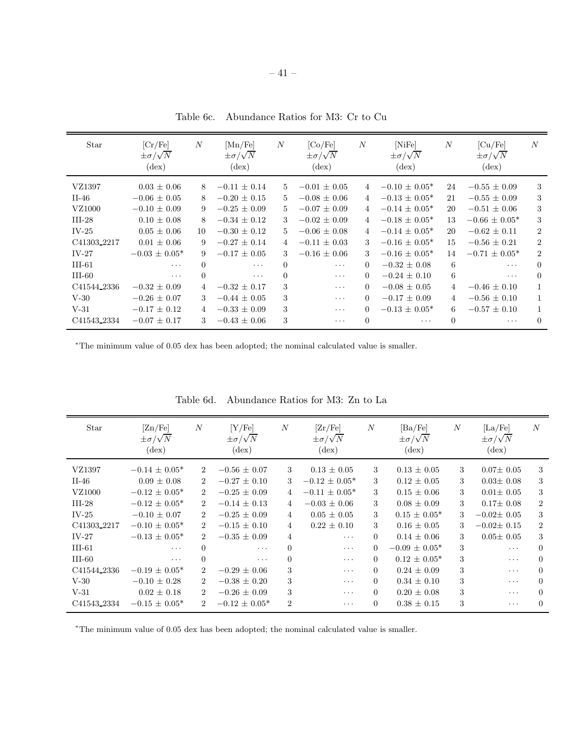| Star                    | [Cr/Fe]<br>$\pm \sigma/\sqrt{N}$<br>$(\text{dex})$ | $\boldsymbol{N}$ | [Mn/Fe]<br>$\pm \sigma/\sqrt{N}$<br>$(\text{dex})$ | N              | [Co/Fe]<br>$\pm \sigma/\sqrt{N}$<br>$(\text{dex})$ | $\boldsymbol{N}$ | [NiFe]<br>$\pm \sigma/\sqrt{N}$<br>$(\text{dex})$ | $\boldsymbol{N}$ | $\left[ Cu/Fe \right]$<br>$\pm \sigma/\sqrt{N}$<br>$(\text{dex})$ | N              |
|-------------------------|----------------------------------------------------|------------------|----------------------------------------------------|----------------|----------------------------------------------------|------------------|---------------------------------------------------|------------------|-------------------------------------------------------------------|----------------|
| VZ1397                  | $0.03 \pm 0.06$                                    | 8                | $-0.11 \pm 0.14$                                   | $5^{\circ}$    | $-0.01 \pm 0.05$                                   | $\overline{4}$   | $-0.10 \pm 0.05^*$                                | 24               | $-0.55 \pm 0.09$                                                  | 3              |
| $II-46$                 | $-0.06 \pm 0.05$                                   | 8                | $-0.20 \pm 0.15$                                   | $\frac{5}{2}$  | $-0.08 \pm 0.06$                                   | $\overline{4}$   | $-0.13 \pm 0.05^*$                                | 21               | $-0.55 \pm 0.09$                                                  | 3              |
| VZ1000                  | $-0.10 \pm 0.09$                                   | 9                | $-0.25 \pm 0.09$                                   | $\frac{5}{2}$  | $-0.07 \pm 0.09$                                   | $\overline{4}$   | $-0.14 \pm 0.05^*$                                | 20               | $-0.51 \pm 0.06$                                                  | 3              |
| $III-28$                | $0.10 \pm 0.08$                                    | 8                | $-0.34 \pm 0.12$                                   | 3              | $-0.02 \pm 0.09$                                   | $\overline{4}$   | $-0.18 \pm 0.05^*$                                | 13               | $-0.66 \pm 0.05^*$                                                | 3              |
| $IV-25$                 | $0.05 \pm 0.06$                                    | 10               | $-0.30 \pm 0.12$                                   | $5^{\circ}$    | $-0.06 \pm 0.08$                                   | $\overline{4}$   | $-0.14 \pm 0.05^*$                                | 20               | $-0.62 \pm 0.11$                                                  | $\overline{2}$ |
| C41303 <sub>-2217</sub> | $0.01 + 0.06$                                      | 9                | $-0.27 + 0.14$                                     | $\overline{4}$ | $-0.11 + 0.03$                                     | 3                | $-0.16 + 0.05*$                                   | 15               | $-0.56 + 0.21$                                                    | $\overline{2}$ |
| $IV-27$                 | $-0.03 + 0.05*$                                    | 9                | $-0.17 \pm 0.05$                                   | 3              | $-0.16 \pm 0.06$                                   | 3                | $-0.16 \pm 0.05^*$                                | 14               | $-0.71 \pm 0.05^*$                                                | $\overline{2}$ |
| $III-61$                | $\cdots$                                           | $\Omega$         | $\cdots$                                           | $\overline{0}$ | $\cdots$                                           | $\Omega$         | $-0.32 \pm 0.08$                                  | 6                | $\cdots$                                                          | $\Omega$       |
| $III-60$                | $\cdots$                                           | $\Omega$         | $\cdots$                                           | $\Omega$       | $\cdots$                                           | $\Omega$         | $-0.24 \pm 0.10$                                  | 6                | $\cdots$                                                          | $\Omega$       |
| C41544_2336             | $-0.32 \pm 0.09$                                   | 4                | $-0.32 \pm 0.17$                                   | 3              | $\cdots$                                           | $\Omega$         | $-0.08 \pm 0.05$                                  | $\overline{4}$   | $-0.46 \pm 0.10$                                                  |                |
| $V-30$                  | $-0.26 \pm 0.07$                                   | 3                | $-0.44 \pm 0.05$                                   | 3              | $\cdots$                                           | $\Omega$         | $-0.17 \pm 0.09$                                  | $\overline{4}$   | $-0.56 \pm 0.10$                                                  |                |
| $V-31$                  | $-0.17 \pm 0.12$                                   | 4                | $-0.33 \pm 0.09$                                   | 3              | $\cdots$                                           | $\Omega$         | $-0.13 \pm 0.05^*$                                | 6                | $-0.57 \pm 0.10$                                                  |                |
| C41543_2334             | $-0.07 \pm 0.17$                                   | 3                | $-0.43 \pm 0.06$                                   | 3              | $\cdots$                                           | $\Omega$         | $\cdots$                                          | $\Omega$         | $\cdots$                                                          | $\Omega$       |

Table 6c. Abundance Ratios for M3: Cr to Cu

| Star                    | [Zn/Fe]<br>$\pm \sigma/\sqrt{N}$<br>$(\text{dex})$ | $\boldsymbol{N}$            | [Y/Fe]<br>$\pm \sigma/\sqrt{N}$<br>$(\text{dex})$ | $\boldsymbol{N}$ | [Zr/Fe]<br>$\pm \sigma/\sqrt{N}$<br>$(\text{dex})$ | $\boldsymbol{N}$ | $[\text{Ba/Fe}]$<br>$\pm \sigma/\sqrt{N}$<br>$(\text{dex})$ | $\boldsymbol{N}$ | $\rm [La/Fe]$<br>$\pm \sigma/\sqrt{N}$<br>$(\text{dex})$ | N              |
|-------------------------|----------------------------------------------------|-----------------------------|---------------------------------------------------|------------------|----------------------------------------------------|------------------|-------------------------------------------------------------|------------------|----------------------------------------------------------|----------------|
| VZ1397                  | $-0.14 \pm 0.05^*$                                 | $\overline{2}$              | $-0.56 \pm 0.07$                                  | 3                | $0.13 \pm 0.05$                                    | 3                | $0.13 \pm 0.05$                                             | 3                | $0.07 \pm 0.05$                                          | 3              |
| $II-46$                 | $0.09 \pm 0.08$                                    | $\mathcal{D}_{\mathcal{L}}$ | $-0.27 \pm 0.10$                                  | 3                | $-0.12 \pm 0.05^*$                                 | 3                | $0.12 \pm 0.05$                                             | 3                | $0.03 \pm 0.08$                                          | 3              |
| VZ1000                  | $-0.12 \pm 0.05^*$                                 | $\overline{2}$              | $-0.25 \pm 0.09$                                  | $\overline{4}$   | $-0.11 \pm 0.05^*$                                 | 3                | $0.15 \pm 0.06$                                             | 3                | $0.01 \pm 0.05$                                          | 3              |
| $III-28$                | $-0.12 \pm 0.05^*$                                 | $\overline{2}$              | $-0.14 \pm 0.13$                                  | $\overline{4}$   | $-0.03 \pm 0.06$                                   | 3                | $0.08 \pm 0.09$                                             | 3                | $0.17 \pm 0.08$                                          | $\overline{2}$ |
| $IV-25$                 | $-0.10 \pm 0.07$                                   | $\mathcal{D}_{\mathcal{L}}$ | $-0.25 \pm 0.09$                                  | $\overline{4}$   | $0.05 \pm 0.05$                                    | 3                | $0.15 \pm 0.05^*$                                           | 3                | $-0.02 \pm 0.05$                                         | 3              |
| C41303 <sub>-2217</sub> | $-0.10 \pm 0.05^*$                                 | $\mathcal{D}_{\mathcal{L}}$ | $-0.15 \pm 0.10$                                  | $\overline{4}$   | $0.22 \pm 0.10$                                    | 3                | $0.16 \pm 0.05$                                             | 3                | $-0.02 \pm 0.15$                                         | $\overline{2}$ |
| $IV-27$                 | $-0.13 \pm 0.05^*$                                 | $\mathcal{D}_{\mathcal{L}}$ | $-0.35 \pm 0.09$                                  | $\overline{4}$   | $\cdots$                                           | $\Omega$         | $0.14 \pm 0.06$                                             | 3                | $0.05 \pm 0.05$                                          | 3              |
| $III-61$                | $\cdots$                                           | $\Omega$                    | $\ddots$                                          | $\Omega$         | $\cdots$                                           | $\Omega$         | $-0.09 \pm 0.05*$                                           | 3                | $\ddotsc$                                                | $\Omega$       |
| $III-60$                | $\sim$ $\sim$ $\sim$                               | $\Omega$                    | $\ddots$                                          | $\Omega$         | $\cdots$                                           | $\Omega$         | $0.12 \pm 0.05^*$                                           | 3                | $\ddotsc$                                                | $\Omega$       |
| C41544_2336             | $-0.19 \pm 0.05^*$                                 | $\overline{2}$              | $-0.29 \pm 0.06$                                  | 3                | $\cdots$                                           | $\Omega$         | $0.24 \pm 0.09$                                             | 3                | $\ddotsc$                                                | $\Omega$       |
| $V-30$                  | $-0.10 \pm 0.28$                                   | 2                           | $-0.38 \pm 0.20$                                  | 3                | $\cdots$                                           | $\Omega$         | $0.34 \pm 0.10$                                             | 3                | $\cdots$                                                 | $\Omega$       |
| $V-31$                  | $0.02 \pm 0.18$                                    | $\mathcal{D}_{\mathcal{L}}$ | $-0.26 \pm 0.09$                                  | 3                | $\cdots$                                           | $\Omega$         | $0.20 \pm 0.08$                                             | 3                | $\cdots$                                                 | $\Omega$       |
| C41543_2334             | $-0.15 \pm 0.05^*$                                 | $\overline{2}$              | $-0.12 \pm 0.05^*$                                | $\overline{2}$   | $\cdots$                                           | $\Omega$         | $0.38 \pm 0.15$                                             | 3                | .                                                        | $\Omega$       |

Table 6d. Abundance Ratios for M3: Zn to La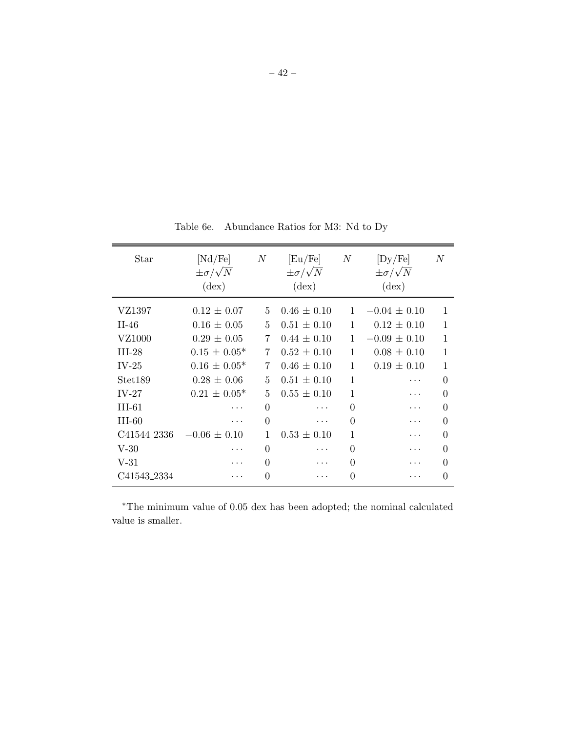Table 6e. Abundance Ratios for M3: Nd to Dy

| Star        | [Nd/Fe]<br>$\pm \sigma / \sqrt{N}$<br>$(\text{dex})$ | $\boldsymbol{N}$ | [Eu/Fe]<br>$\pm \sigma / \sqrt{N}$<br>$(\text{dex})$ | $\boldsymbol{N}$ | [Dy/Fe]<br>$\pm \sigma / \sqrt{N}$<br>$(\text{dex})$ | $\boldsymbol{N}$ |
|-------------|------------------------------------------------------|------------------|------------------------------------------------------|------------------|------------------------------------------------------|------------------|
| VZ1397      | $0.12 \pm 0.07$                                      | 5.               | $0.46 \pm 0.10$                                      | $\mathbf{1}$     | $-0.04 \pm 0.10$                                     | 1                |
| $II-46$     | $0.16 \pm 0.05$                                      | 5                | $0.51 \pm 0.10$                                      | 1                | $0.12 \pm 0.10$                                      | 1                |
| VZ1000      | $0.29 \pm 0.05$                                      | 7                | $0.44 \pm 0.10$                                      | $\mathbf{1}$     | $-0.09 \pm 0.10$                                     | 1                |
| $III-28$    | $0.15 \pm 0.05^*$                                    | 7                | $0.52 \pm 0.10$                                      | 1                | $0.08 \pm 0.10$                                      | 1                |
| $IV-25$     | $0.16 \pm 0.05^*$                                    | 7                | $0.46 \pm 0.10$                                      | 1                | $0.19 \pm 0.10$                                      | 1                |
| Stet189     | $0.28 \pm 0.06$                                      | 5                | $0.51 \pm 0.10$                                      | 1                | .                                                    | $\Omega$         |
| $IV-27$     | $0.21 \pm 0.05^*$                                    | 5                | $0.55 \pm 0.10$                                      | 1                | .                                                    | $\Omega$         |
| $III-61$    |                                                      | $\Omega$         |                                                      | $\theta$         |                                                      | $\Omega$         |
| III-60      | .                                                    | $\Omega$         | .                                                    | $\Omega$         |                                                      | $\Omega$         |
| C41544_2336 | $-0.06 \pm 0.10$                                     | 1                | $0.53 \pm 0.10$                                      | 1                |                                                      | 0                |
| $V-30$      |                                                      | $\theta$         | .                                                    | $\Omega$         |                                                      | 0                |
| $V-31$      |                                                      | $\theta$         |                                                      | $\theta$         |                                                      | 0                |
| C41543_2334 |                                                      | $\theta$         | .                                                    | $\theta$         |                                                      | $\Omega$         |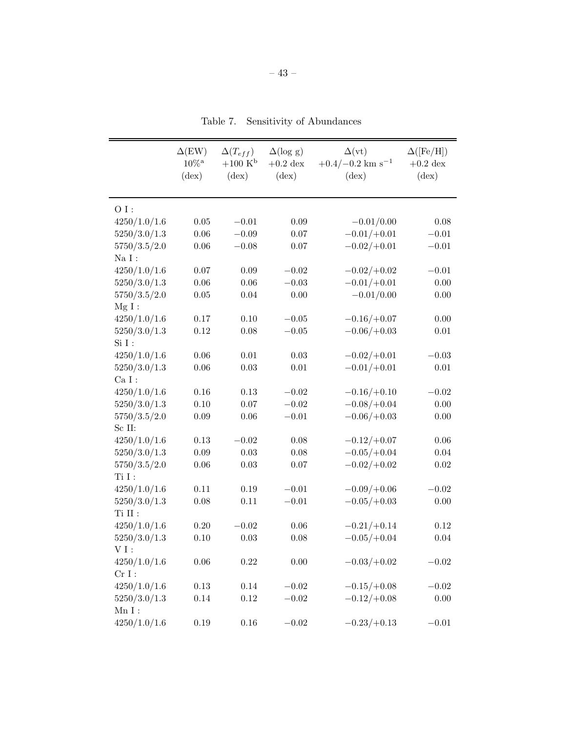Table 7. Sensitivity of Abundances

|                   | $\Delta$ (EW)<br>$10\%^{\rm a}$<br>$(\text{dex})$ | $\Delta(T_{eff})$<br>$+100~K^{\rm b}$<br>$(\text{dex})$ | $\Delta(\log g)$<br>$+0.2~\mathrm{dex}$<br>$(\text{dex})$ | $\Delta(vt)$<br>$+0.4/-0.2$ km s <sup>-1</sup><br>$(\text{dex})$ | $\Delta([Fe/H])$<br>$+0.2~\mathrm{dex}$<br>$(\text{dex})$ |
|-------------------|---------------------------------------------------|---------------------------------------------------------|-----------------------------------------------------------|------------------------------------------------------------------|-----------------------------------------------------------|
| $OI$ :            |                                                   |                                                         |                                                           |                                                                  |                                                           |
| 4250/1.0/1.6      | $0.05\,$                                          | $-0.01$                                                 | 0.09                                                      | $-0.01/0.00$                                                     | 0.08                                                      |
| 5250/3.0/1.3      | $0.06\,$                                          | $-0.09$                                                 | 0.07                                                      | $-0.01/+0.01$                                                    | $-0.01$                                                   |
| 5750/3.5/2.0      | $0.06\,$                                          | $-0.08$                                                 | 0.07                                                      | $-0.02/+0.01$                                                    | $-0.01$                                                   |
| $\rm Na~\sc I~$ : |                                                   |                                                         |                                                           |                                                                  |                                                           |
| 4250/1.0/1.6      | $0.07\,$                                          | $0.09\,$                                                | $-0.02$                                                   | $-0.02/+0.02$                                                    | $-0.01$                                                   |
| 5250/3.0/1.3      | $0.06\,$                                          | $0.06\,$                                                | $-0.03$                                                   | $-0.01/+0.01$                                                    | 0.00                                                      |
| 5750/3.5/2.0      | $0.05\,$                                          | 0.04                                                    | 0.00                                                      | $-0.01/0.00$                                                     | 0.00                                                      |
| $Mg I$ :          |                                                   |                                                         |                                                           |                                                                  |                                                           |
| 4250/1.0/1.6      | $0.17\,$                                          | 0.10                                                    | $-0.05$                                                   | $-0.16/+0.07$                                                    | 0.00                                                      |
| 5250/3.0/1.3      | $0.12\,$                                          | $0.08\,$                                                | $-0.05$                                                   | $-0.06/+0.03$                                                    | $0.01\,$                                                  |
| $SiI$ :           |                                                   |                                                         |                                                           |                                                                  |                                                           |
| 4250/1.0/1.6      | 0.06                                              | 0.01                                                    | 0.03                                                      | $-0.02/+0.01$                                                    | $-0.03$                                                   |
| 5250/3.0/1.3      | $0.06\,$                                          | $\rm 0.03$                                              | $0.01\,$                                                  | $-0.01/+0.01$                                                    | $0.01\,$                                                  |
| $CaI$ :           |                                                   |                                                         |                                                           |                                                                  |                                                           |
| 4250/1.0/1.6      | $0.16\,$                                          | $0.13\,$                                                | $-0.02$                                                   | $-0.16/+0.10$                                                    | $-0.02$                                                   |
| 5250/3.0/1.3      | $0.10\,$                                          | $0.07\,$                                                | $-0.02$                                                   | $-0.08/+0.04$                                                    | $0.00\,$                                                  |
| 5750/3.5/2.0      | $0.09\,$                                          | $0.06\,$                                                | $-0.01$                                                   | $-0.06/+0.03$                                                    | 0.00                                                      |
| Sc II:            |                                                   |                                                         |                                                           |                                                                  |                                                           |
| 4250/1.0/1.6      | $0.13\,$                                          | $-0.02$                                                 | 0.08                                                      | $-0.12/+0.07$                                                    | 0.06                                                      |
| 5250/3.0/1.3      | $0.09\,$                                          | $0.03\,$                                                | 0.08                                                      | $-0.05/+0.04$                                                    | 0.04                                                      |
| 5750/3.5/2.0      | $0.06\,$                                          | $\rm 0.03$                                              | $0.07\,$                                                  | $-0.02/+0.02$                                                    | $0.02\,$                                                  |
| Ti I:             |                                                   |                                                         |                                                           |                                                                  |                                                           |
| 4250/1.0/1.6      | $0.11\,$                                          | $0.19\,$                                                | $-0.01$                                                   | $-0.09/+0.06$                                                    | $-0.02$                                                   |
| 5250/3.0/1.3      | 0.08                                              | 0.11                                                    | $-0.01$                                                   | $-0.05/+0.03$                                                    | 0.00                                                      |
| $\rm Ti~II$ :     |                                                   |                                                         |                                                           |                                                                  |                                                           |
| 4250/1.0/1.6      | $0.20\,$                                          | $-0.02$                                                 | $0.06\,$                                                  | $-0.21/+0.14$                                                    | $0.12\,$                                                  |
| 5250/3.0/1.3      | 0.10                                              | $\rm 0.03$                                              | 0.08                                                      | $-0.05/+0.04$                                                    | 0.04                                                      |
| $VI$ :            |                                                   |                                                         |                                                           |                                                                  |                                                           |
| 4250/1.0/1.6      | $0.06\,$                                          | 0.22                                                    | $0.00\,$                                                  | $-0.03/+0.02$                                                    | $-0.02$                                                   |
| $CrI$ :           |                                                   |                                                         |                                                           |                                                                  |                                                           |
| 4250/1.0/1.6      | $0.13\,$                                          | $0.14\,$                                                | $-0.02$                                                   | $-0.15/+0.08$                                                    | $-0.02$                                                   |
| 5250/3.0/1.3      | $0.14\,$                                          | $0.12\,$                                                | $-0.02$                                                   | $-0.12/+0.08$                                                    | 0.00                                                      |
| Mn I:             |                                                   |                                                         |                                                           |                                                                  |                                                           |
| 4250/1.0/1.6      | $0.19\,$                                          | $0.16\,$                                                | $-0.02$                                                   | $-0.23/+0.13$                                                    | $-0.01$                                                   |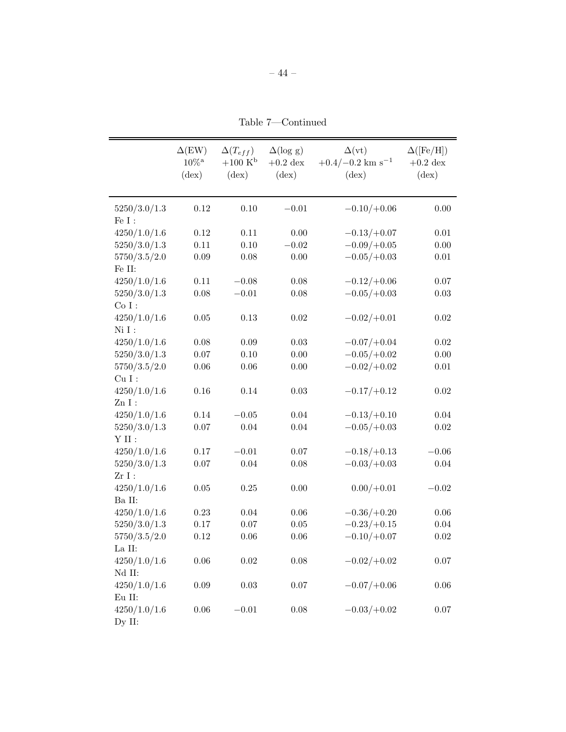– 44 –

Table 7—Continued

|                                   | $\Delta$ (EW)<br>$10\%^{\rm a}$<br>$(\text{dex})$ | $\Delta(T_{eff})$<br>$+100~K^{\rm b}$<br>$(\text{dex})$ | $\Delta(\log g)$<br>$+0.2$ dex<br>$(\text{dex})$ | $\Delta(vt)$<br>$+0.4/-0.2$ km s <sup>-1</sup><br>$(\text{dex})$ | $\Delta([Fe/H])$<br>$+0.2$ dex<br>$(\text{dex})$ |
|-----------------------------------|---------------------------------------------------|---------------------------------------------------------|--------------------------------------------------|------------------------------------------------------------------|--------------------------------------------------|
| 5250/3.0/1.3<br>Fe $\mathcal I$ : | 0.12                                              | 0.10                                                    | $-0.01$                                          | $-0.10/+0.06$                                                    | 0.00                                             |
| 4250/1.0/1.6                      | $0.12\,$                                          | $0.11\,$                                                | $0.00\,$                                         | $-0.13/+0.07$                                                    | $0.01\,$                                         |
| 5250/3.0/1.3                      | $0.11\,$                                          | 0.10                                                    | $-0.02\,$                                        | $-0.09/+0.05$                                                    | 0.00                                             |
| 5750/3.5/2.0                      | $0.09\,$                                          | 0.08                                                    | $0.00\,$                                         | $-0.05/+0.03$                                                    | $0.01\,$                                         |
| Fe II:                            |                                                   |                                                         |                                                  |                                                                  |                                                  |
| 4250/1.0/1.6                      | $0.11\,$                                          | $-0.08$                                                 | $0.08\,$                                         | $-0.12/+0.06$                                                    | $0.07\,$                                         |
| 5250/3.0/1.3                      | $0.08\,$                                          | $-0.01$                                                 | 0.08                                             | $-0.05/+0.03$                                                    | 0.03                                             |
| Co I:                             |                                                   |                                                         |                                                  |                                                                  |                                                  |
| 4250/1.0/1.6                      | $0.05\,$                                          | 0.13                                                    | 0.02                                             | $-0.02/+0.01$                                                    | 0.02                                             |
| $Ni$ $I$ :                        |                                                   |                                                         |                                                  |                                                                  |                                                  |
| 4250/1.0/1.6                      | 0.08                                              | $0.09\,$                                                | 0.03                                             | $-0.07/+0.04$                                                    | $0.02\,$                                         |
| 5250/3.0/1.3                      | $0.07\,$                                          | 0.10                                                    | 0.00                                             | $-0.05/+0.02$                                                    | 0.00                                             |
| 5750/3.5/2.0                      | $0.06\,$                                          | $0.06\,$                                                | 0.00                                             | $-0.02/+0.02$                                                    | $0.01\,$                                         |
| $\mathrm{Cu}\; \mathrm{I}$ :      |                                                   |                                                         |                                                  |                                                                  |                                                  |
| 4250/1.0/1.6                      | $0.16\,$                                          | 0.14                                                    | $0.03\,$                                         | $-0.17/+0.12$                                                    | $0.02\,$                                         |
| $Zn I$ :                          |                                                   |                                                         |                                                  |                                                                  |                                                  |
| 4250/1.0/1.6                      | $0.14\,$                                          | $\!-0.05$                                               | $0.04\,$                                         | $-0.13/+0.10$                                                    | 0.04                                             |
| 5250/3.0/1.3                      | $0.07\,$                                          | 0.04                                                    | 0.04                                             | $-0.05/+0.03$                                                    | $0.02\,$                                         |
| $\mathbf Y$ II :                  |                                                   |                                                         |                                                  |                                                                  |                                                  |
| 4250/1.0/1.6                      | $0.17\,$                                          | $-0.01$                                                 | 0.07                                             | $-0.18/+0.13$                                                    | $-0.06$                                          |
| 5250/3.0/1.3                      | $0.07\,$                                          | 0.04                                                    | 0.08                                             | $-0.03/+0.03$                                                    | 0.04                                             |
| $ZrI$ :                           |                                                   |                                                         |                                                  |                                                                  |                                                  |
| 4250/1.0/1.6                      | $0.05\,$                                          | 0.25                                                    | 0.00                                             | $0.00/+0.01$                                                     | $-0.02$                                          |
| Ba II:                            |                                                   |                                                         |                                                  |                                                                  |                                                  |
| 4250/1.0/1.6                      | 0.23                                              | 0.04                                                    | $0.06\,$                                         | $-0.36/+0.20$                                                    | $0.06\,$                                         |
| 5250/3.0/1.3                      | $0.17\,$                                          | $0.07\,$                                                | $0.05\,$                                         | $-0.23/+0.15$                                                    | $0.04\,$                                         |
| 5750/3.5/2.0                      | $0.12\,$                                          | $0.06\,$                                                | 0.06                                             | $-0.10/+0.07$                                                    | $0.02\,$                                         |
| La II:                            |                                                   |                                                         |                                                  |                                                                  |                                                  |
| 4250/1.0/1.6                      | $0.06\,$                                          | $\rm 0.02$                                              | $0.08\,$                                         | $-0.02/+0.02$                                                    | $0.07\,$                                         |
| Nd II:                            |                                                   |                                                         |                                                  |                                                                  |                                                  |
| 4250/1.0/1.6                      | $0.09\,$                                          | 0.03                                                    | 0.07                                             | $-0.07/+0.06$                                                    | 0.06                                             |
| Eu II:                            |                                                   |                                                         |                                                  |                                                                  |                                                  |
| 4250/1.0/1.6                      | $0.06\,$                                          | $-0.01$                                                 | 0.08                                             | $-0.03/+0.02$                                                    | $0.07\,$                                         |
| Dy II:                            |                                                   |                                                         |                                                  |                                                                  |                                                  |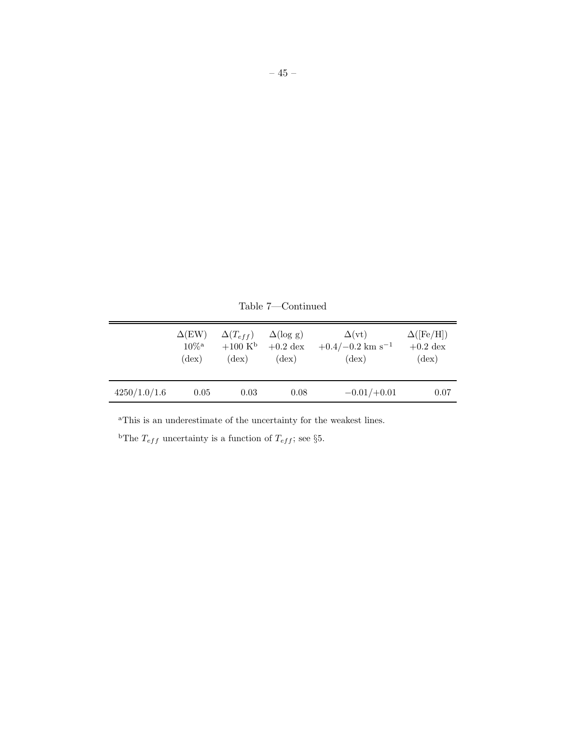|              | $\Delta$ (EW)       | $\Delta(T_{eff})$      | $\Delta(\log g)$ | $\Delta(vt)$                   | $\Delta$ ([Fe/H]) |
|--------------|---------------------|------------------------|------------------|--------------------------------|-------------------|
|              | $10\%$ <sup>a</sup> | $+100~{\rm K}^{\rm b}$ | $+0.2$ dex       | $+0.4/-0.2$ km s <sup>-1</sup> | $+0.2$ dex        |
|              | $(\text{dex})$      | $(\text{dex})$         | $(\text{dex})$   | $(\text{dex})$                 | $(\text{dex})$    |
| 4250/1.0/1.6 | 0.05                | 0.03                   | 0.08             | $-0.01/+0.01$                  | 0.07              |

Table 7—Continued

 $\,$  aThis is an underestimate of the uncertainty for the weakest lines.

<sup>b</sup>The  $T_{eff}$  uncertainty is a function of  $T_{eff}$ ; see §5.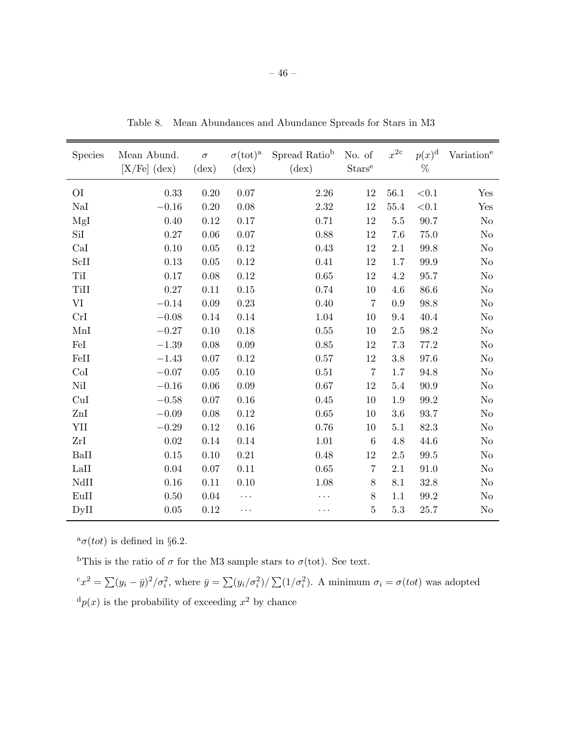| <b>Species</b> | Mean Abund.<br>$[X/Fe]$ (dex) | $\sigma$<br>$(\text{dex})$ | $\sigma(\text{tot})^{\text{a}}$<br>$(\text{dex})$ | Spread Ratio <sup>b</sup><br>$(\text{dex})$ | No. of<br>$\operatorname{Stars}^{\operatorname{e}}$ | $x^{2c}$ | $p(x)^{\mathrm{d}}$<br>$\%$ | Variation <sup>e</sup> |
|----------------|-------------------------------|----------------------------|---------------------------------------------------|---------------------------------------------|-----------------------------------------------------|----------|-----------------------------|------------------------|
|                |                               |                            |                                                   |                                             |                                                     |          |                             |                        |
| O <sub>I</sub> | 0.33                          | 0.20                       | $0.07\,$                                          | 2.26                                        | 12                                                  | 56.1     | < 0.1                       | Yes                    |
| $\rm NaI$      | $-0.16$                       | 0.20                       | 0.08                                              | 2.32                                        | 12                                                  | 55.4     | $<\!\!0.1$                  | Yes                    |
| MgI            | 0.40                          | 0.12                       | 0.17                                              | 0.71                                        | 12                                                  | 5.5      | 90.7                        | N <sub>o</sub>         |
| SiI            | 0.27                          | 0.06                       | 0.07                                              | 0.88                                        | 12                                                  | 7.6      | $75.0\,$                    | No                     |
| CaI            | 0.10                          | $0.05\,$                   | 0.12                                              | 0.43                                        | $12\,$                                              | $2.1\,$  | 99.8                        | No                     |
| ScII           | 0.13                          | 0.05                       | 0.12                                              | 0.41                                        | 12                                                  | 1.7      | $99.9\,$                    | No                     |
| TiI            | 0.17                          | 0.08                       | 0.12                                              | 0.65                                        | 12                                                  | 4.2      | 95.7                        | No                     |
| TiII           | 0.27                          | 0.11                       | 0.15                                              | 0.74                                        | 10                                                  | 4.6      | 86.6                        | No                     |
| VI             | $-0.14$                       | 0.09                       | 0.23                                              | 0.40                                        | $\overline{7}$                                      | 0.9      | 98.8                        | No                     |
| CrI            | $-0.08$                       | 0.14                       | $0.14\,$                                          | 1.04                                        | 10                                                  | 9.4      | 40.4                        | N <sub>o</sub>         |
| MnI            | $-0.27$                       | 0.10                       | 0.18                                              | 0.55                                        | 10                                                  | 2.5      | $98.2\,$                    | No                     |
| FeI            | $-1.39$                       | 0.08                       | 0.09                                              | 0.85                                        | 12                                                  | 7.3      | 77.2                        | N <sub>o</sub>         |
| FeII           | $-1.43$                       | $0.07\,$                   | 0.12                                              | 0.57                                        | $12\,$                                              | 3.8      | 97.6                        | No                     |
| CoI            | $-0.07$                       | $0.05\,$                   | 0.10                                              | 0.51                                        | $\overline{7}$                                      | 1.7      | 94.8                        | No                     |
| NiI            | $-0.16$                       | 0.06                       | 0.09                                              | 0.67                                        | 12                                                  | 5.4      | 90.9                        | N <sub>o</sub>         |
| CuI            | $-0.58$                       | $0.07\,$                   | $0.16\,$                                          | 0.45                                        | 10                                                  | 1.9      | $99.2\,$                    | No                     |
| ZnI            | $-0.09$                       | 0.08                       | 0.12                                              | 0.65                                        | 10                                                  | 3.6      | 93.7                        | No                     |
| YII            | $-0.29$                       | 0.12                       | 0.16                                              | 0.76                                        | 10                                                  | 5.1      | 82.3                        | N <sub>o</sub>         |
| ZrI            | 0.02                          | 0.14                       | 0.14                                              | 1.01                                        | $6\phantom{.}6$                                     | 4.8      | 44.6                        | No                     |
| BaII           | 0.15                          | 0.10                       | $\rm 0.21$                                        | 0.48                                        | 12                                                  | 2.5      | $99.5\,$                    | No                     |
| LaII           | 0.04                          | $0.07\,$                   | 0.11                                              | 0.65                                        | $\overline{7}$                                      | 2.1      | 91.0                        | No                     |
| NdII           | 0.16                          | 0.11                       | 0.10                                              | 1.08                                        | 8                                                   | 8.1      | 32.8                        | No                     |
| EuII           | 0.50                          | $0.04\,$                   | $\ldots$                                          | .                                           | $8\,$                                               | 1.1      | $99.2\,$                    | No                     |
| DyII           | 0.05                          | 0.12                       | .                                                 | .                                           | $\overline{5}$                                      | $5.3\,$  | 25.7                        | No                     |

Table 8. Mean Abundances and Abundance Spreads for Stars in M3

 $^a\sigma(tot)$  is defined in §6.2.

<sup>b</sup>This is the ratio of  $\sigma$  for the M3 sample stars to  $\sigma$ (tot). See text.

 ${}^c x^2 = \sum (y_i - \bar{y})^2 / \sigma_i^2$ , where  $\bar{y} = \sum (y_i / \sigma_i^2) / \sum (1 / \sigma_i^2)$ . A minimum  $\sigma_i = \sigma (tot)$  was adopted  ${}^d p(x)$  is the probability of exceeding  $x^2$  by chance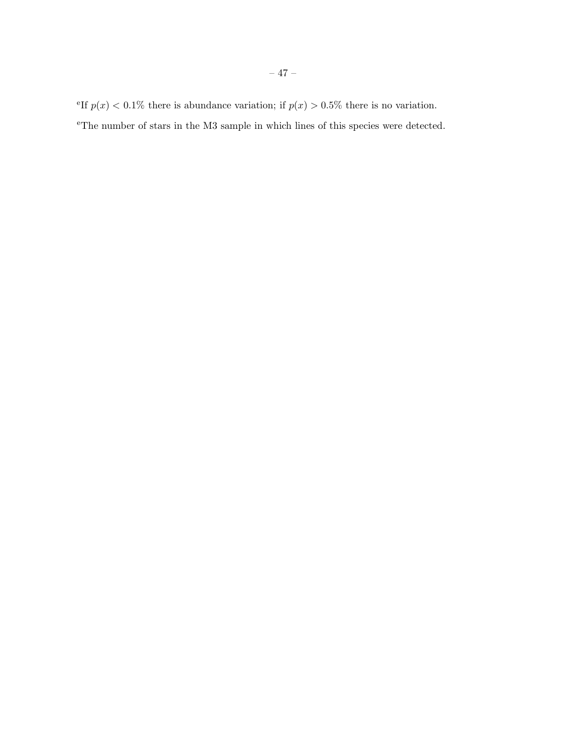<sup>e</sup>The number of stars in the M3 sample in which lines of this species were detected.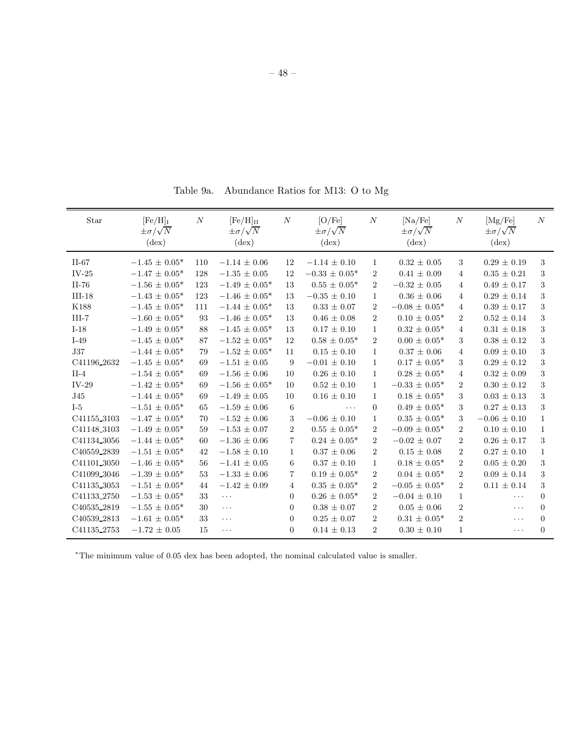Table 9a. Abundance Ratios for M13: O to Mg

| Star                    | $[Fe/H]$ <sub>I</sub><br>$\pm \sigma/\sqrt{N}$<br>$(\text{dex})$ | N   | $[Fe/H]_{II}$<br>$\pm \sigma/\sqrt{N}$<br>$(\text{dex})$ | $\cal N$         | [O/Fe]<br>$\pm \sigma/\sqrt{N}$<br>$(\text{dex})$ | $\cal N$       | [Na/Fe]<br>$\pm \sigma/\sqrt{N}$<br>$(\text{dex})$ | $\boldsymbol{N}$ | [Mg/Fe]<br>$\pm \sigma/\sqrt{N}$<br>$(\text{dex})$ | N            |
|-------------------------|------------------------------------------------------------------|-----|----------------------------------------------------------|------------------|---------------------------------------------------|----------------|----------------------------------------------------|------------------|----------------------------------------------------|--------------|
| $II-67$                 | $-1.45 \pm 0.05*$                                                | 110 | $-1.14 \pm 0.06$                                         | 12               | $-1.14 \pm 0.10$                                  | $\mathbf{1}$   | $0.32 \pm 0.05$                                    | 3                | $0.29 \pm 0.19$                                    | 3            |
| $IV-25$                 | $-1.47 \pm 0.05^*$                                               | 128 | $-1.35 \pm 0.05$                                         | 12               | $-0.33 \pm 0.05*$                                 | $\overline{2}$ | $0.41 \pm 0.09$                                    | 4                | $0.35 \pm 0.21$                                    | 3            |
| II-76                   | $-1.56 \pm 0.05*$                                                | 123 | $-1.49 \pm 0.05*$                                        | 13               | $0.55 \pm 0.05*$                                  | $\overline{2}$ | $-0.32 \pm 0.05$                                   | $\overline{4}$   | $0.49 \pm 0.17$                                    | 3            |
| $III-18$                | $-1.43 \pm 0.05^*$                                               | 123 | $-1.46 \pm 0.05^*$                                       | 13               | $-0.35 \pm 0.10$                                  | 1              | $0.36 \pm 0.06$                                    | $\overline{4}$   | $0.29 \pm 0.14$                                    | 3            |
| K188                    | $-1.45 \pm 0.05^*$                                               | 111 | $-1.44 \pm 0.05*$                                        | 13               | $0.33 \pm 0.07$                                   | $\,2$          | $-0.08 \pm 0.05*$                                  | $\overline{4}$   | $0.39 \pm 0.17$                                    | 3            |
| $III-7$                 | $-1.60 \pm 0.05*$                                                | 93  | $-1.46 \pm 0.05*$                                        | 13               | $0.46 \pm 0.08$                                   | $\overline{2}$ | $0.10 \pm 0.05*$                                   | $\overline{2}$   | $0.52 \pm 0.14$                                    | 3            |
| $I-18$                  | $-1.49 \pm 0.05^*$                                               | 88  | $-1.45 \pm 0.05^*$                                       | 13               | $0.17 \pm 0.10$                                   | $\mathbf{1}$   | $0.32 \pm 0.05^*$                                  | $\overline{4}$   | $0.31 \pm 0.18$                                    | $\,3$        |
| $I-49$                  | $-1.45 \pm 0.05^*$                                               | 87  | $-1.52 \pm 0.05^*$                                       | 12               | $0.58 \pm 0.05*$                                  | $\overline{2}$ | $0.00 \pm 0.05*$                                   | 3                | $0.38 \pm 0.12$                                    | 3            |
| <b>J37</b>              | $-1.44 \pm 0.05*$                                                | 79  | $-1.52 \pm 0.05^*$                                       | 11               | $0.15 \pm 0.10$                                   | $\mathbf{1}$   | $0.37 \pm 0.06$                                    | 4                | $0.09 \pm 0.10$                                    | 3            |
| C41196_2632             | $-1.45 \pm 0.05^*$                                               | 69  | $-1.51 \pm 0.05$                                         | 9                | $-0.01 \pm 0.10$                                  | 1              | $0.17 \pm 0.05*$                                   | 3                | $0.29 \pm 0.12$                                    | 3            |
| $II-4$                  | $-1.54 \pm 0.05^*$                                               | 69  | $-1.56 \pm 0.06$                                         | 10               | $0.26 \pm 0.10$                                   | $\mathbf{1}$   | $0.28 \pm 0.05*$                                   | $\overline{4}$   | $0.32\,\pm\,0.09$                                  | $\,3$        |
| $IV-29$                 | $-1.42 \pm 0.05*$                                                | 69  | $-1.56 \pm 0.05^*$                                       | 10               | $0.52 \pm 0.10$                                   | $\mathbf{1}$   | $-0.33 \pm 0.05*$                                  | $\overline{2}$   | $0.30 \pm 0.12$                                    | 3            |
| J45                     | $-1.44 \pm 0.05^*$                                               | 69  | $-1.49 \pm 0.05$                                         | 10               | $0.16 \pm 0.10$                                   | $\mathbf{1}$   | $0.18 \pm 0.05*$                                   | 3                | $0.03 \pm 0.13$                                    | 3            |
| $I-5$                   | $-1.51 \pm 0.05^*$                                               | 65  | $-1.59 \pm 0.06$                                         | 6                | $\cdots$                                          | $\Omega$       | $0.49 \pm 0.05^*$                                  | 3                | $0.27 \pm 0.13$                                    | 3            |
| C41155_3103             | $-1.47 \pm 0.05*$                                                | 70  | $-1.52 \pm 0.06$                                         | 3                | $-0.06 \pm 0.10$                                  | $\mathbf{1}$   | $0.35 \pm 0.05*$                                   | 3                | $-0.06 \pm 0.10$                                   | $\mathbf{1}$ |
| C41148 <sub>-3103</sub> | $-1.49 \pm 0.05*$                                                | 59  | $-1.53 \pm 0.07$                                         | $\overline{2}$   | $0.55 \pm 0.05*$                                  | $\overline{2}$ | $-0.09 \pm 0.05*$                                  | $\overline{2}$   | $0.10 \pm 0.10$                                    | $\mathbf{1}$ |
| C41134 <sub>-3056</sub> | $-1.44 \pm 0.05^*$                                               | 60  | $-1.36 \pm 0.06$                                         | $\overline{7}$   | $0.24 \pm 0.05*$                                  | $\overline{2}$ | $-0.02 \pm 0.07$                                   | $\overline{2}$   | $0.26 \pm 0.17$                                    | 3            |
| C40559_2839             | $-1.51 \pm 0.05^*$                                               | 42  | $-1.58 \pm 0.10$                                         | 1                | $0.37 \pm 0.06$                                   | $\overline{2}$ | $0.15 \pm 0.08$                                    | $\overline{2}$   | $0.27 \pm 0.10$                                    | $\mathbf{1}$ |
| C41101_3050             | $-1.46 \pm 0.05*$                                                | 56  | $-1.41 \pm 0.05$                                         | 6                | $0.37 \pm 0.10$                                   | $\mathbf{1}$   | $0.18 \pm 0.05*$                                   | $\overline{2}$   | $0.05 \pm 0.20$                                    | 3            |
| C41099 3046             | $-1.39 \pm 0.05*$                                                | 53  | $-1.33\,\pm\,0.06$                                       | $\overline{7}$   | $0.19 \pm 0.05^*$                                 | $\overline{2}$ | $0.04 \pm 0.05^*$                                  | $\overline{2}$   | $0.09 \pm 0.14$                                    | 3            |
| C41135 3053             | $-1.51 \pm 0.05^*$                                               | 44  | $-1.42 \pm 0.09$                                         | 4                | $0.35\,\pm\,0.05^*$                               | $\overline{2}$ | $-0.05 \pm 0.05*$                                  | $\overline{2}$   | $0.11 \pm 0.14$                                    | 3            |
| C41133_2750             | $-1.53 \pm 0.05^*$                                               | 33  | $\cdots$                                                 | $\overline{0}$   | $0.26 \pm 0.05^*$                                 | $\overline{2}$ | $-0.04 \pm 0.10$                                   | $\mathbf{1}$     | $\cdots$                                           | $\theta$     |
| C40535_2819             | $-1.55 \pm 0.05^*$                                               | 30  | $\ddotsc$                                                | $\boldsymbol{0}$ | $0.38 \pm 0.07$                                   | $\overline{2}$ | $0.05 \pm 0.06$                                    | $\overline{2}$   | .                                                  | $\theta$     |
| C40539_2813             | $-1.61 \pm 0.05*$                                                | 33  | $\cdots$                                                 | $\overline{0}$   | $0.25 \pm 0.07$                                   | $\sqrt{2}$     | $0.31 \pm 0.05*$                                   | $\overline{2}$   | .                                                  | $\Omega$     |
| C41135_2753             | $-1.72 \pm 0.05$                                                 | 15  | $\ddots$                                                 | $\overline{0}$   | $0.14 \pm 0.13$                                   | $\overline{2}$ | $0.30 \pm 0.10$                                    | $\mathbf{1}$     | $\cdots$                                           | $\Omega$     |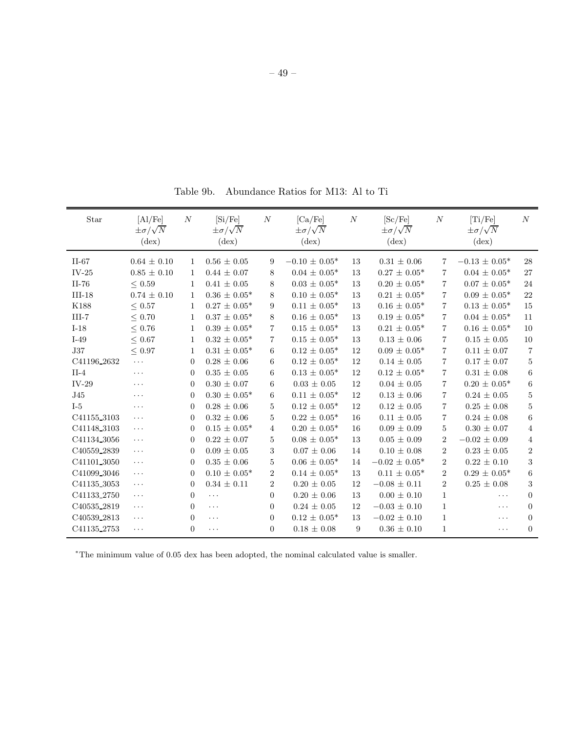Table 9b. Abundance Ratios for M13: Al to Ti

| Star                    | [A1/Fe]<br>$\pm \sigma/\sqrt{N}$<br>$(\text{dex})$ | $\boldsymbol{N}$ | [Si/Fe]<br>$\pm \sigma/\sqrt{N}$<br>$(\text{dex})$ | $\cal N$       | [Ca/Fe]<br>$\pm \sigma/\sqrt{N}$<br>$(\text{dex})$ | $\cal N$ | [Sc/Fe]<br>$\pm \sigma/\sqrt{N}$<br>$(\text{dex})$ | $\boldsymbol{N}$ | [Ti/Fe]<br>$\pm \sigma/\sqrt{N}$<br>$(\text{dex})$ | N              |
|-------------------------|----------------------------------------------------|------------------|----------------------------------------------------|----------------|----------------------------------------------------|----------|----------------------------------------------------|------------------|----------------------------------------------------|----------------|
| $II-67$                 | $0.64 \pm 0.10$                                    | $\mathbf{1}$     | $0.56 \pm 0.05$                                    | 9              | $-0.10 \pm 0.05^*$                                 | 13       | $0.31 \pm 0.06$                                    | $\overline{7}$   | $-0.13 \pm 0.05^*$                                 | 28             |
| $IV-25$                 | $0.85 \pm 0.10$                                    | 1                | $0.44 \pm 0.07$                                    | 8              | $0.04 \pm 0.05*$                                   | 13       | $0.27 \pm 0.05^*$                                  | $\overline{7}$   | $0.04 \pm 0.05*$                                   | 27             |
| $II-76$                 | $\leq$ 0.59                                        | 1                | $0.41 \pm 0.05$                                    | 8              | $0.03 \pm 0.05*$                                   | 13       | $0.20 \pm 0.05*$                                   | $\overline{7}$   | $0.07 \pm 0.05*$                                   | 24             |
| $III-18$                | $0.74 \pm 0.10$                                    | $\mathbf{1}$     | $0.36 \pm 0.05^*$                                  | 8              | $0.10 \pm 0.05^*$                                  | 13       | $0.21 \pm 0.05^*$                                  | $\overline{7}$   | $0.09 \pm 0.05^*$                                  | 22             |
| K188                    | $\leq$ 0.57                                        | $\mathbf{1}$     | $0.27 \pm 0.05^*$                                  | 9              | $0.11 \pm 0.05*$                                   | 13       | $0.16 \pm 0.05*$                                   | $\overline{7}$   | $0.13 \pm 0.05*$                                   | 15             |
| $III-7$                 | ${}< 0.70$                                         | $\mathbf{1}$     | $0.37 \pm 0.05^*$                                  | 8              | $0.16 \pm 0.05^*$                                  | 13       | $0.19 \pm 0.05*$                                   | $\overline{7}$   | $0.04 \pm 0.05*$                                   | 11             |
| $I-18$                  | $\leq$ 0.76                                        | 1                | $0.39 \pm 0.05*$                                   | 7              | $0.15 \pm 0.05*$                                   | 13       | $0.21\,\pm\,0.05^*$                                | $\overline{7}$   | $0.16 \pm 0.05*$                                   | 10             |
| $I-49$                  | $\leq$ 0.67                                        | 1                | $0.32 \pm 0.05*$                                   | 7              | $0.15 \pm 0.05^*$                                  | 13       | $0.13 \pm 0.06$                                    | $\overline{7}$   | $0.15 \pm 0.05$                                    | 10             |
| $_{\rm J37}$            | $\leq$ 0.97                                        | $\mathbf{1}$     | $0.31 \pm 0.05^*$                                  | 6              | $0.12 \pm 0.05^*$                                  | 12       | $0.09 \pm 0.05*$                                   | $\overline{7}$   | $0.11 \pm 0.07$                                    | $\overline{7}$ |
| C41196 <sub>-2632</sub> | $\cdots$                                           | $\overline{0}$   | $0.28 \pm 0.06$                                    | 6              | $0.12 \pm 0.05*$                                   | 12       | $0.14 \pm 0.05$                                    | 7                | $0.17 \pm 0.07$                                    | $\overline{5}$ |
| $II-4$                  | $\cdots$                                           | $\overline{0}$   | $0.35 \pm 0.05$                                    | 6              | $0.13 \pm 0.05^*$                                  | 12       | $0.12 \pm 0.05^*$                                  | $\overline{7}$   | $0.31 \pm 0.08$                                    | $\,6$          |
| $IV-29$                 | $\cdots$                                           | $\theta$         | $0.30 \pm 0.07$                                    | 6              | $0.03 \pm 0.05$                                    | 12       | $0.04 \pm 0.05$                                    | 7                | $0.20 \pm 0.05*$                                   | $\,6\,$        |
| J45                     | $\cdots$                                           | $\Omega$         | $0.30 \pm 0.05*$                                   | 6              | $0.11 \pm 0.05*$                                   | 12       | $0.13 \pm 0.06$                                    | $\overline{7}$   | $0.24 \pm 0.05$                                    | $\overline{5}$ |
| $I-5$                   | $\cdots$                                           | $\theta$         | $0.28 \pm 0.06$                                    | 5              | $0.12 \pm 0.05*$                                   | 12       | $0.12 \pm 0.05$                                    | 7                | $0.25 \pm 0.08$                                    | $\bf 5$        |
| C41155_3103             | $\ddots$                                           | $\overline{0}$   | $0.32 \pm 0.06$                                    | 5              | $0.22 \pm 0.05^*$                                  | 16       | $0.11 \pm 0.05$                                    | $\overline{7}$   | $0.24 \pm 0.08$                                    | $\,6\,$        |
| C41148_3103             | $\cdots$                                           | $\theta$         | $0.15 \pm 0.05*$                                   | 4              | $0.20 \pm 0.05*$                                   | 16       | $0.09 \pm 0.09$                                    | 5                | $0.30 \pm 0.07$                                    | $\overline{4}$ |
| C41134_3056             | $\cdots$                                           | $\overline{0}$   | $0.22 \pm 0.07$                                    | 5              | $0.08 \pm 0.05*$                                   | 13       | $0.05 \pm 0.09$                                    | $\overline{2}$   | $-0.02 \pm 0.09$                                   | $\overline{4}$ |
| C40559 <sub>-2839</sub> | $\cdots$                                           | $\theta$         | $0.09 \pm 0.05$                                    | 3              | $0.07 \pm 0.06$                                    | 14       | $0.10 \pm 0.08$                                    | $\overline{2}$   | $0.23 \pm 0.05$                                    | $\overline{2}$ |
| C41101 3050             | $\cdots$                                           | $\overline{0}$   | $0.35 \pm 0.06$                                    | 5              | $0.06 \pm 0.05*$                                   | 14       | $-0.02 \pm 0.05^*$                                 | $\overline{2}$   | $0.22 \pm 0.10$                                    | $\sqrt{3}$     |
| C41099 3046             | $\cdots$                                           | $\theta$         | $0.10 \pm 0.05*$                                   | $\overline{2}$ | $0.14 \pm 0.05*$                                   | 13       | $0.11 \pm 0.05*$                                   | 2                | $0.29 \pm 0.05*$                                   | $\,6$          |
| C41135 3053             | $\cdots$                                           | $\overline{0}$   | $0.34 \pm 0.11$                                    | $\overline{2}$ | $0.20 \pm 0.05$                                    | 12       | $-0.08 \pm 0.11$                                   | $\overline{2}$   | $0.25 \pm 0.08$                                    | $\sqrt{3}$     |
| C41133_2750             | $\cdots$                                           | $\overline{0}$   | $\ldots$                                           | $\Omega$       | $0.20 \pm 0.06$                                    | 13       | $0.00 \pm 0.10$                                    | $\mathbf{1}$     | $\cdots$                                           | $\overline{0}$ |
| C40535_2819             | $\cdots$                                           | $\overline{0}$   | $\cdots$                                           | $\overline{0}$ | $0.24 \pm 0.05$                                    | 12       | $-0.03 \pm 0.10$                                   | $\mathbf{1}$     | $\cdots$                                           | $\overline{0}$ |
| C40539_2813             | $\cdots$                                           | $\overline{0}$   | $\ldots$                                           | $\overline{0}$ | $0.12 \pm 0.05^*$                                  | 13       | $-0.02 \pm 0.10$                                   | $\mathbf{1}$     | $\cdots$                                           | $\overline{0}$ |
| C41135_2753             | $\ldots$                                           | $\overline{0}$   | $\ldots$                                           | $\overline{0}$ | $0.18 \pm 0.08$                                    | 9        | $0.36 \pm 0.10$                                    | $\mathbf{1}$     | $\ldots$                                           | $\Omega$       |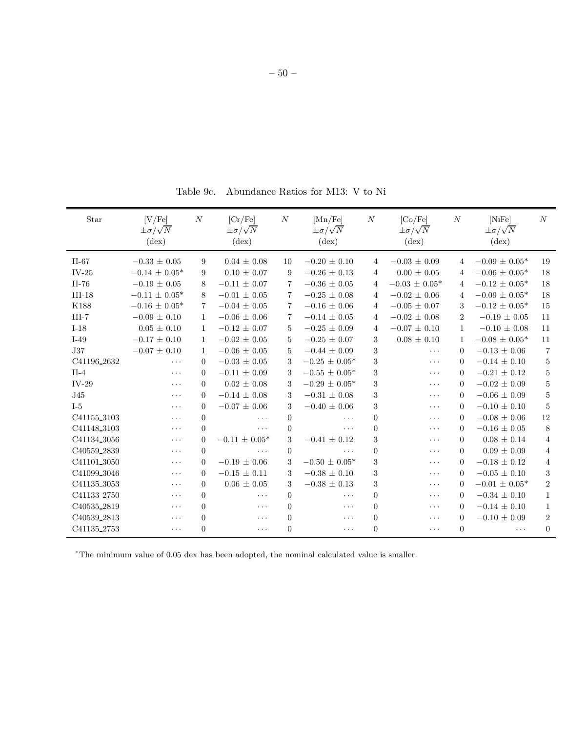Table 9c. Abundance Ratios for M13: V to Ni

| Star        | [V/Fe]<br>$\pm \sigma/\sqrt{N}$<br>$(\text{dex})$ | $\boldsymbol{N}$ | [Cr/Fe]<br>$\pm \sigma/\sqrt{N}$<br>$(\text{dex})$ | $\boldsymbol{N}$ | [Mn/Fe]<br>$\pm \sigma/\sqrt{N}$<br>$(\text{dex})$ | N              | [Co/Fe]<br>$\pm \sigma/\sqrt{N}$<br>$(\text{dex})$ | $\boldsymbol{N}$ | [NiFe]<br>$\pm \sigma/\sqrt{N}$<br>$(\text{dex})$ | $\boldsymbol{N}$ |
|-------------|---------------------------------------------------|------------------|----------------------------------------------------|------------------|----------------------------------------------------|----------------|----------------------------------------------------|------------------|---------------------------------------------------|------------------|
| $II-67$     | $-0.33 \pm 0.05$                                  | 9                | $0.04 \pm 0.08$                                    | 10               | $-0.20 \pm 0.10$                                   | 4              | $-0.03 \pm 0.09$                                   | $\overline{4}$   | $-0.09 \pm 0.05*$                                 | 19               |
| $IV-25$     | $-0.14 \pm 0.05^*$                                | 9                | $0.10 \pm 0.07$                                    | 9                | $-0.26 \pm 0.13$                                   | $\overline{4}$ | $0.00 \pm 0.05$                                    | 4                | $-0.06 \pm 0.05^*$                                | 18               |
| $II-76$     | $-0.19 \pm 0.05$                                  | 8                | $-0.11 \pm 0.07$                                   | $\overline{7}$   | $-0.36 \pm 0.05$                                   | $\overline{4}$ | $-0.03 \pm 0.05*$                                  | $\overline{4}$   | $-0.12 \pm 0.05^*$                                | 18               |
| $III-18$    | $-0.11 \pm 0.05*$                                 | 8                | $-0.01 \pm 0.05$                                   | $\overline{7}$   | $-0.25 \pm 0.08$                                   | $\overline{4}$ | $-0.02 \pm 0.06$                                   | $\overline{4}$   | $-0.09 \pm 0.05*$                                 | 18               |
| K188        | $-0.16 \pm 0.05^*$                                | 7                | $-0.04 \pm 0.05$                                   | $\overline{7}$   | $-0.16 \pm 0.06$                                   | 4              | $-0.05 \pm 0.07$                                   | 3                | $-0.12 \pm 0.05^*$                                | 15               |
| $III-7$     | $-0.09 \pm 0.10$                                  | $\mathbf{1}$     | $-0.06 \pm 0.06$                                   | $\overline{7}$   | $-0.14 \pm 0.05$                                   | $\overline{4}$ | $-0.02 \pm 0.08$                                   | $\overline{2}$   | $-0.19 \pm 0.05$                                  | 11               |
| $I-18$      | $0.05 \pm 0.10$                                   | $\mathbf{1}$     | $-0.12 \pm 0.07$                                   | $5\phantom{.0}$  | $-0.25 \pm 0.09$                                   | $\overline{4}$ | $-0.07 \pm 0.10$                                   | $\mathbf{1}$     | $-0.10 \pm 0.08$                                  | 11               |
| $I-49$      | $-0.17 \pm 0.10$                                  | $\mathbf{1}$     | $-0.02 \pm 0.05$                                   | 5                | $-0.25 \pm 0.07$                                   | 3              | $0.08 \pm 0.10$                                    | $\mathbf{1}$     | $-0.08 \pm 0.05^*$                                | 11               |
| <b>J37</b>  | $-0.07 \pm 0.10$                                  | $\mathbf{1}$     | $-0.06 \pm 0.05$                                   | 5                | $-0.44 \pm 0.09$                                   | 3              | $\cdots$                                           | $\Omega$         | $-0.13 \pm 0.06$                                  | $\overline{7}$   |
| C41196_2632 | $\cdots$                                          | $\theta$         | $-0.03 \pm 0.05$                                   | 3                | $-0.25 \pm 0.05*$                                  | 3              | $\cdots$                                           | $\Omega$         | $-0.14 \pm 0.10$                                  | $\overline{5}$   |
| $II-4$      | $\ldots$                                          | $\Omega$         | $-0.11 \pm 0.09$                                   | 3                | $-0.55 \pm 0.05*$                                  | 3              | $\cdots$                                           | $\Omega$         | $-0.21 \pm 0.12$                                  | $\overline{5}$   |
| $IV-29$     | $\cdots$                                          | $\Omega$         | $0.02 \pm 0.08$                                    | 3                | $-0.29 \pm 0.05*$                                  | 3              | $\cdots$                                           | $\Omega$         | $-0.02 \pm 0.09$                                  | $\mathbf 5$      |
| J45         | $\ldots$                                          | $\Omega$         | $-0.14 \pm 0.08$                                   | 3                | $-0.31 \pm 0.08$                                   | 3              | $\cdots$                                           | $\Omega$         | $-0.06 \pm 0.09$                                  | $\bf 5$          |
| $I-5$       | $\cdots$                                          | $\Omega$         | $-0.07 \pm 0.06$                                   | 3                | $-0.40 \pm 0.06$                                   | 3              | $\cdots$                                           | $\Omega$         | $-0.10 \pm 0.10$                                  | 5                |
| C41155_3103 | $\cdots$                                          | $\overline{0}$   | $\ddots$                                           | $\mathbf{0}$     | $\cdots$                                           | $\overline{0}$ | $\cdots$                                           | $\Omega$         | $-0.08 \pm 0.06$                                  | $12\,$           |
| C41148_3103 | $\cdots$                                          | $\Omega$         | $\ddotsc$                                          | $\overline{0}$   | $\cdots$                                           | $\Omega$       | $\cdots$                                           | $\Omega$         | $-0.16 \pm 0.05$                                  | $\,8\,$          |
| C41134_3056 | $\cdots$                                          | $\Omega$         | $-0.11 \pm 0.05*$                                  | 3                | $-0.41 \pm 0.12$                                   | 3              | $\ddotsc$                                          | $\Omega$         | $0.08 \pm 0.14$                                   | $\overline{4}$   |
| C40559_2839 | $\cdots$                                          | $\Omega$         | $\ddotsc$                                          | $\overline{0}$   | $\cdots$                                           | $\Omega$       | $\cdots$                                           | $\Omega$         | $0.09 \pm 0.09$                                   | $\overline{4}$   |
| C41101 3050 | $\cdots$                                          | $\Omega$         | $-0.19 \pm 0.06$                                   | 3                | $-0.50 \pm 0.05*$                                  | 3              | $\ddotsc$                                          | $\Omega$         | $-0.18 \pm 0.12$                                  | $\overline{4}$   |
| C41099_3046 | $\cdots$                                          | $\Omega$         | $-0.15 \pm 0.11$                                   | 3                | $-0.38 \pm 0.10$                                   | 3              | $\ddots$                                           | $\Omega$         | $-0.05 \pm 0.10$                                  | 3                |
| C41135_3053 | $\cdots$                                          | $\Omega$         | $0.06 \pm 0.05$                                    | 3                | $-0.38 \pm 0.13$                                   | 3              | $\cdots$                                           | $\Omega$         | $-0.01 \pm 0.05^*$                                | $\overline{2}$   |
| C41133_2750 | $\cdots$                                          | $\Omega$         | .                                                  | $\overline{0}$   | $\cdots$                                           | $\Omega$       | $\cdots$                                           | $\Omega$         | $-0.34 \pm 0.10$                                  | $\mathbf{1}$     |
| C40535_2819 | $\cdots$                                          | $\theta$         | $\ddotsc$                                          | $\overline{0}$   | .                                                  | $\Omega$       | $\cdots$                                           | $\Omega$         | $-0.14 \pm 0.10$                                  | $\mathbf{1}$     |
| C40539_2813 | $\cdots$                                          | $\theta$         | $\ddots$                                           | $\overline{0}$   | $\cdots$                                           | $\Omega$       | $\cdots$                                           | $\theta$         | $-0.10 \pm 0.09$                                  | $\overline{2}$   |
| C41135_2753 | $\cdots$                                          | $\overline{0}$   | $\ddots$                                           | $\Omega$         | $\cdots$                                           | $\Omega$       | $\ddots$                                           | $\Omega$         | $\ldots$                                          | $\overline{0}$   |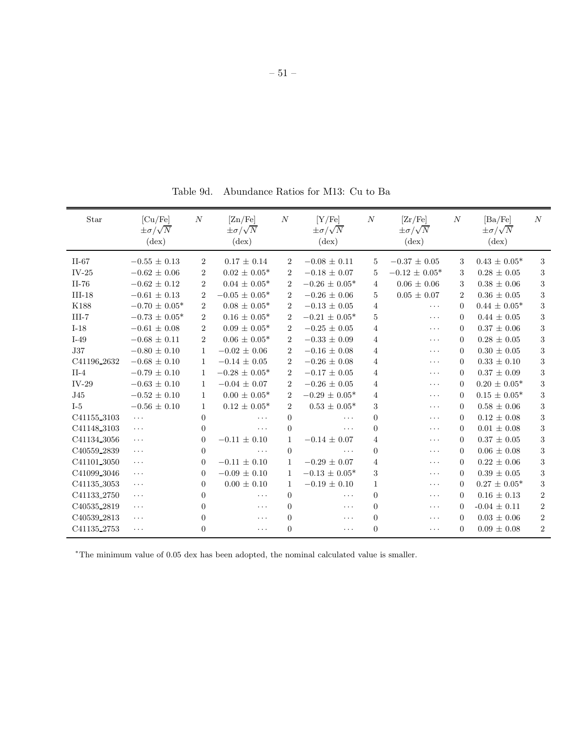Table 9d. Abundance Ratios for M13: Cu to Ba

| Star                    | $\left[ Cu/Fe \right]$<br>$\pm \sigma/\sqrt{N}$<br>$(\text{dex})$ | $\overline{N}$ | [Zn/Fe]<br>$\pm \sigma/\sqrt{N}$<br>$(\text{dex})$ | $\overline{N}$ | [Y/Fe]<br>$\pm \sigma/\sqrt{N}$<br>$(\text{dex})$ | $\boldsymbol{N}$ | $\rm [Zr/Fe]$<br>$\pm \sigma/\sqrt{N}$<br>$(\text{dex})$ | $\boldsymbol{N}$ | [Ba/Fe]<br>$\pm \sigma/\sqrt{N}$<br>$(\text{dex})$ | $\overline{N}$   |
|-------------------------|-------------------------------------------------------------------|----------------|----------------------------------------------------|----------------|---------------------------------------------------|------------------|----------------------------------------------------------|------------------|----------------------------------------------------|------------------|
| $II-67$                 | $-0.55 \pm 0.13$                                                  | $\overline{2}$ | $0.17 \pm 0.14$                                    | $\overline{2}$ | $-0.08 \pm 0.11$                                  | 5                | $-0.37 \pm 0.05$                                         | 3                | $0.43 \pm 0.05^*$                                  | 3                |
| $IV-25$                 | $-0.62 \pm 0.06$                                                  | $\overline{2}$ | $0.02 \pm 0.05^*$                                  | $\overline{2}$ | $-0.18 \pm 0.07$                                  | 5                | $-0.12 \pm 0.05^*$                                       | 3                | $0.28 \pm 0.05$                                    | 3                |
| II-76                   | $-0.62 \pm 0.12$                                                  | $\overline{2}$ | $0.04 \pm 0.05*$                                   | $\overline{2}$ | $-0.26 \pm 0.05*$                                 | 4                | $0.06 \pm 0.06$                                          | 3                | $0.38 \pm 0.06$                                    | $\sqrt{3}$       |
| $III-18$                | $-0.61 \pm 0.13$                                                  | $\overline{2}$ | $-0.05 \pm 0.05^*$                                 | $\overline{2}$ | $-0.26 \pm 0.06$                                  | 5                | $0.05 \pm 0.07$                                          | $\overline{2}$   | $0.36 \pm 0.05$                                    | $\,3$            |
| K188                    | $-0.70 \pm 0.05^*$                                                | $\overline{2}$ | $0.08 \pm 0.05*$                                   | $\overline{2}$ | $-0.13 \pm 0.05$                                  | $\overline{4}$   | $\ldots$ .                                               | $\Omega$         | $0.44 \pm 0.05^*$                                  | $\sqrt{3}$       |
| $III-7$                 | $-0.73 \pm 0.05^*$                                                | $\overline{2}$ | $0.16 \pm 0.05^*$                                  | $\overline{2}$ | $-0.21 \pm 0.05^*$                                | 5                | $\cdots$                                                 | $\Omega$         | $0.44 \pm 0.05$                                    | $\sqrt{3}$       |
| $I-18$                  | $-0.61 \pm 0.08$                                                  | $\overline{2}$ | $0.09 \pm 0.05^*$                                  | $\overline{2}$ | $-0.25 \pm 0.05$                                  | 4                | $\cdots$                                                 | $\Omega$         | $0.37 \pm 0.06$                                    | $\sqrt{3}$       |
| $I-49$                  | $-0.68 \pm 0.11$                                                  | $\overline{2}$ | $0.06 \pm 0.05^*$                                  | $\overline{2}$ | $-0.33 \pm 0.09$                                  | $\overline{4}$   | $\ldots$ .                                               | $\Omega$         | $0.28 \pm 0.05$                                    | $\sqrt{3}$       |
| J37                     | $-0.80 \pm 0.10$                                                  | $\mathbf{1}$   | $-0.02 \pm 0.06$                                   | $\overline{2}$ | $-0.16 \pm 0.08$                                  | 4                | $\cdots$                                                 | $\Omega$         | $0.30 \pm 0.05$                                    | $\sqrt{3}$       |
| C41196 <sub>-2632</sub> | $-0.68 \pm 0.10$                                                  | $\mathbf{1}$   | $-0.14 \pm 0.05$                                   | $\overline{2}$ | $-0.26 \pm 0.08$                                  | $\overline{4}$   | $\cdots$                                                 | $\Omega$         | $0.33 \pm 0.10$                                    | $\,3$            |
| $II-4$                  | $-0.79 \pm 0.10$                                                  | $\mathbf{1}$   | $-0.28 \pm 0.05^*$                                 | $\overline{2}$ | $-0.17 \pm 0.05$                                  | $\overline{4}$   | $\cdots$                                                 | $\Omega$         | $0.37 \pm 0.09$                                    | $\sqrt{3}$       |
| $IV-29$                 | $-0.63 \pm 0.10$                                                  | $\mathbf{1}$   | $-0.04 \pm 0.07$                                   | $\overline{2}$ | $-0.26 \pm 0.05$                                  | $\overline{4}$   | $\cdots$                                                 | $\Omega$         | $0.20 \pm 0.05^*$                                  | $\sqrt{3}$       |
| J45                     | $-0.52 \pm 0.10$                                                  | 1              | $0.00 \pm 0.05*$                                   | $\overline{2}$ | $-0.29 \pm 0.05^*$                                | 4                | $\cdots$                                                 | $\Omega$         | $0.15 \pm 0.05^*$                                  | $\sqrt{3}$       |
| $I-5$                   | $-0.56 \pm 0.10$                                                  | 1              | $0.12 \pm 0.05^*$                                  | $\overline{2}$ | $0.53 \pm 0.05^*$                                 | 3                | $\cdots$                                                 | $\Omega$         | $0.58 \pm 0.06$                                    | $\sqrt{3}$       |
| C41155_3103             | $\ldots$                                                          | $\theta$       | .                                                  | $\overline{0}$ | $\cdots$                                          | $\boldsymbol{0}$ | $\cdots$                                                 | $\Omega$         | $0.12\,\pm\,0.08$                                  | $\,3$            |
| C41148_3103             | $\ldots$ .                                                        | $\theta$       | .                                                  | $\overline{0}$ | $\cdots$                                          | $\overline{0}$   | $\cdots$                                                 | $\Omega$         | $0.01 \pm 0.08$                                    | $\,3$            |
| C41134 <sub>3056</sub>  | $\cdots$                                                          | $\overline{0}$ | $-0.11 \pm 0.10$                                   | 1              | $-0.14 \pm 0.07$                                  | 4                | $\cdots$                                                 | $\Omega$         | $0.37\,\pm\,0.05$                                  | $\,3$            |
| C40559 <sub>-2839</sub> | $\cdots$                                                          | $\Omega$       | .                                                  | $\Omega$       | .                                                 | $\overline{0}$   | $\cdots$                                                 | $\Omega$         | $0.06 \pm 0.08$                                    | $\sqrt{3}$       |
| C41101_3050             | $\ldots$ .                                                        | $\Omega$       | $-0.11 \pm 0.10$                                   | $\mathbf{1}$   | $-0.29 \pm 0.07$                                  | $\overline{4}$   | $\cdots$                                                 | $\Omega$         | $0.22 \pm 0.06$                                    | $\sqrt{3}$       |
| C41099 3046             | $\ldots$ .                                                        | $\Omega$       | $-0.09 \pm 0.10$                                   | 1              | $-0.13 \pm 0.05*$                                 | $\sqrt{3}$       | $\cdots$                                                 | $\Omega$         | $0.39 \pm 0.05$                                    | $\sqrt{3}$       |
| C41135 3053             | $\ldots$                                                          | $\Omega$       | $0.00 \pm 0.10$                                    | 1              | $-0.19 \pm 0.10$                                  | $\mathbf{1}$     | $\cdots$                                                 | $\Omega$         | $0.27 \pm 0.05^*$                                  | $\,3$            |
| C41133_2750             | $\ldots$                                                          | $\Omega$       | .                                                  | $\Omega$       | .                                                 | $\overline{0}$   | $\ddots$                                                 | $\Omega$         | $0.16 \pm 0.13$                                    | $\overline{2}$   |
| C40535_2819             | $\ldots$                                                          | $\theta$       | .                                                  | $\Omega$       | $\cdots$                                          | $\theta$         | $\cdots$                                                 | $\Omega$         | $-0.04 \pm 0.11$                                   | $\boldsymbol{2}$ |
| C40539_2813             | $\ldots$ .                                                        | $\theta$       | $\ddots$                                           | $\theta$       | $\cdots$                                          | $\Omega$         | $\cdots$                                                 | $\Omega$         | $0.03\,\pm\,0.06$                                  | $\,2$            |
| C41135_2753             | $\ldots$                                                          | $\overline{0}$ | $\cdots$                                           | $\overline{0}$ | $\cdots$                                          | $\overline{0}$   | $\ldots$ .                                               | $\overline{0}$   | $0.09 \pm 0.08$                                    | $\overline{2}$   |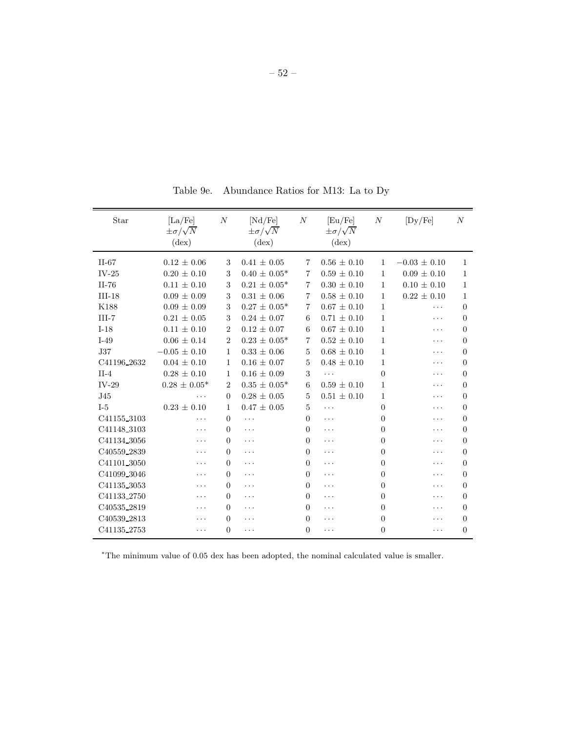| Star        | $\rm [La/Fe]$<br>$\pm \sigma/\sqrt{N}$<br>$(\text{dex})$ | $\cal N$       | [Nd/Fe]<br>$\pm \sigma/\sqrt{N}$<br>$(\text{dex})$ | $\cal N$       | [Eu/Fe]<br>$\pm \sigma/\sqrt{N}$<br>$(\text{dex})$ | $\cal N$       | [Dy/Fe]          | $\boldsymbol{N}$ |
|-------------|----------------------------------------------------------|----------------|----------------------------------------------------|----------------|----------------------------------------------------|----------------|------------------|------------------|
| $II-67$     | $0.12 \pm 0.06$                                          | 3              | $0.41 \pm 0.05$                                    | $\overline{7}$ | $0.56 \pm 0.10$                                    | $\mathbf{1}$   | $-0.03 \pm 0.10$ | 1                |
| $IV-25$     | $0.20 \pm 0.10$                                          | 3              | $0.40 \pm 0.05*$                                   | $\overline{7}$ | $0.59 \pm 0.10$                                    | $\mathbf{1}$   | $0.09 \pm 0.10$  | 1                |
| $II-76$     | $0.11 \pm 0.10$                                          | 3              | $0.21 \pm 0.05^*$                                  | 7              | $0.30 \pm 0.10$                                    | $\mathbf{1}$   | $0.10 \pm 0.10$  | 1                |
| $III-18$    | $0.09 \pm 0.09$                                          | 3              | $0.31 \pm 0.06$                                    | 7              | $0.58 \pm 0.10$                                    | $\mathbf{1}$   | $0.22 \pm 0.10$  | $\mathbf{1}$     |
| K188        | $0.09 \pm 0.09$                                          | 3              | $0.27 \pm 0.05^*$                                  | 7              | $0.67 \pm 0.10$                                    | 1              | .                | $\theta$         |
| $III-7$     | $0.21 \pm 0.05$                                          | 3              | $0.24 \pm 0.07$                                    | 6              | $0.71 \pm 0.10$                                    | 1              | .                | $\theta$         |
| $I-18$      | $0.11 \pm 0.10$                                          | $\overline{2}$ | $0.12 \pm 0.07$                                    | 6              | $0.67 \pm 0.10$                                    | $\mathbf{1}$   | .                | $\theta$         |
| $I-49$      | $0.06 \pm 0.14$                                          | $\overline{2}$ | $0.23 \pm 0.05^*$                                  | $\overline{7}$ | $0.52 \pm 0.10$                                    | $\mathbf{1}$   | $\ddotsc$        | $\Omega$         |
| <b>J37</b>  | $-0.05 \pm 0.10$                                         | 1              | $0.33 \pm 0.06$                                    | 5              | $0.68 \pm 0.10$                                    | $\mathbf{1}$   | .                | $\Omega$         |
| C41196_2632 | $0.04 \pm 0.10$                                          | $\mathbf{1}$   | $0.16 \pm 0.07$                                    | 5              | $0.48 \pm 0.10$                                    | 1              | $\ddotsc$        | 0                |
| $II-4$      | $0.28 \pm 0.10$                                          | 1              | $0.16 \pm 0.09$                                    | 3              |                                                    | $\overline{0}$ | .                | $\Omega$         |
| $IV-29$     | $0.28 \pm 0.05^*$                                        | $\overline{2}$ | $0.35 \pm 0.05^*$                                  | 6              | $0.59 \pm 0.10$                                    | 1              | .                | $\theta$         |
| J45         | .                                                        | $\theta$       | $0.28 \pm 0.05$                                    | 5              | $0.51 \pm 0.10$                                    | 1              | .                | $\Omega$         |
| $I-5$       | $0.23 \pm 0.10$                                          | $\mathbf{1}$   | $0.47 \pm 0.05$                                    | 5              | .                                                  | 0              | .                | 0                |
| C41155_3103 | .                                                        | $\overline{0}$ | $\ddots$                                           | $\overline{0}$ | .                                                  | 0              | .                | $\theta$         |
| C41148_3103 | $\ddots$                                                 | $\Omega$       | $\ddotsc$                                          | $\Omega$       | $\cdots$                                           | 0              | .                | $\Omega$         |
| C41134_3056 | .                                                        | $\Omega$       | $\cdots$                                           | $\Omega$       | .                                                  | $\theta$       | .                | $\Omega$         |
| C40559_2839 | .                                                        | $\Omega$       | .                                                  | $\Omega$       | $\ddots$                                           | 0              | .                | $\Omega$         |
| C41101_3050 | .                                                        | $\Omega$       | $\ddotsc$                                          | $\Omega$       | .                                                  | 0              | .                | $\Omega$         |
| C41099 3046 | .                                                        | $\Omega$       | $\cdots$                                           | $\overline{0}$ | .                                                  | 0              | .                | $\theta$         |
| C41135 3053 | .                                                        | $\Omega$       | $\ddotsc$                                          | $\Omega$       | .                                                  | 0              | .                | $\Omega$         |
| C41133_2750 | .                                                        | $\Omega$       | $\cdots$                                           | $\Omega$       | .                                                  | 0              | .                | $\overline{0}$   |
| C40535_2819 | .                                                        | $\Omega$       | $\ddotsc$                                          | $\Omega$       | .                                                  | 0              | .                | $\theta$         |
| C40539_2813 | .                                                        | $\Omega$       | .                                                  | $\Omega$       | .                                                  | 0              | .                | $\Omega$         |
| C41135_2753 | .                                                        | $\Omega$       | .                                                  | $\overline{0}$ | .                                                  | 0              | .                | $\Omega$         |

Table 9e. Abundance Ratios for M13: La to Dy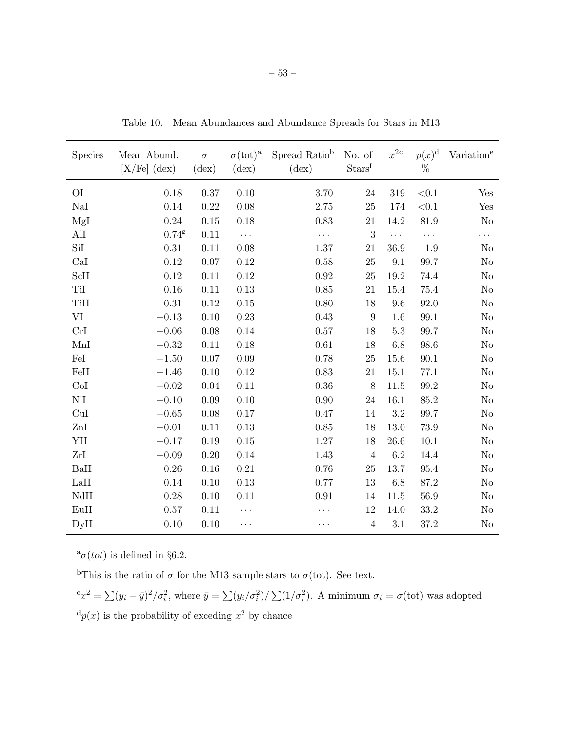| Species        | Mean Abund.<br>$[X/Fe]$ (dex) | $\sigma$<br>$(\text{dex})$ | $\sigma(\text{tot})^{\text{a}}$<br>$(\text{dex})$ | Spread Ratio <sup>b</sup><br>$(\text{dex})$ | No. of<br>Starsf | $x^{2c}$ | $p(x)^{\rm d}$<br>% | Variation <sup>e</sup> |
|----------------|-------------------------------|----------------------------|---------------------------------------------------|---------------------------------------------|------------------|----------|---------------------|------------------------|
| O <sub>I</sub> | 0.18                          | $0.37\,$                   | 0.10                                              | $3.70\,$                                    | $24\,$           | 319      | $<\!\!0.1$          | Yes                    |
| NaI            | 0.14                          | 0.22                       | 0.08                                              | 2.75                                        | 25               | 174      | $<\!\!0.1$          | Yes                    |
| MgI            | $0.24\,$                      | $0.15\,$                   | 0.18                                              | 0.83                                        | 21               | 14.2     | 81.9                | $\rm No$               |
| AlI            | $0.74$ g                      | 0.11                       | $\ddots$                                          | .                                           | 3                | $\ldots$ | $\ldots$            | $\cdots$               |
| SiI            | 0.31                          | 0.11                       | 0.08                                              | 1.37                                        | 21               | 36.9     | 1.9                 | N <sub>o</sub>         |
| CaI            | 0.12                          | $0.07\,$                   | 0.12                                              | $0.58\,$                                    | 25               | 9.1      | 99.7                | No                     |
| ScII           | 0.12                          | 0.11                       | 0.12                                              | $\rm 0.92$                                  | 25               | 19.2     | 74.4                | No                     |
| TiI            | 0.16                          | 0.11                       | 0.13                                              | $0.85\,$                                    | $21\,$           | 15.4     | 75.4                | No                     |
| TiII           | 0.31                          | 0.12                       | 0.15                                              | 0.80                                        | 18               | 9.6      | 92.0                | No                     |
| VI             | $-0.13$                       | 0.10                       | 0.23                                              | 0.43                                        | 9                | 1.6      | 99.1                | No                     |
| CrI            | $-0.06$                       | $0.08\,$                   | 0.14                                              | $0.57\,$                                    | 18               | $5.3\,$  | 99.7                | $\rm No$               |
| MnI            | $-0.32$                       | 0.11                       | 0.18                                              | 0.61                                        | 18               | 6.8      | 98.6                | N <sub>o</sub>         |
| FeI            | $-1.50$                       | 0.07                       | 0.09                                              | 0.78                                        | 25               | 15.6     | 90.1                | N <sub>o</sub>         |
| FeII           | $-1.46$                       | 0.10                       | 0.12                                              | 0.83                                        | 21               | 15.1     | 77.1                | No                     |
| CoI            | $-0.02$                       | 0.04                       | 0.11                                              | 0.36                                        | 8                | 11.5     | 99.2                | N <sub>o</sub>         |
| NiI            | $-0.10$                       | $0.09\,$                   | 0.10                                              | 0.90                                        | $24\,$           | 16.1     | 85.2                | No                     |
| CuI            | $-0.65$                       | 0.08                       | 0.17                                              | 0.47                                        | 14               | 3.2      | 99.7                | No                     |
| ZnI            | $-0.01$                       | 0.11                       | 0.13                                              | 0.85                                        | 18               | 13.0     | $73.9\,$            | No                     |
| YII            | $-0.17$                       | $0.19\,$                   | $0.15\,$                                          | 1.27                                        | 18               | 26.6     | 10.1                | No                     |
| ZrI            | $-0.09$                       | 0.20                       | 0.14                                              | 1.43                                        | $\overline{4}$   | 6.2      | 14.4                | No                     |
| BaII           | 0.26                          | 0.16                       | 0.21                                              | 0.76                                        | 25               | 13.7     | 95.4                | N <sub>o</sub>         |
| LaII           | 0.14                          | 0.10                       | 0.13                                              | 0.77                                        | 13               | 6.8      | 87.2                | No                     |
| NdII           | 0.28                          | 0.10                       | 0.11                                              | 0.91                                        | 14               | 11.5     | $56.9\,$            | No                     |
| EuII           | $0.57\,$                      | $0.11\,$                   | .                                                 | .                                           | $12\,$           | 14.0     | $33.2\,$            | $\rm No$               |
| DyII           | 0.10                          | 0.10                       | $\ddotsc$                                         | .                                           | $\overline{4}$   | 3.1      | 37.2                | No                     |

Table 10. Mean Abundances and Abundance Spreads for Stars in M13

 $^a\sigma(tot)$  is defined in §6.2.

<sup>b</sup>This is the ratio of  $\sigma$  for the M13 sample stars to  $\sigma$ (tot). See text.

 ${}^c x^2 = \sum (y_i - \bar{y})^2 / \sigma_i^2$ , where  $\bar{y} = \sum (y_i / \sigma_i^2) / \sum (1 / \sigma_i^2)$ . A minimum  $\sigma_i = \sigma(\text{tot})$  was adopted  ${}^{d}p(x)$  is the probability of exceding  $x^{2}$  by chance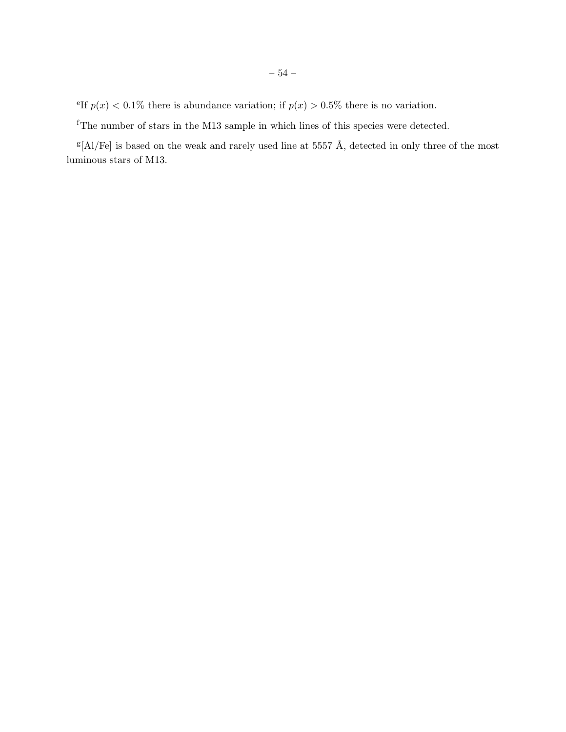<sup>e</sup>If  $p(x) < 0.1\%$  there is abundance variation; if  $p(x) > 0.5\%$  there is no variation.

 $^{\rm f}$  The number of stars in the M13 sample in which lines of this species were detected.

 $g[A]/Fe$  is based on the weak and rarely used line at 5557 Å, detected in only three of the most luminous stars of M13.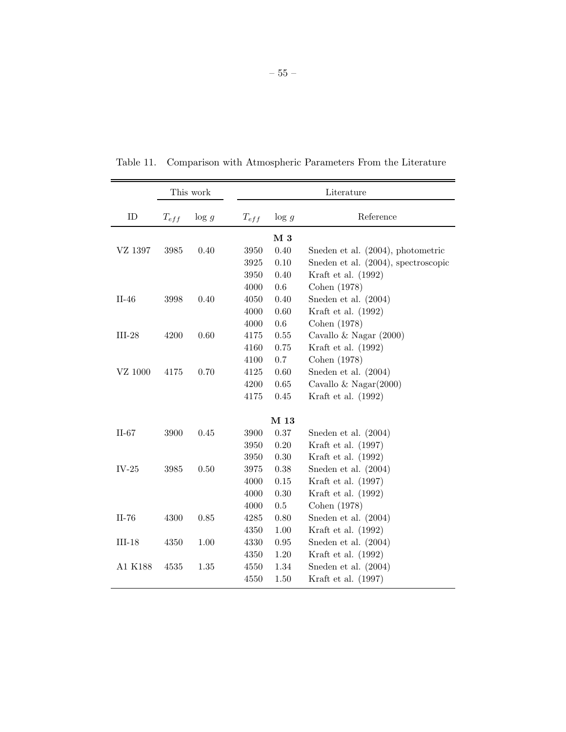|                 |           | This work |           |          | Literature                          |
|-----------------|-----------|-----------|-----------|----------|-------------------------------------|
| ID              | $T_{eff}$ | $\log g$  | $T_{eff}$ | $\log g$ | Reference                           |
|                 |           |           |           | M 3      |                                     |
| VZ 1397         | 3985      | 0.40      | 3950      | 0.40     | Sneden et al. (2004), photometric   |
|                 |           |           | 3925      | 0.10     | Sneden et al. (2004), spectroscopic |
|                 |           |           | 3950      | 0.40     | Kraft et al. (1992)                 |
|                 |           |           | 4000      | 0.6      | Cohen (1978)                        |
| $II-46$         | 3998      | 0.40      | 4050      | 0.40     | Sneden et al. (2004)                |
|                 |           |           | 4000      | 0.60     | Kraft et al. (1992)                 |
|                 |           |           | 4000      | 0.6      | Cohen (1978)                        |
| $\text{III-}28$ | 4200      | 0.60      | 4175      | $0.55\,$ | Cavallo & Nagar $(2000)$            |
|                 |           |           | 4160      | 0.75     | Kraft et al. (1992)                 |
|                 |           |           | 4100      | 0.7      | Cohen (1978)                        |
| VZ 1000         | 4175      | 0.70      | 4125      | 0.60     | Sneden et al. $(2004)$              |
|                 |           |           | 4200      | 0.65     | Cavallo & Nagar $(2000)$            |
|                 |           |           | 4175      | 0.45     | Kraft et al. (1992)                 |
|                 |           |           |           | M 13     |                                     |
| $II-67$         | 3900      | 0.45      | 3900      | 0.37     | Sneden et al. $(2004)$              |
|                 |           |           | 3950      | $0.20\,$ | Kraft et al. (1997)                 |
|                 |           |           | 3950      | $0.30\,$ | Kraft et al. (1992)                 |
| $IV-25$         | 3985      | 0.50      | 3975      | $0.38\,$ | Sneden et al. $(2004)$              |
|                 |           |           | 4000      | 0.15     | Kraft et al. $(1997)$               |
|                 |           |           | 4000      | $0.30\,$ | Kraft et al. (1992)                 |
|                 |           |           | 4000      | 0.5      | Cohen (1978)                        |
| $II-76$         | 4300      | 0.85      | 4285      | 0.80     | Sneden et al. $(2004)$              |
|                 |           |           | 4350      | $1.00\,$ | Kraft et al. (1992)                 |
| $III-18$        | 4350      | 1.00      | 4330      | 0.95     | Sneden et al. $(2004)$              |
|                 |           |           | 4350      | $1.20\,$ | Kraft et al. (1992)                 |
| A1 K188         | 4535      | 1.35      | 4550      | 1.34     | Sneden et al. $(2004)$              |
|                 |           |           | 4550      | 1.50     | Kraft et al. $(1997)$               |

Table 11. Comparison with Atmospheric Parameters From the Literature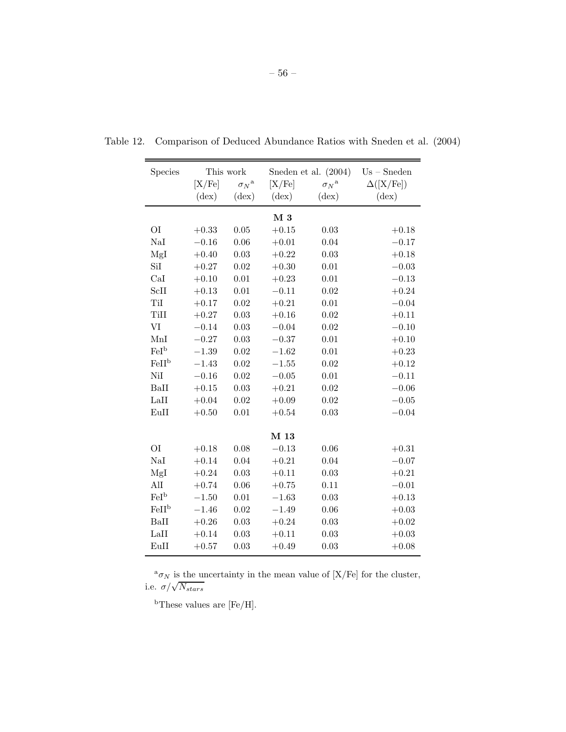| Species           |                | This work          |                | Sneden et al. $(2004)$ | $Us - Sneden$    |
|-------------------|----------------|--------------------|----------------|------------------------|------------------|
|                   | [X/Fe]         | $\sigma_N^{\rm a}$ | [X/Fe]         | ${\sigma_N}^{\rm a}$   | $\Delta([X/Fe])$ |
|                   | $(\text{dex})$ | $(\text{dex})$     | $(\text{dex})$ | $(\text{dex})$         | $(\text{dex})$   |
|                   |                |                    | $M_3$          |                        |                  |
| O <sub>I</sub>    | $+0.33$        | 0.05               | $+0.15$        | 0.03                   | $+0.18$          |
| NaI               | $-0.16$        | 0.06               | $+0.01$        | 0.04                   | $-0.17$          |
| MgI               | $+0.40$        | 0.03               | $+0.22$        | 0.03                   | $+0.18$          |
| SiI               | $+0.27$        | 0.02               | $+0.30$        | 0.01                   | $-0.03$          |
| CaI               | $+0.10$        | 0.01               | $+0.23$        | 0.01                   | $-0.13$          |
| ScII              | $+0.13$        | 0.01               | $-0.11$        | 0.02                   | $+0.24$          |
| TiI               | $+0.17$        | 0.02               | $+0.21$        | 0.01                   | $-0.04$          |
| TiII              | $+0.27$        | 0.03               | $+0.16$        | 0.02                   | $+0.11$          |
| VI                | $-0.14$        | 0.03               | $-0.04$        | 0.02                   | $-0.10$          |
| MnI               | $-0.27$        | 0.03               | $-0.37$        | 0.01                   | $+0.10$          |
| FeI <sup>b</sup>  | $-1.39$        | 0.02               | $-1.62$        | 0.01                   | $+0.23$          |
| FeII <sup>b</sup> | $-1.43$        | 0.02               | $-1.55$        | 0.02                   | $+0.12$          |
| NiI               | $-0.16$        | 0.02               | $-0.05$        | 0.01                   | $-0.11$          |
| BaII              | $+0.15$        | 0.03               | $+0.21$        | 0.02                   | $-0.06$          |
| LaII              | $+0.04$        | 0.02               | $+0.09$        | 0.02                   | $-0.05$          |
| EuII              | $+0.50$        | 0.01               | $+0.54$        | 0.03                   | $-0.04$          |
|                   |                |                    | M 13           |                        |                  |
| <b>OI</b>         | $+0.18$        | 0.08               | $-0.13$        | 0.06                   | $+0.31$          |
| NaI               | $+0.14$        | 0.04               | $+0.21$        | 0.04                   | $-0.07$          |
| MgI               | $+0.24$        | 0.03               | $+0.11$        | 0.03                   | $+0.21$          |
| AlI               | $+0.74$        | 0.06               | $+0.75$        | 0.11                   | $-0.01$          |
| FeI <sup>b</sup>  | $-1.50$        | 0.01               | $-1.63$        | 0.03                   | $+0.13$          |
| FeII <sup>b</sup> | $-1.46$        | 0.02               | $-1.49$        | 0.06                   | $+0.03$          |
| BaII              | $+0.26$        | 0.03               | $+0.24$        | 0.03                   | $+0.02$          |
| LaII              | $+0.14$        | 0.03               | $+0.11$        | 0.03                   | $+0.03$          |
| EuII              | $+0.57$        | 0.03               | $+0.49$        | 0.03                   | $+0.08$          |

Table 12. Comparison of Deduced Abundance Ratios with Sneden et al. (2004)

 $^{\rm a}\sigma_N$  is the uncertainty in the mean value of [X/Fe] for the cluster, i.e.  $\sigma/\sqrt{N_{stars}}$ 

<sup>b</sup>These values are [Fe/H].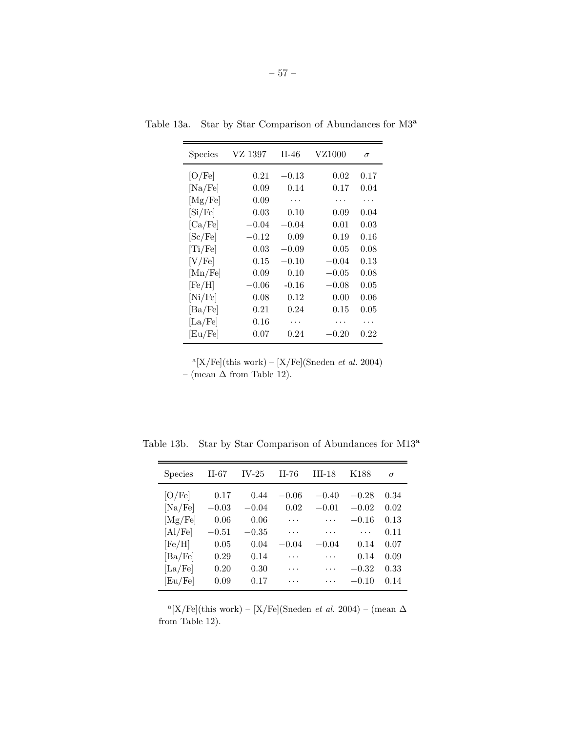| <b>Species</b>   | VZ 1397 | $II-46$   | VZ1000  | $\sigma$ |
|------------------|---------|-----------|---------|----------|
| [O/Fe]           | 0.21    | $-0.13\,$ | 0.02    | $0.17\,$ |
| [Na/Fe]          | 0.09    | 0.14      | 0.17    | 0.04     |
| [Mg/Fe]          | 0.09    | .         |         | .        |
| [Si/Fe]          | 0.03    | 0.10      | 0.09    | 0.04     |
| [Ca/Fe]          | $-0.04$ | $-0.04$   | 0.01    | 0.03     |
| [Sc/Fe]          | $-0.12$ | 0.09      | 0.19    | 0.16     |
| [Ti/Fe]          | 0.03    | $-0.09$   | 0.05    | 0.08     |
| $\rm [V/Fe]$     | 0.15    | $-0.10$   | $-0.04$ | 0.13     |
| [Mn/Fe]          | 0.09    | 0.10      | $-0.05$ | 0.08     |
| $[{\rm Fe/H}]$   | $-0.06$ | $-0.16$   | $-0.08$ | 0.05     |
| [Ni/Fe]          | 0.08    | 0.12      | 0.00    | 0.06     |
| $[\text{Ba/Fe}]$ | 0.21    | 0.24      | 0.15    | 0.05     |
| $[\text{La/Fe}]$ | 0.16    | .         |         |          |
| [Eu/Fe]          | 0.07    | 0.24      | $-0.20$ | 0.22     |

Table 13a. Star by Star Comparison of Abundances for M3<sup>a</sup>

 $a[X/Fe]$ (this work) –  $[X/Fe]$ (Sneden *et al.* 2004) – (mean  $\Delta$  from Table 12).

| <b>Species</b>       | II-67   | $IV-25$ | $II-76$ | $III-18$ | K188    | $\sigma$ |
|----------------------|---------|---------|---------|----------|---------|----------|
| [O/Fe]               | 0.17    | 0.44    | $-0.06$ | $-0.40$  | $-0.28$ | 0.34     |
| [Na/Fe]              | $-0.03$ | $-0.04$ | 0.02    | $-0.01$  | $-0.02$ | 0.02     |
| [Mg/Fe]              | 0.06    | 0.06    | .       | .        | $-0.16$ | 0.13     |
| [A1/Fe]              | $-0.51$ | $-0.35$ | .       | .        | .       | 0.11     |
| [Fe/H]               | 0.05    | 0.04    | $-0.04$ | $-0.04$  | 0.14    | 0.07     |
| [Ba/Fe]              | 0.29    | 0.14    | .       | .        | 0.14    | 0.09     |
| $\left[La/Fe\right]$ | 0.20    | 0.30    |         | .        | $-0.32$ | 0.33     |
| [Eu/Fe]              | 0.09    | 0.17    |         |          | $-0.10$ | 0.14     |

Table 13b. Star by Star Comparison of Abundances for M13<sup>a</sup>

<sup>a</sup>[X/Fe](this work) – [X/Fe](Sneden *et al.* 2004) – (mean  $\Delta$ from Table 12).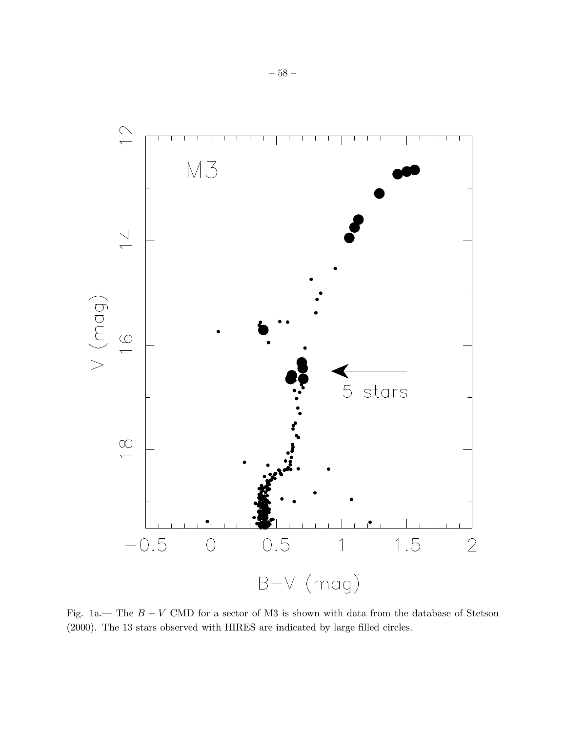

Fig. 1a.— The  $B - V$  CMD for a sector of M3 is shown with data from the database of Stetson (2000). The 13 stars observed with HIRES are indicated by large filled circles.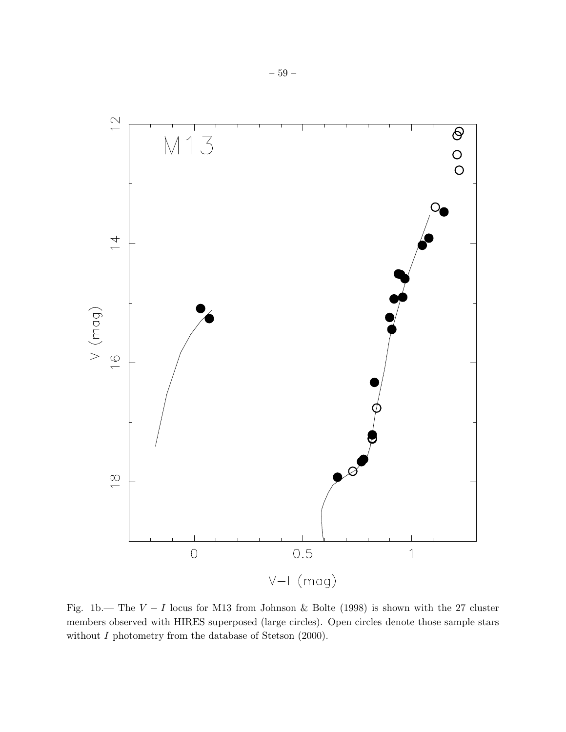

Fig. 1b.— The  $V - I$  locus for M13 from Johnson & Bolte (1998) is shown with the 27 cluster members observed with HIRES superposed (large circles). Open circles denote those sample stars without *I* photometry from the database of Stetson (2000).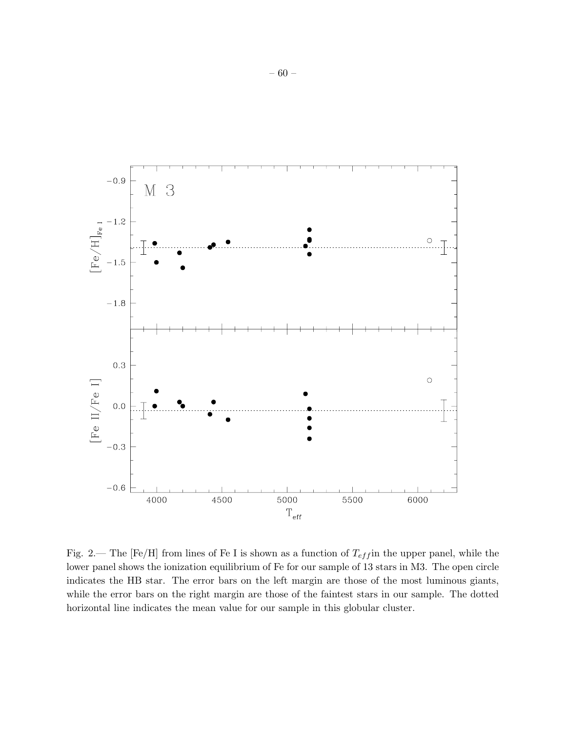

Fig. 2.— The [Fe/H] from lines of Fe I is shown as a function of  $T_{eff}$  in the upper panel, while the lower panel shows the ionization equilibrium of Fe for our sample of 13 stars in M3. The open circle indicates the HB star. The error bars on the left margin are those of the most luminous giants, while the error bars on the right margin are those of the faintest stars in our sample. The dotted horizontal line indicates the mean value for our sample in this globular cluster.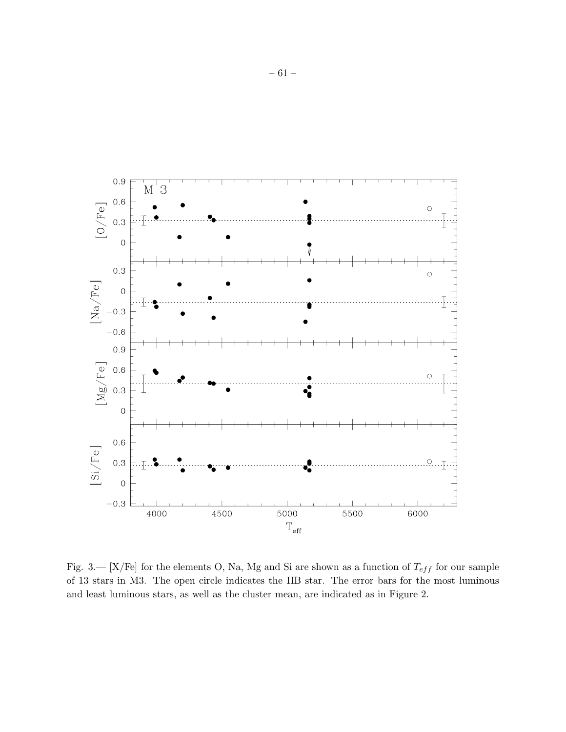

Fig. 3.— [X/Fe] for the elements O, Na, Mg and Si are shown as a function of  $T_{eff}$  for our sample of 13 stars in M3. The open circle indicates the HB star. The error bars for the most luminous and least luminous stars, as well as the cluster mean, are indicated as in Figure 2.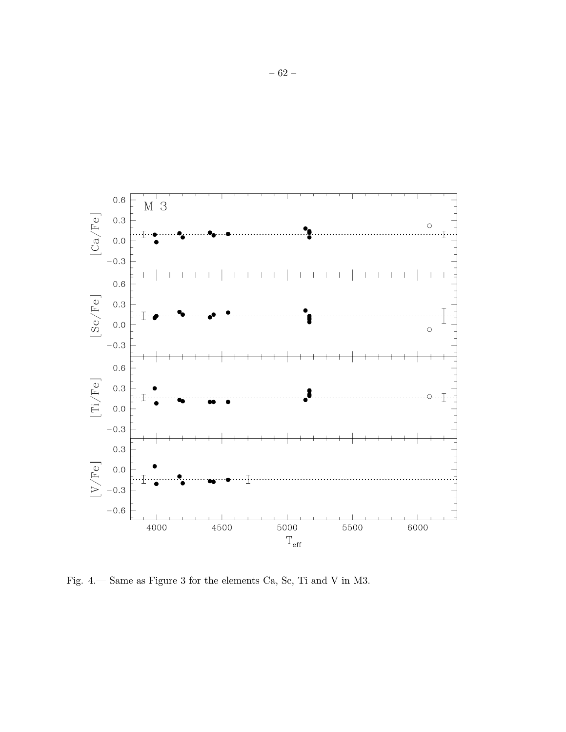

Fig. 4.— Same as Figure 3 for the elements Ca, Sc, Ti and V in M3.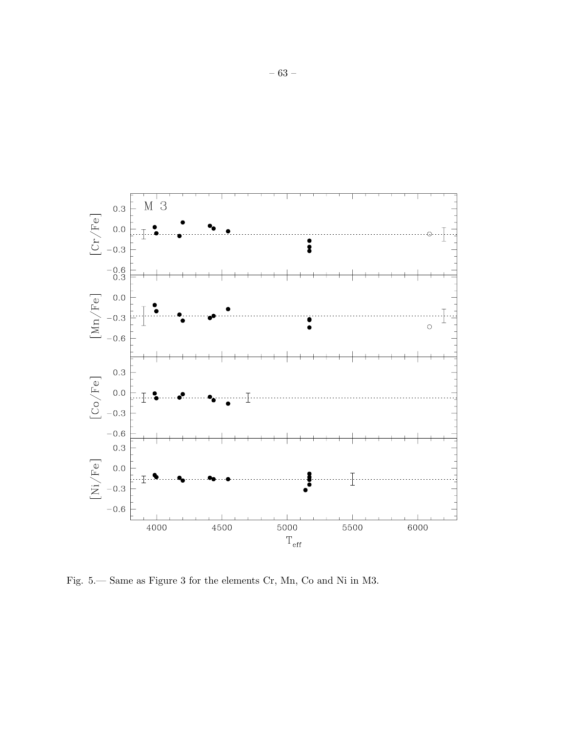

Fig. 5.— Same as Figure 3 for the elements Cr, Mn, Co and Ni in M3.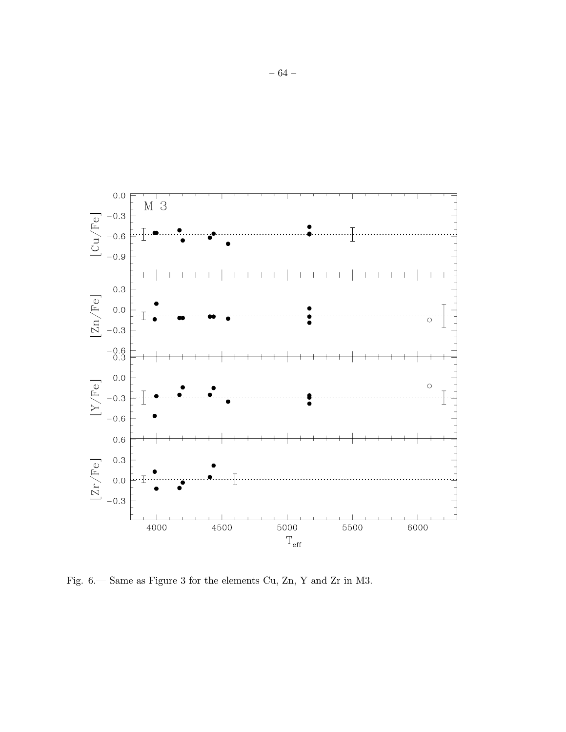

Fig. 6.— Same as Figure 3 for the elements Cu, Zn, Y and Zr in M3.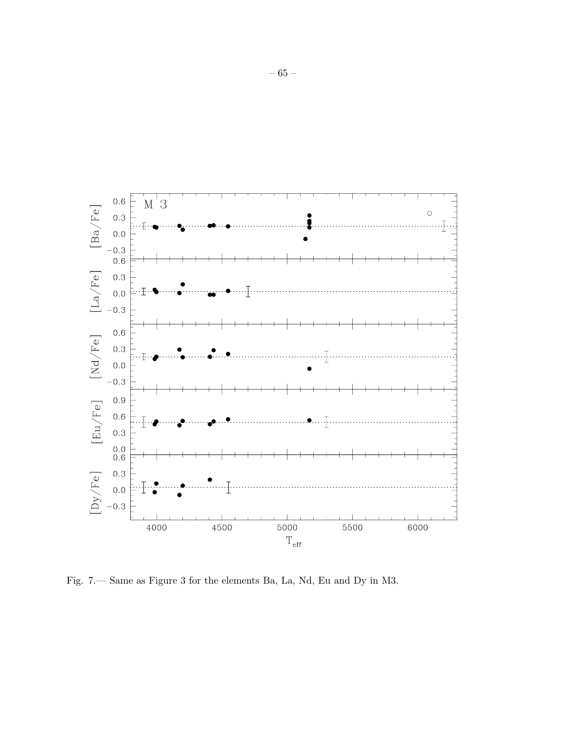

Fig. 7. Same as Figure 3 for the elements Ba, La, Nd, Eu and Dy in M3.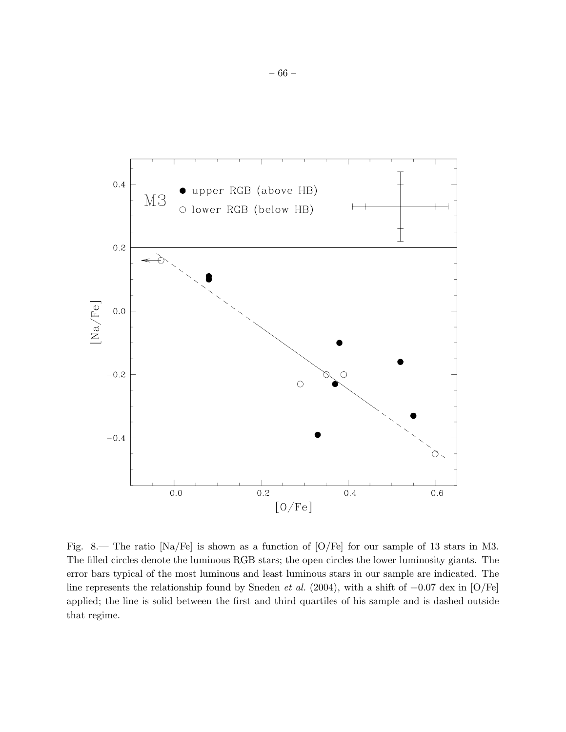

Fig. 8.— The ratio [Na/Fe] is shown as a function of [O/Fe] for our sample of 13 stars in M3. The filled circles denote the luminous RGB stars; the open circles the lower luminosity giants. The error bars typical of the most luminous and least luminous stars in our sample are indicated. The line represents the relationship found by Sneden *et al.* (2004), with a shift of  $+0.07$  dex in [O/Fe] applied; the line is solid between the first and third quartiles of his sample and is dashed outside that regime.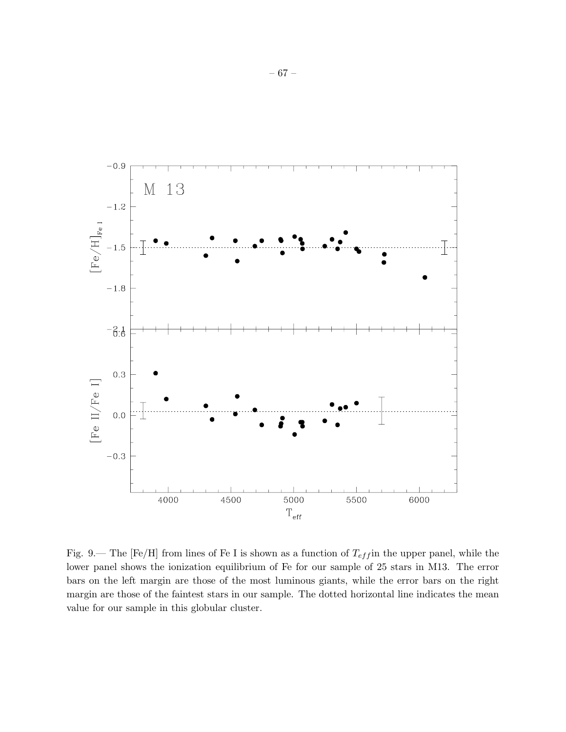

Fig. 9.— The [Fe/H] from lines of Fe I is shown as a function of  $T_{eff}$  in the upper panel, while the lower panel shows the ionization equilibrium of Fe for our sample of 25 stars in M13. The error bars on the left margin are those of the most luminous giants, while the error bars on the right margin are those of the faintest stars in our sample. The dotted horizontal line indicates the mean value for our sample in this globular cluster.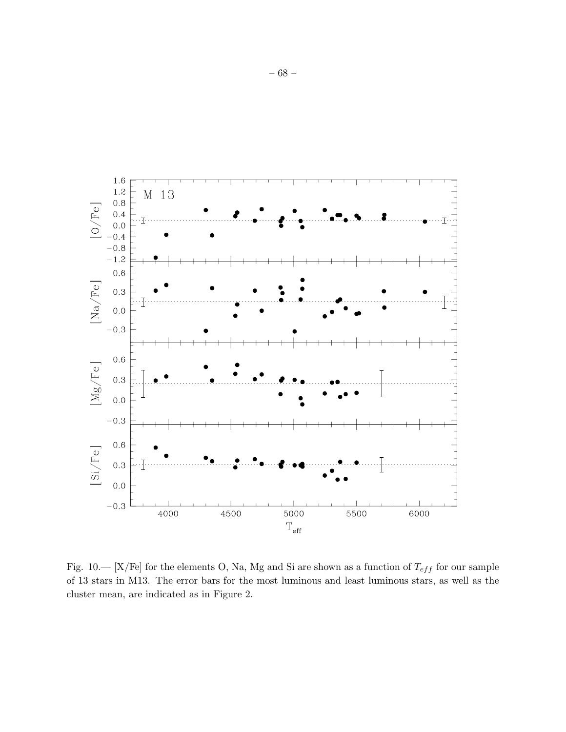

Fig. 10.— [X/Fe] for the elements O, Na, Mg and Si are shown as a function of  $T_{eff}$  for our sample of 13 stars in M13. The error bars for the most luminous and least luminous stars, as well as the cluster mean, are indicated as in Figure 2.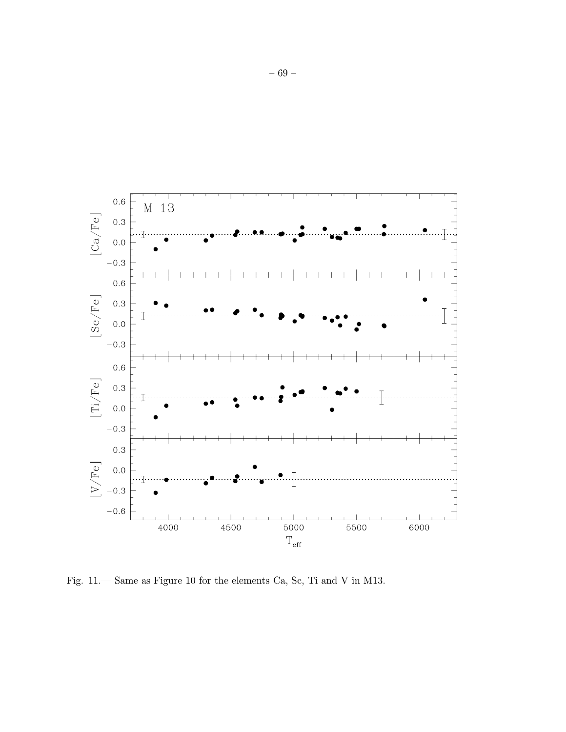

Fig. 11.— Same as Figure 10 for the elements Ca, Sc, Ti and V in M13.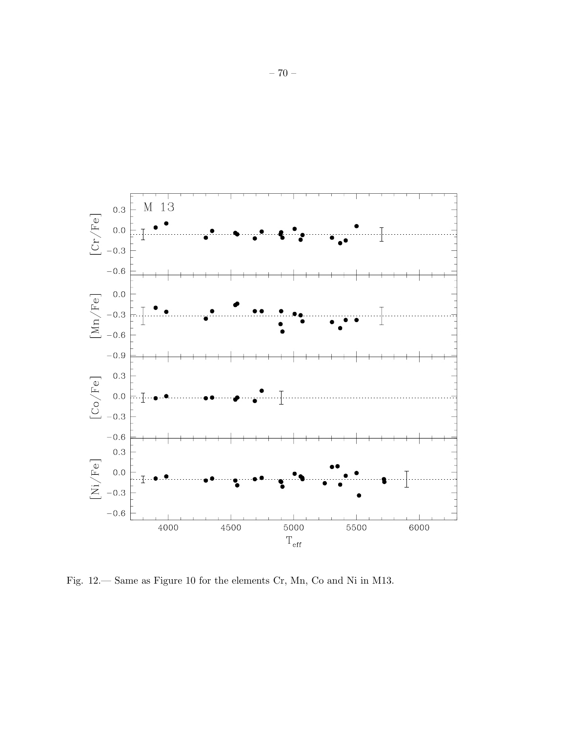

Fig. 12.— Same as Figure 10 for the elements Cr, Mn, Co and Ni in M13.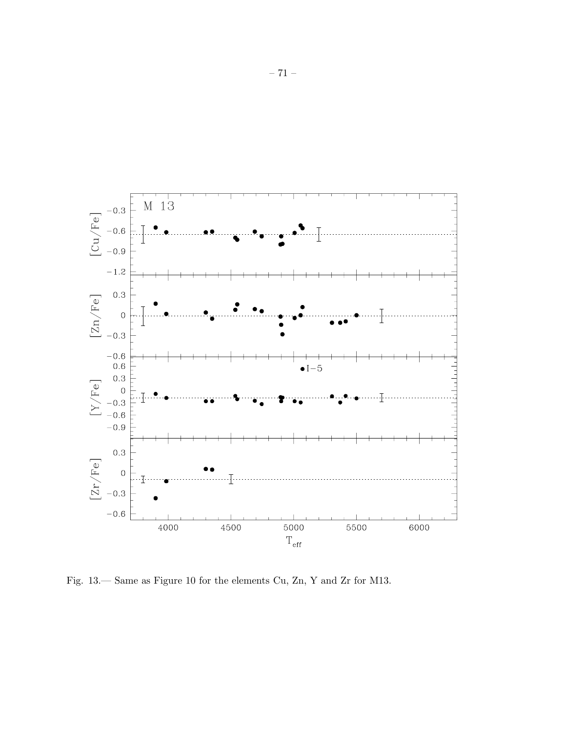

Fig. 13.— Same as Figure 10 for the elements Cu, Zn, Y and Zr for M13.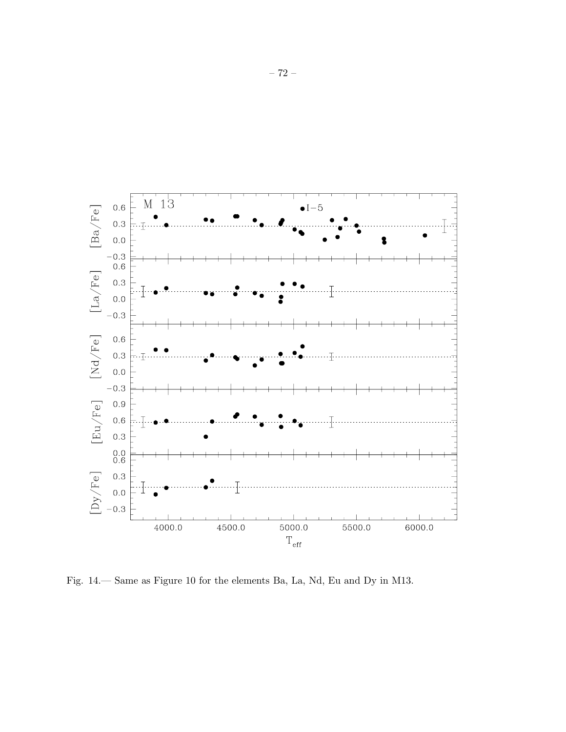

Fig. 14.— Same as Figure 10 for the elements Ba, La, Nd, Eu and Dy in M13.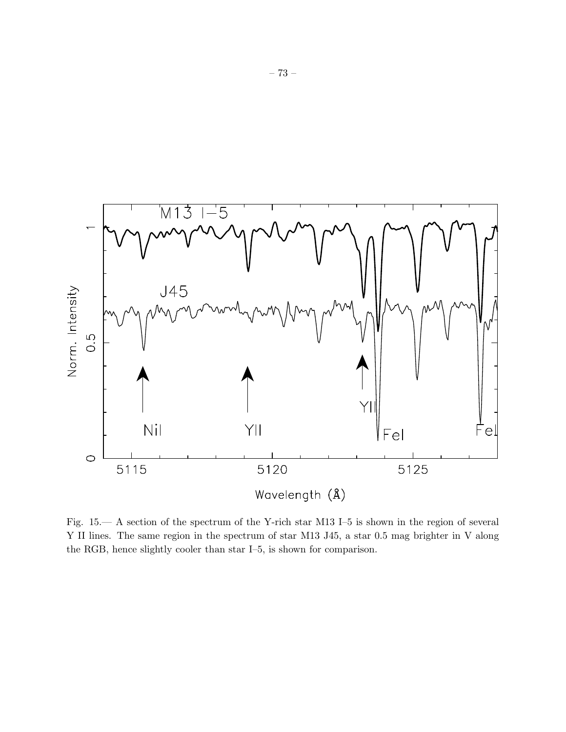

Fig. 15.— A section of the spectrum of the Y-rich star M13 I–5 is shown in the region of several Y II lines. The same region in the spectrum of star M13 J45, a star 0.5 mag brighter in V along the RGB, hence slightly cooler than star I–5, is shown for comparison.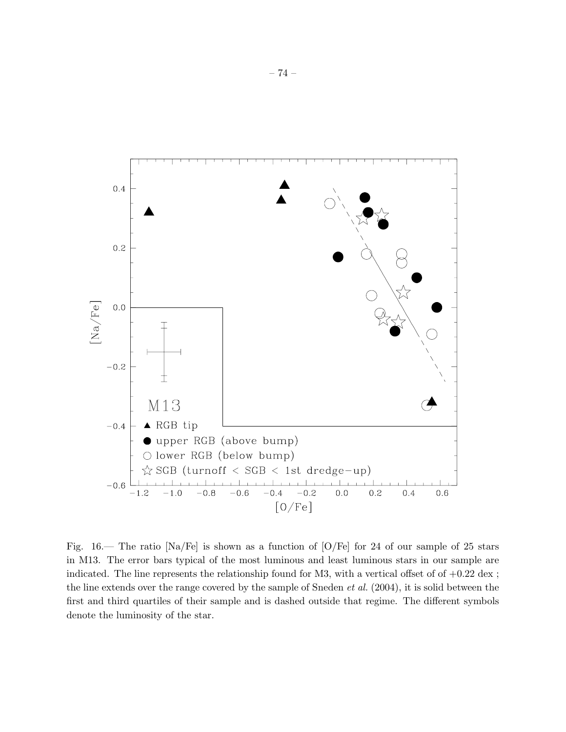

Fig.  $16$ — The ratio [Na/Fe] is shown as a function of [O/Fe] for 24 of our sample of 25 stars in M13. The error bars typical of the most luminous and least luminous stars in our sample are indicated. The line represents the relationship found for M3, with a vertical offset of of  $+0.22 \text{ dex}$ ; the line extends over the range covered by the sample of Sneden *et al.* (2004), it is solid between the first and third quartiles of their sample and is dashed outside that regime. The different symbols denote the luminosity of the star.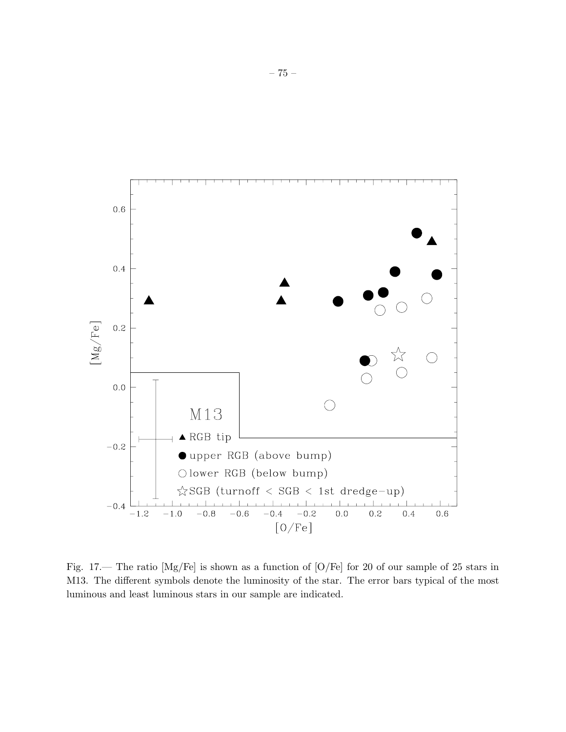

Fig. 17.— The ratio [Mg/Fe] is shown as a function of [O/Fe] for 20 of our sample of 25 stars in M13. The different symbols denote the luminosity of the star. The error bars typical of the most luminous and least luminous stars in our sample are indicated.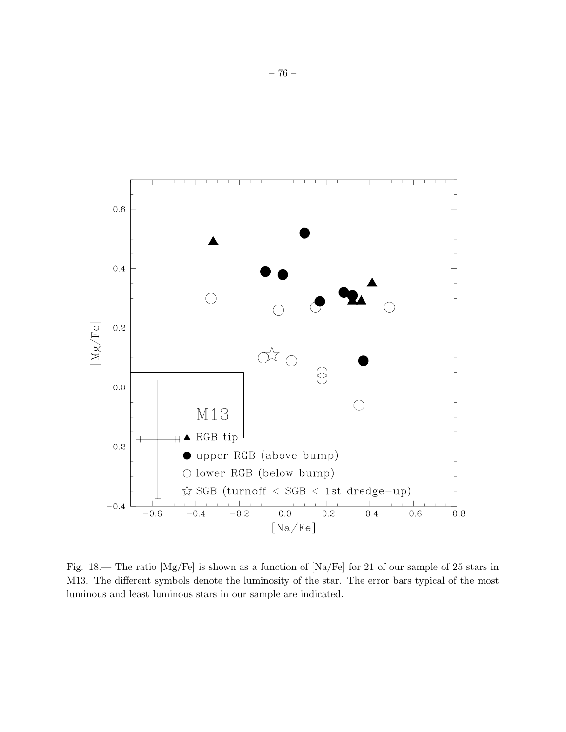

Fig. 18.— The ratio [Mg/Fe] is shown as a function of [Na/Fe] for 21 of our sample of 25 stars in M13. The different symbols denote the luminosity of the star. The error bars typical of the most luminous and least luminous stars in our sample are indicated.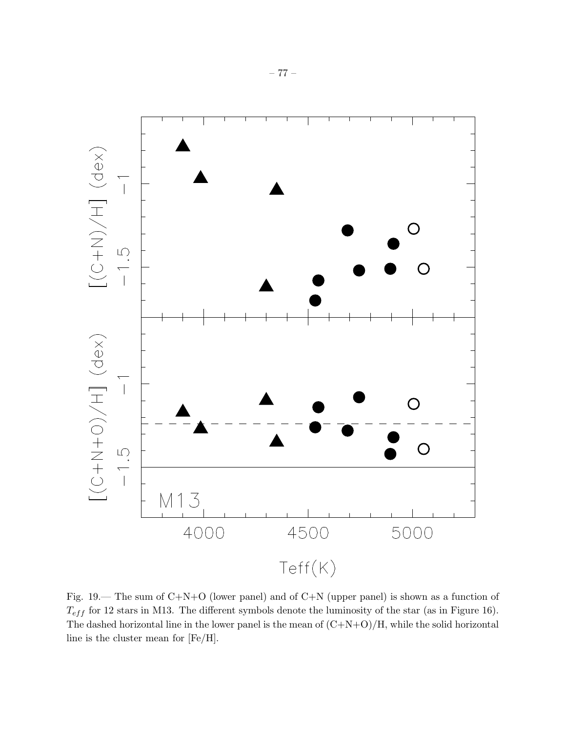

Fig. 19.— The sum of C+N+O (lower panel) and of C+N (upper panel) is shown as a function of  $T_{eff}$  for 12 stars in M13. The different symbols denote the luminosity of the star (as in Figure 16). The dashed horizontal line in the lower panel is the mean of  $(C+N+O)/H$ , while the solid horizontal line is the cluster mean for [Fe/H].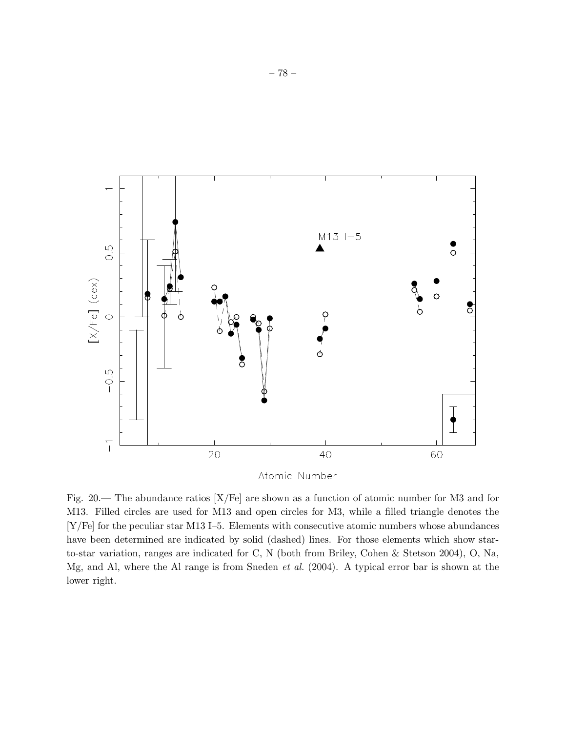

Atomic Number

Fig. 20.— The abundance ratios [X/Fe] are shown as a function of atomic number for M3 and for M13. Filled circles are used for M13 and open circles for M3, while a filled triangle denotes the [Y/Fe] for the peculiar star M13 I–5. Elements with consecutive atomic numbers whose abundances have been determined are indicated by solid (dashed) lines. For those elements which show starto-star variation, ranges are indicated for C, N (both from Briley, Cohen & Stetson 2004), O, Na, Mg, and Al, where the Al range is from Sneden *et al.* (2004). A typical error bar is shown at the lower right.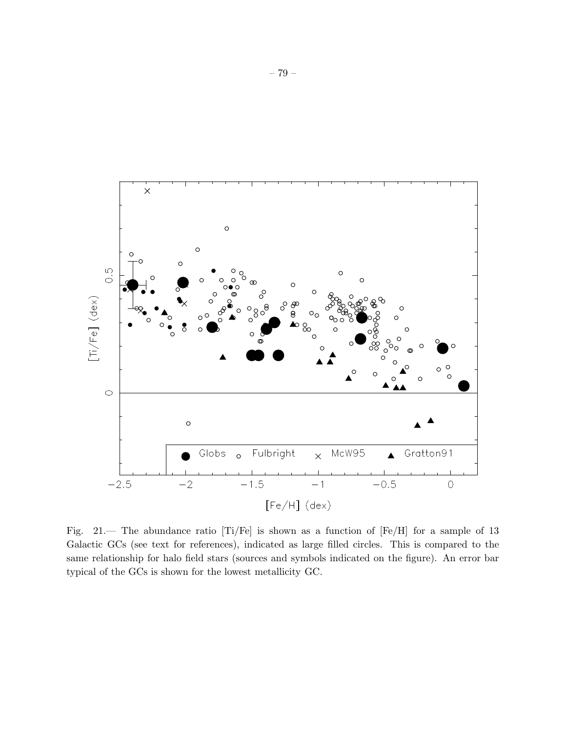

Fig. 21.— The abundance ratio [Ti/Fe] is shown as a function of [Fe/H] for a sample of 13 Galactic GCs (see text for references), indicated as large filled circles. This is compared to the same relationship for halo field stars (sources and symbols indicated on the figure). An error bar typical of the GCs is shown for the lowest metallicity GC.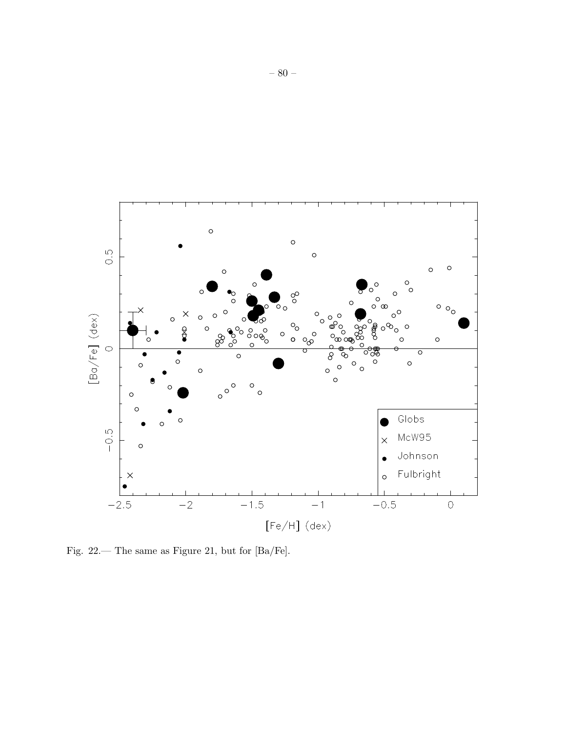

Fig. 22.— The same as Figure 21, but for [Ba/Fe].